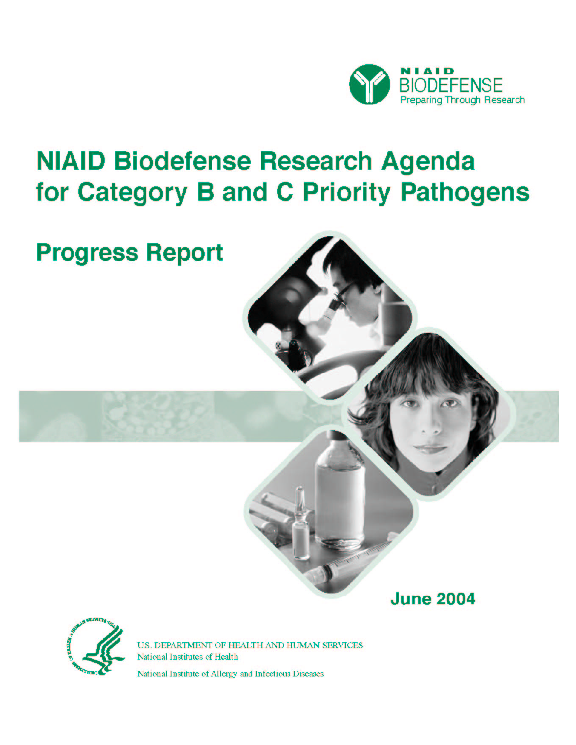

# **NIAID Biodefense Research Agenda** for Category B and C Priority Pathogens

# **Progress Report**

**June 2004** 



U.S. DEPARTMENT OF HEALTH AND HUMAN SERVICES National Institutes of Health

National Institute of Allergy and Infectious Diseases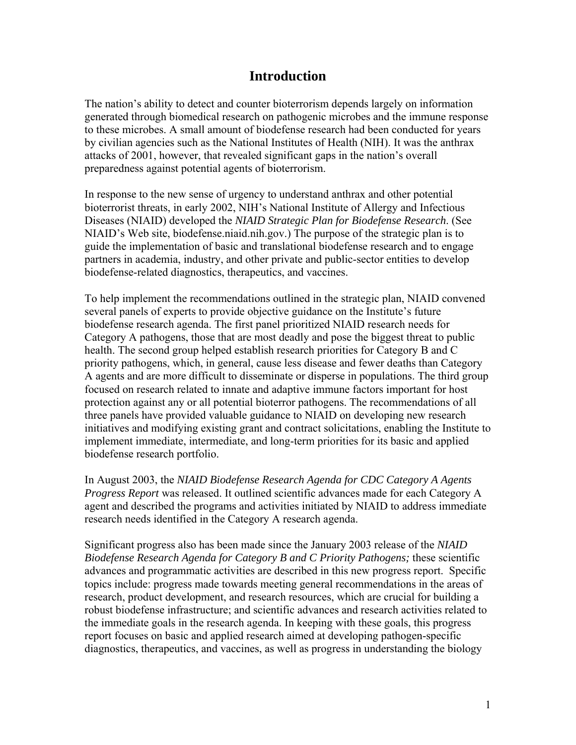# **Introduction**

The nation's ability to detect and counter bioterrorism depends largely on information generated through biomedical research on pathogenic microbes and the immune response to these microbes. A small amount of biodefense research had been conducted for years by civilian agencies such as the National Institutes of Health (NIH). It was the anthrax attacks of 2001, however, that revealed significant gaps in the nation's overall preparedness against potential agents of bioterrorism.

In response to the new sense of urgency to understand anthrax and other potential bioterrorist threats, in early 2002, NIH's National Institute of Allergy and Infectious Diseases (NIAID) developed the *NIAID Strategic Plan for Biodefense Research*. (See NIAID's Web site, [biodefense.niaid.nih.gov](http://biodefense.niaid.nih.gov/).) The purpose of the strategic plan is to guide the implementation of basic and translational biodefense research and to engage partners in academia, industry, and other private and public-sector entities to develop biodefense-related diagnostics, therapeutics, and vaccines.

To help implement the recommendations outlined in the strategic plan, NIAID convened several panels of experts to provide objective guidance on the Institute's future biodefense research agenda. The first panel prioritized NIAID research needs for Category A pathogens, those that are most deadly and pose the biggest threat to public health. The second group helped establish research priorities for Category B and C priority pathogens, which, in general, cause less disease and fewer deaths than Category A agents and are more difficult to disseminate or disperse in populations. The third group focused on research related to innate and adaptive immune factors important for host protection against any or all potential bioterror pathogens. The recommendations of all three panels have provided valuable guidance to NIAID on developing new research initiatives and modifying existing grant and contract solicitations, enabling the Institute to implement immediate, intermediate, and long-term priorities for its basic and applied biodefense research portfolio.

In August 2003, the *NIAID Biodefense Research Agenda for CDC Category A Agents Progress Report* was released. It outlined scientific advances made for each Category A agent and described the programs and activities initiated by NIAID to address immediate research needs identified in the Category A research agenda.

Significant progress also has been made since the January 2003 release of the *NIAID Biodefense Research Agenda for Category B and C Priority Pathogens;* these scientific advances and programmatic activities are described in this new progress report. Specific topics include: progress made towards meeting general recommendations in the areas of research, product development, and research resources, which are crucial for building a robust biodefense infrastructure; and scientific advances and research activities related to the immediate goals in the research agenda. In keeping with these goals, this progress report focuses on basic and applied research aimed at developing pathogen-specific diagnostics, therapeutics, and vaccines, as well as progress in understanding the biology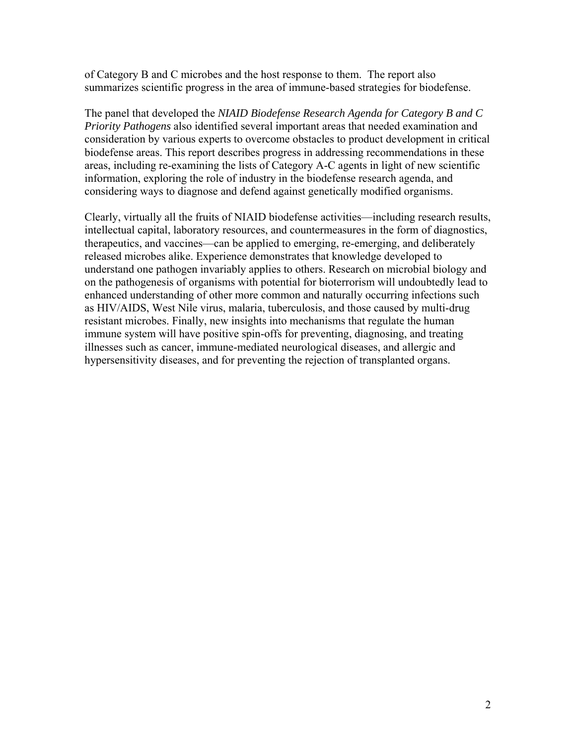of Category B and C microbes and the host response to them. The report also summarizes scientific progress in the area of immune-based strategies for biodefense.

The panel that developed the *NIAID Biodefense Research Agenda for Category B and C Priority Pathogens* also identified several important areas that needed examination and consideration by various experts to overcome obstacles to product development in critical biodefense areas. This report describes progress in addressing recommendations in these areas, including re-examining the lists of Category A-C agents in light of new scientific information, exploring the role of industry in the biodefense research agenda, and considering ways to diagnose and defend against genetically modified organisms.

Clearly, virtually all the fruits of NIAID biodefense activities—including research results, intellectual capital, laboratory resources, and countermeasures in the form of diagnostics, therapeutics, and vaccines—can be applied to emerging, re-emerging, and deliberately released microbes alike. Experience demonstrates that knowledge developed to understand one pathogen invariably applies to others. Research on microbial biology and on the pathogenesis of organisms with potential for bioterrorism will undoubtedly lead to enhanced understanding of other more common and naturally occurring infections such as HIV/AIDS, West Nile virus, malaria, tuberculosis, and those caused by multi-drug resistant microbes. Finally, new insights into mechanisms that regulate the human immune system will have positive spin-offs for preventing, diagnosing, and treating illnesses such as cancer, immune-mediated neurological diseases, and allergic and hypersensitivity diseases, and for preventing the rejection of transplanted organs.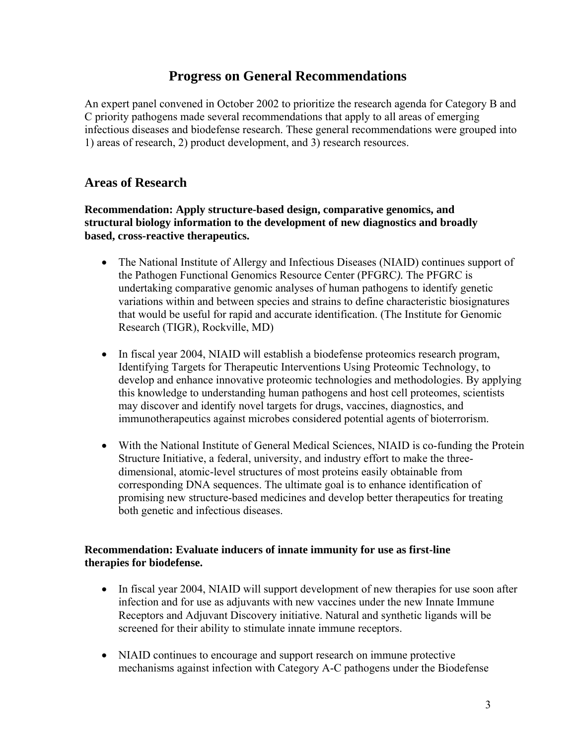# **Progress on General Recommendations**

An expert panel convened in October 2002 to prioritize the research agenda for Category B and C priority pathogens made several recommendations that apply to all areas of emerging infectious diseases and biodefense research. These general recommendations were grouped into 1) areas of research, 2) product development, and 3) research resources.

### **Areas of Research**

**Recommendation: Apply structure-based design, comparative genomics, and structural biology information to the development of new diagnostics and broadly based, cross-reactive therapeutics.** 

- The National Institute of Allergy and Infectious Diseases (NIAID) continues support of the Pathogen Functional Genomics Resource Center (PFGRC*).* The PFGRC is undertaking comparative genomic analyses of human pathogens to identify genetic variations within and between species and strains to define characteristic biosignatures that would be useful for rapid and accurate identification. (The Institute for Genomic Research (TIGR), Rockville, MD)
- In fiscal year 2004, NIAID will establish a biodefense proteomics research program, Identifying Targets for Therapeutic Interventions Using Proteomic Technology, to develop and enhance innovative proteomic technologies and methodologies. By applying this knowledge to understanding human pathogens and host cell proteomes, scientists may discover and identify novel targets for drugs, vaccines, diagnostics, and immunotherapeutics against microbes considered potential agents of bioterrorism.
- With the National Institute of General Medical Sciences, NIAID is co-funding the Protein Structure Initiative, a federal, university, and industry effort to make the threedimensional, atomic-level structures of most proteins easily obtainable from corresponding DNA sequences. The ultimate goal is to enhance identification of promising new structure-based medicines and develop better therapeutics for treating both genetic and infectious diseases.

### **Recommendation: Evaluate inducers of innate immunity for use as first-line therapies for biodefense.**

- In fiscal year 2004, NIAID will support development of new therapies for use soon after infection and for use as adjuvants with new vaccines under the new Innate Immune Receptors and Adjuvant Discovery initiative. Natural and synthetic ligands will be screened for their ability to stimulate innate immune receptors.
- NIAID continues to encourage and support research on immune protective mechanisms against infection with Category A-C pathogens under the Biodefense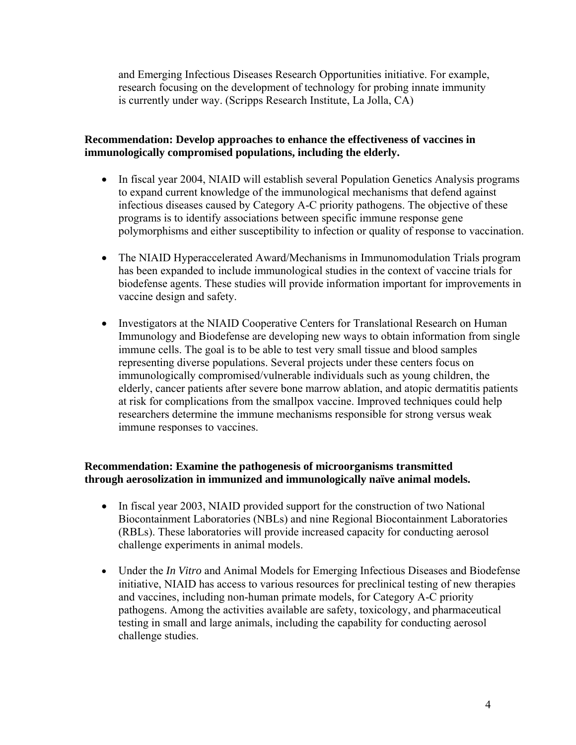and Emerging Infectious Diseases Research Opportunities initiative. For example, research focusing on the development of technology for probing innate immunity is currently under way. (Scripps Research Institute, La Jolla, CA)

### **Recommendation: Develop approaches to enhance the effectiveness of vaccines in immunologically compromised populations, including the elderly.**

- In fiscal year 2004, NIAID will establish several Population Genetics Analysis programs to expand current knowledge of the immunological mechanisms that defend against infectious diseases caused by Category A-C priority pathogens. The objective of these programs is to identify associations between specific immune response gene polymorphisms and either susceptibility to infection or quality of response to vaccination.
- The NIAID Hyperaccelerated Award/Mechanisms in Immunomodulation Trials program has been expanded to include immunological studies in the context of vaccine trials for biodefense agents. These studies will provide information important for improvements in vaccine design and safety.
- Investigators at the NIAID Cooperative Centers for Translational Research on Human Immunology and Biodefense are developing new ways to obtain information from single immune cells. The goal is to be able to test very small tissue and blood samples representing diverse populations. Several projects under these centers focus on immunologically compromised/vulnerable individuals such as young children, the elderly, cancer patients after severe bone marrow ablation, and atopic dermatitis patients at risk for complications from the smallpox vaccine. Improved techniques could help researchers determine the immune mechanisms responsible for strong versus weak immune responses to vaccines.

### **Recommendation: Examine the pathogenesis of microorganisms transmitted through aerosolization in immunized and immunologically naïve animal models.**

- In fiscal year 2003, NIAID provided support for the construction of two National Biocontainment Laboratories (NBLs) and nine Regional Biocontainment Laboratories (RBLs). These laboratories will provide increased capacity for conducting aerosol challenge experiments in animal models.
- Under the *In Vitro* and Animal Models for Emerging Infectious Diseases and Biodefense initiative, NIAID has access to various resources for preclinical testing of new therapies and vaccines, including non-human primate models, for Category A-C priority pathogens. Among the activities available are safety, toxicology, and pharmaceutical testing in small and large animals, including the capability for conducting aerosol challenge studies.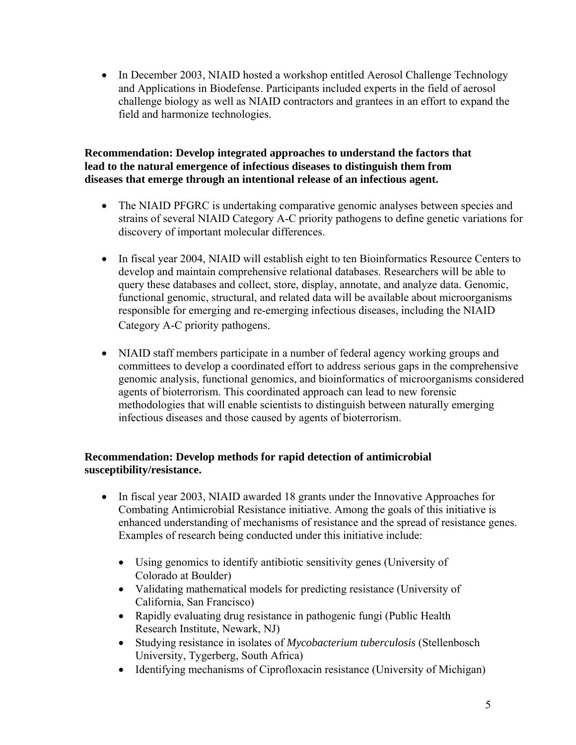• In December 2003, NIAID hosted a workshop entitled Aerosol Challenge Technology and Applications in Biodefense. Participants included experts in the field of aerosol challenge biology as well as NIAID contractors and grantees in an effort to expand the field and harmonize technologies.

### **Recommendation: Develop integrated approaches to understand the factors that lead to the natural emergence of infectious diseases to distinguish them from diseases that emerge through an intentional release of an infectious agent.**

- The NIAID PFGRC is undertaking comparative genomic analyses between species and strains of several NIAID Category A-C priority pathogens to define genetic variations for discovery of important molecular differences.
- In fiscal year 2004, NIAID will establish eight to ten Bioinformatics Resource Centers to develop and maintain comprehensive relational databases. Researchers will be able to query these databases and collect, store, display, annotate, and analyze data. Genomic, functional genomic, structural, and related data will be available about microorganisms responsible for emerging and re-emerging infectious diseases, including the NIAID Category A-C priority pathogens.
- NIAID staff members participate in a number of federal agency working groups and committees to develop a coordinated effort to address serious gaps in the comprehensive genomic analysis, functional genomics, and bioinformatics of microorganisms considered agents of bioterrorism. This coordinated approach can lead to new forensic methodologies that will enable scientists to distinguish between naturally emerging infectious diseases and those caused by agents of bioterrorism.

### **Recommendation: Develop methods for rapid detection of antimicrobial susceptibility/resistance.**

- In fiscal year 2003, NIAID awarded 18 grants under the Innovative Approaches for Combating Antimicrobial Resistance initiative. Among the goals of this initiative is enhanced understanding of mechanisms of resistance and the spread of resistance genes. Examples of research being conducted under this initiative include:
	- Using genomics to identify antibiotic sensitivity genes (University of Colorado at Boulder)
	- Validating mathematical models for predicting resistance (University of California, San Francisco)
	- Rapidly evaluating drug resistance in pathogenic fungi (Public Health) Research Institute, Newark, NJ)
	- Studying resistance in isolates of *Mycobacterium tuberculosis* (Stellenbosch University, Tygerberg, South Africa)
	- Identifying mechanisms of Ciprofloxacin resistance (University of Michigan)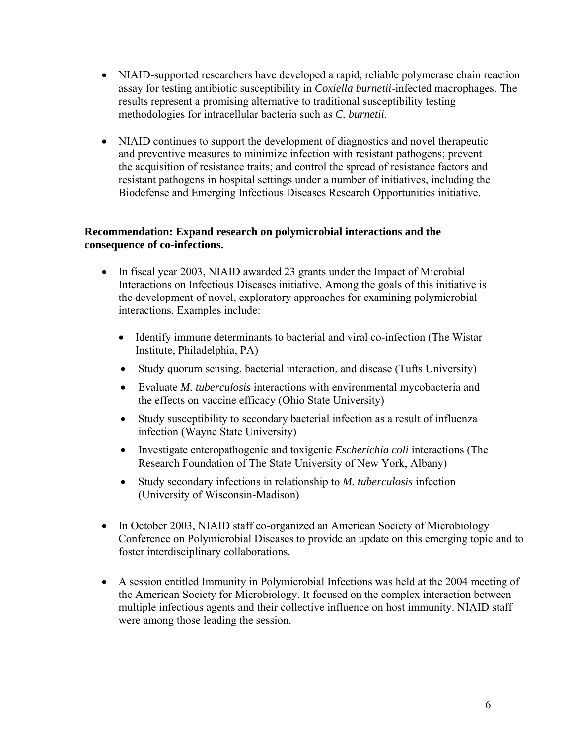- NIAID-supported researchers have developed a rapid, reliable polymerase chain reaction assay for testing antibiotic susceptibility in *Coxiella burnetii*-infected macrophages. The results represent a promising alternative to traditional susceptibility testing methodologies for intracellular bacteria such as *C. burnetii*.
- NIAID continues to support the development of diagnostics and novel therapeutic and preventive measures to minimize infection with resistant pathogens; prevent the acquisition of resistance traits; and control the spread of resistance factors and resistant pathogens in hospital settings under a number of initiatives, including the Biodefense and Emerging Infectious Diseases Research Opportunities initiative.

### **Recommendation: Expand research on polymicrobial interactions and the consequence of co-infections.**

- In fiscal year 2003, NIAID awarded 23 grants under the Impact of Microbial Interactions on Infectious Diseases initiative. Among the goals of this initiative is the development of novel, exploratory approaches for examining polymicrobial interactions. Examples include:
	- Identify immune determinants to bacterial and viral co-infection (The Wistar Institute, Philadelphia, PA)
	- Study quorum sensing, bacterial interaction, and disease (Tufts University)
	- Evaluate *M. tuberculosis* interactions with environmental mycobacteria and the effects on vaccine efficacy (Ohio State University)
	- Study susceptibility to secondary bacterial infection as a result of influenza infection (Wayne State University)
	- Investigate enteropathogenic and toxigenic *Escherichia coli* interactions (The Research Foundation of The State University of New York, Albany)
	- Study secondary infections in relationship to *M. tuberculosis* infection (University of Wisconsin-Madison)
- In October 2003, NIAID staff co-organized an American Society of Microbiology Conference on Polymicrobial Diseases to provide an update on this emerging topic and to foster interdisciplinary collaborations.
- A session entitled Immunity in Polymicrobial Infections was held at the 2004 meeting of the American Society for Microbiology. It focused on the complex interaction between multiple infectious agents and their collective influence on host immunity. NIAID staff were among those leading the session.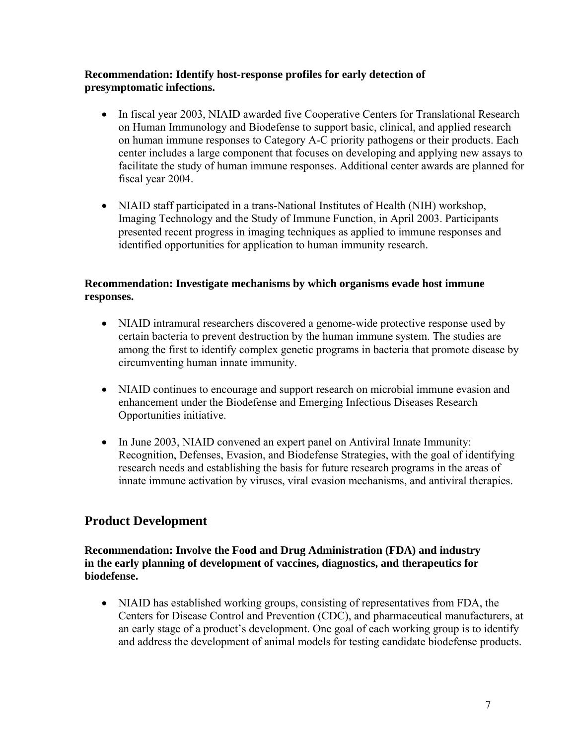### **Recommendation: Identify host-response profiles for early detection of presymptomatic infections.**

- In fiscal year 2003, NIAID awarded five Cooperative Centers for Translational Research on Human Immunology and Biodefense to support basic, clinical, and applied research on human immune responses to Category A-C priority pathogens or their products. Each center includes a large component that focuses on developing and applying new assays to facilitate the study of human immune responses. Additional center awards are planned for fiscal year 2004.
- NIAID staff participated in a trans-National Institutes of Health (NIH) workshop, Imaging Technology and the Study of Immune Function, in April 2003. Participants presented recent progress in imaging techniques as applied to immune responses and identified opportunities for application to human immunity research.

### **Recommendation: Investigate mechanisms by which organisms evade host immune responses.**

- NIAID intramural researchers discovered a genome-wide protective response used by certain bacteria to prevent destruction by the human immune system. The studies are among the first to identify complex genetic programs in bacteria that promote disease by circumventing human innate immunity.
- NIAID continues to encourage and support research on microbial immune evasion and enhancement under the Biodefense and Emerging Infectious Diseases Research Opportunities initiative.
- In June 2003, NIAID convened an expert panel on Antiviral Innate Immunity: Recognition, Defenses, Evasion, and Biodefense Strategies, with the goal of identifying research needs and establishing the basis for future research programs in the areas of innate immune activation by viruses, viral evasion mechanisms, and antiviral therapies.

# **Product Development**

### **Recommendation: Involve the Food and Drug Administration (FDA) and industry in the early planning of development of vaccines, diagnostics, and therapeutics for biodefense.**

• NIAID has established working groups, consisting of representatives from FDA, the Centers for Disease Control and Prevention (CDC), and pharmaceutical manufacturers, at an early stage of a product's development. One goal of each working group is to identify and address the development of animal models for testing candidate biodefense products.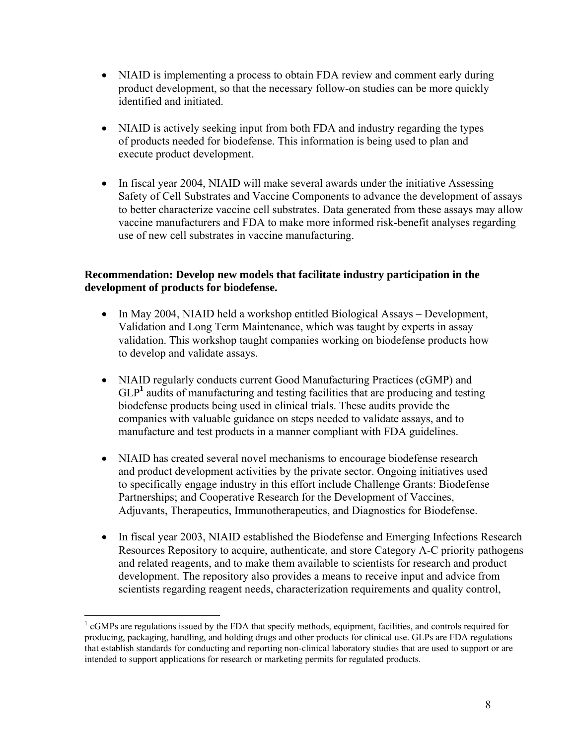- NIAID is implementing a process to obtain FDA review and comment early during product development, so that the necessary follow-on studies can be more quickly identified and initiated.
- NIAID is actively seeking input from both FDA and industry regarding the types of products needed for biodefense. This information is being used to plan and execute product development.
- In fiscal year 2004, NIAID will make several awards under the initiative Assessing Safety of Cell Substrates and Vaccine Components to advance the development of assays to better characterize vaccine cell substrates. Data generated from these assays may allow vaccine manufacturers and FDA to make more informed risk-benefit analyses regarding use of new cell substrates in vaccine manufacturing.

### **Recommendation: Develop new models that facilitate industry participation in the development of products for biodefense.**

- In May 2004, NIAID held a workshop entitled Biological Assays Development, Validation and Long Term Maintenance, which was taught by experts in assay validation. This workshop taught companies working on biodefense products how to develop and validate assays.
- NIAID regularly conducts current Good Manufacturing Practices (cGMP) and GLP<sup>1</sup> audits of manufacturing and testing facilities that are producing and testing biodefense products being used in clinical trials. These audits provide the companies with valuable guidance on steps needed to validate assays, and to manufacture and test products in a manner compliant with FDA guidelines.
- NIAID has created several novel mechanisms to encourage biodefense research and product development activities by the private sector. Ongoing initiatives used to specifically engage industry in this effort include Challenge Grants: Biodefense Partnerships; and Cooperative Research for the Development of Vaccines, Adjuvants, Therapeutics, Immunotherapeutics, and Diagnostics for Biodefense.
- In fiscal year 2003, NIAID established the Biodefense and Emerging Infections Research Resources Repository to acquire, authenticate, and store Category A-C priority pathogens and related reagents, and to make them available to scientists for research and product development. The repository also provides a means to receive input and advice from scientists regarding reagent needs, characterization requirements and quality control,

 $\overline{a}$ <sup>1</sup> cGMPs are regulations issued by the FDA that specify methods, equipment, facilities, and controls required for producing, packaging, handling, and holding drugs and other products for clinical use. GLPs are FDA regulations that establish standards for conducting and reporting non-clinical laboratory studies that are used to support or are intended to support applications for research or marketing permits for regulated products.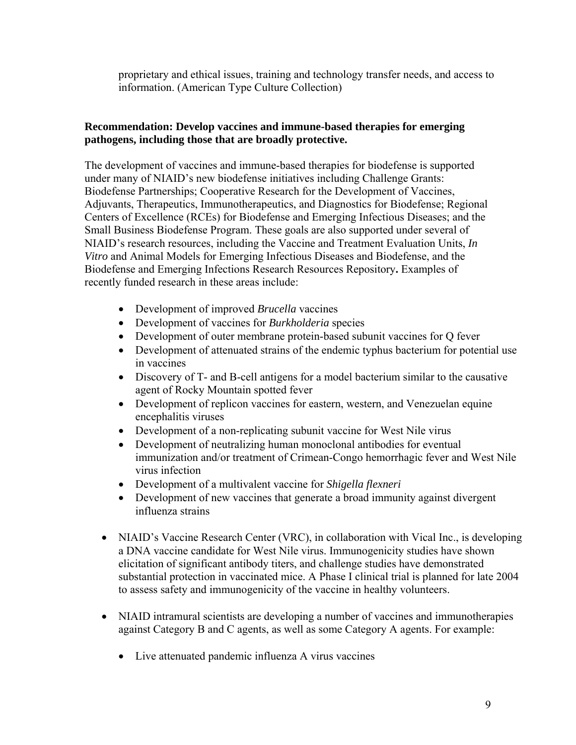proprietary and ethical issues, training and technology transfer needs, and access to information. (American Type Culture Collection)

### **Recommendation: Develop vaccines and immune-based therapies for emerging pathogens, including those that are broadly protective.**

The development of vaccines and immune-based therapies for biodefense is supported under many of NIAID's new biodefense initiatives including Challenge Grants: Biodefense Partnerships; Cooperative Research for the Development of Vaccines, Adjuvants, Therapeutics, Immunotherapeutics, and Diagnostics for Biodefense; Regional Centers of Excellence (RCEs) for Biodefense and Emerging Infectious Diseases; and the Small Business Biodefense Program. These goals are also supported under several of NIAID's research resources, including the Vaccine and Treatment Evaluation Units, *In Vitro* and Animal Models for Emerging Infectious Diseases and Biodefense, and the Biodefense and Emerging Infections Research Resources Repository**.** Examples of recently funded research in these areas include:

- Development of improved *Brucella* vaccines
- Development of vaccines for *Burkholderia* species
- Development of outer membrane protein-based subunit vaccines for Q fever
- Development of attenuated strains of the endemic typhus bacterium for potential use in vaccines
- Discovery of T- and B-cell antigens for a model bacterium similar to the causative agent of Rocky Mountain spotted fever
- Development of replicon vaccines for eastern, western, and Venezuelan equine encephalitis viruses
- Development of a non-replicating subunit vaccine for West Nile virus
- Development of neutralizing human monoclonal antibodies for eventual immunization and/or treatment of Crimean-Congo hemorrhagic fever and West Nile virus infection
- Development of a multivalent vaccine for *Shigella flexneri*
- Development of new vaccines that generate a broad immunity against divergent influenza strains
- NIAID's Vaccine Research Center (VRC), in collaboration with Vical Inc., is developing a DNA vaccine candidate for West Nile virus. Immunogenicity studies have shown elicitation of significant antibody titers, and challenge studies have demonstrated substantial protection in vaccinated mice. A Phase I clinical trial is planned for late 2004 to assess safety and immunogenicity of the vaccine in healthy volunteers.
- NIAID intramural scientists are developing a number of vaccines and immunotherapies against Category B and C agents, as well as some Category A agents. For example:
	- Live attenuated pandemic influenza A virus vaccines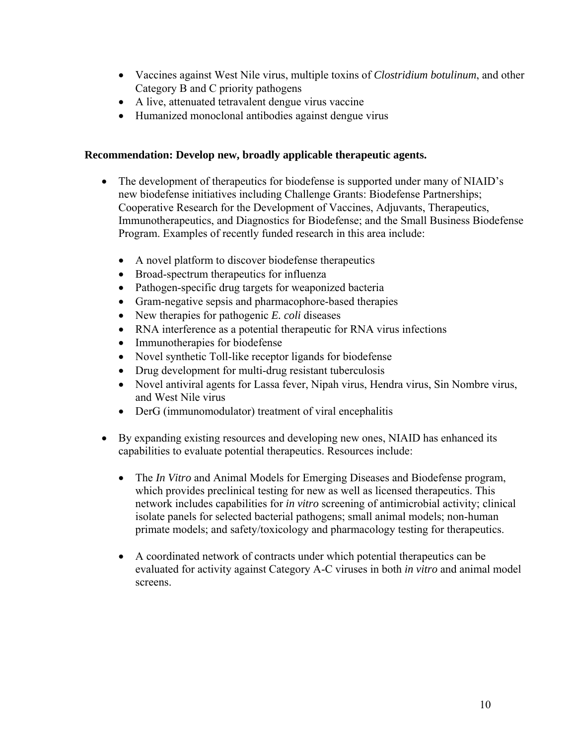- Vaccines against West Nile virus, multiple toxins of *Clostridium botulinum*, and other Category B and C priority pathogens
- A live, attenuated tetravalent dengue virus vaccine
- Humanized monoclonal antibodies against dengue virus

### **Recommendation: Develop new, broadly applicable therapeutic agents.**

- The development of therapeutics for biodefense is supported under many of NIAID's new biodefense initiatives including Challenge Grants: Biodefense Partnerships; Cooperative Research for the Development of Vaccines, Adjuvants, Therapeutics, Immunotherapeutics, and Diagnostics for Biodefense; and the Small Business Biodefense Program. Examples of recently funded research in this area include:
	- A novel platform to discover biodefense therapeutics
	- Broad-spectrum therapeutics for influenza
	- Pathogen-specific drug targets for weaponized bacteria
	- Gram-negative sepsis and pharmacophore-based therapies
	- New therapies for pathogenic *E. coli* diseases
	- RNA interference as a potential therapeutic for RNA virus infections
	- Immunotherapies for biodefense
	- Novel synthetic Toll-like receptor ligands for biodefense
	- Drug development for multi-drug resistant tuberculosis
	- Novel antiviral agents for Lassa fever, Nipah virus, Hendra virus, Sin Nombre virus, and West Nile virus
	- DerG (immunomodulator) treatment of viral encephalitis
- By expanding existing resources and developing new ones, NIAID has enhanced its capabilities to evaluate potential therapeutics. Resources include:
	- The *In Vitro* and Animal Models for Emerging Diseases and Biodefense program, which provides preclinical testing for new as well as licensed therapeutics. This network includes capabilities for *in vitro* screening of antimicrobial activity; clinical isolate panels for selected bacterial pathogens; small animal models; non-human primate models; and safety/toxicology and pharmacology testing for therapeutics.
	- A coordinated network of contracts under which potential therapeutics can be evaluated for activity against Category A-C viruses in both *in vitro* and animal model screens.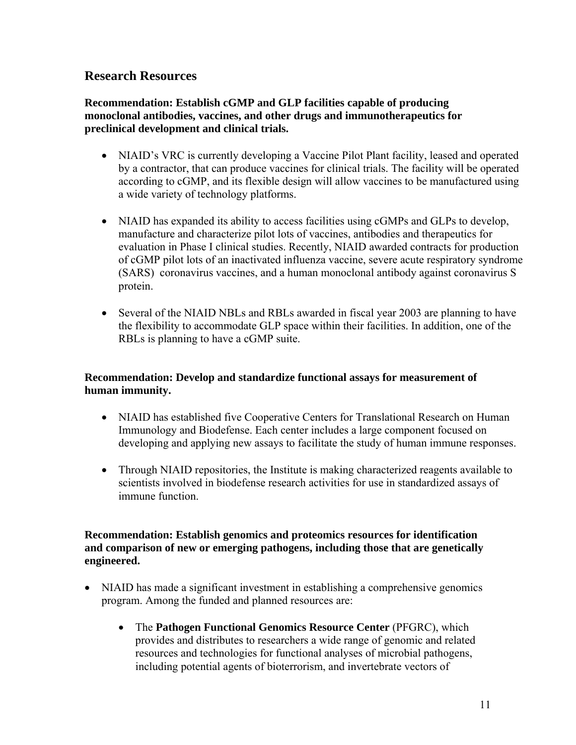### **Research Resources**

**Recommendation: Establish cGMP and GLP facilities capable of producing monoclonal antibodies, vaccines, and other drugs and immunotherapeutics for preclinical development and clinical trials.** 

- NIAID's VRC is currently developing a Vaccine Pilot Plant facility, leased and operated by a contractor, that can produce vaccines for clinical trials. The facility will be operated according to cGMP, and its flexible design will allow vaccines to be manufactured using a wide variety of technology platforms.
- NIAID has expanded its ability to access facilities using cGMPs and GLPs to develop, manufacture and characterize pilot lots of vaccines, antibodies and therapeutics for evaluation in Phase I clinical studies. Recently, NIAID awarded contracts for production of cGMP pilot lots of an inactivated influenza vaccine, severe acute respiratory syndrome (SARS) coronavirus vaccines, and a human monoclonal antibody against coronavirus S protein.
- Several of the NIAID NBLs and RBLs awarded in fiscal year 2003 are planning to have the flexibility to accommodate GLP space within their facilities. In addition, one of the RBLs is planning to have a cGMP suite.

### **Recommendation: Develop and standardize functional assays for measurement of human immunity.**

- NIAID has established five Cooperative Centers for Translational Research on Human Immunology and Biodefense. Each center includes a large component focused on developing and applying new assays to facilitate the study of human immune responses.
- Through NIAID repositories, the Institute is making characterized reagents available to scientists involved in biodefense research activities for use in standardized assays of immune function.

### **Recommendation: Establish genomics and proteomics resources for identification and comparison of new or emerging pathogens, including those that are genetically engineered.**

- NIAID has made a significant investment in establishing a comprehensive genomics program. Among the funded and planned resources are:
	- The **Pathogen Functional Genomics Resource Center** (PFGRC), which provides and distributes to researchers a wide range of genomic and related resources and technologies for functional analyses of microbial pathogens, including potential agents of bioterrorism, and invertebrate vectors of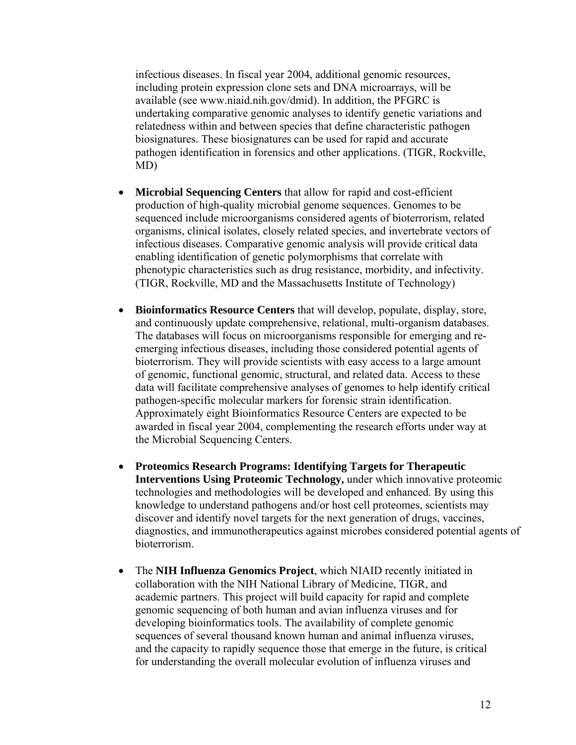infectious diseases. In fiscal year 2004, additional genomic resources, including protein expression clone sets and DNA microarrays, will be available (see www.niaid.nih.gov/dmid). In addition, the PFGRC is undertaking comparative genomic analyses to identify genetic variations and relatedness within and between species that define characteristic pathogen biosignatures. These biosignatures can be used for rapid and accurate pathogen identification in forensics and other applications. (TIGR, Rockville, MD)

- **Microbial Sequencing Centers** that allow for rapid and cost-efficient production of high-quality microbial genome sequences. Genomes to be sequenced include microorganisms considered agents of bioterrorism, related organisms, clinical isolates, closely related species, and invertebrate vectors of infectious diseases. Comparative genomic analysis will provide critical data enabling identification of genetic polymorphisms that correlate with phenotypic characteristics such as drug resistance, morbidity, and infectivity. (TIGR, Rockville, MD and the Massachusetts Institute of Technology)
- **Bioinformatics Resource Centers** that will develop, populate, display, store, and continuously update comprehensive, relational, multi-organism databases. The databases will focus on microorganisms responsible for emerging and reemerging infectious diseases, including those considered potential agents of bioterrorism. They will provide scientists with easy access to a large amount of genomic, functional genomic, structural, and related data. Access to these data will facilitate comprehensive analyses of genomes to help identify critical pathogen-specific molecular markers for forensic strain identification. Approximately eight Bioinformatics Resource Centers are expected to be awarded in fiscal year 2004, complementing the research efforts under way at the Microbial Sequencing Centers.
- **Proteomics Research Programs: Identifying Targets for Therapeutic Interventions Using Proteomic Technology,** under which innovative proteomic technologies and methodologies will be developed and enhanced. By using this knowledge to understand pathogens and/or host cell proteomes, scientists may discover and identify novel targets for the next generation of drugs, vaccines, diagnostics, and immunotherapeutics against microbes considered potential agents of bioterrorism.
- The **NIH Influenza Genomics Project**, which NIAID recently initiated in collaboration with the NIH National Library of Medicine, TIGR, and academic partners. This project will build capacity for rapid and complete genomic sequencing of both human and avian influenza viruses and for developing bioinformatics tools. The availability of complete genomic sequences of several thousand known human and animal influenza viruses, and the capacity to rapidly sequence those that emerge in the future, is critical for understanding the overall molecular evolution of influenza viruses and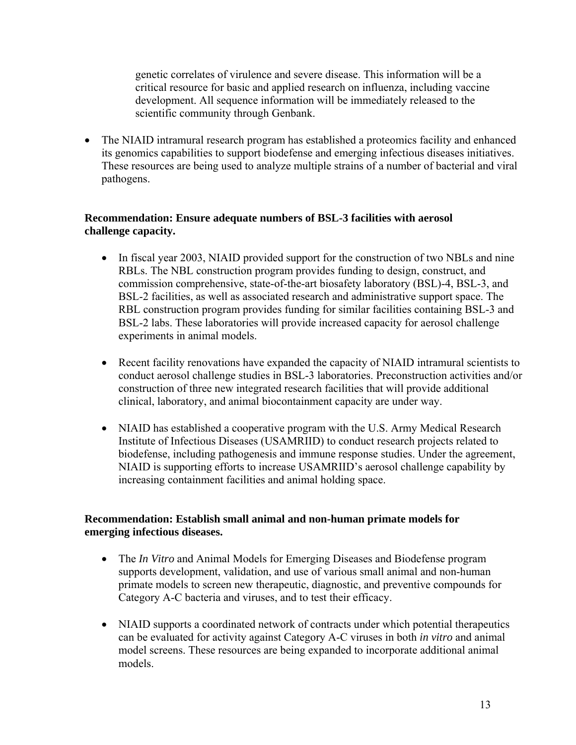genetic correlates of virulence and severe disease. This information will be a critical resource for basic and applied research on influenza, including vaccine development. All sequence information will be immediately released to the scientific community through Genbank.

• The NIAID intramural research program has established a proteomics facility and enhanced its genomics capabilities to support biodefense and emerging infectious diseases initiatives. These resources are being used to analyze multiple strains of a number of bacterial and viral pathogens.

### **Recommendation: Ensure adequate numbers of BSL-3 facilities with aerosol challenge capacity.**

- In fiscal year 2003, NIAID provided support for the construction of two NBLs and nine RBLs. The NBL construction program provides funding to design, construct, and commission comprehensive, state-of-the-art biosafety laboratory (BSL)-4, BSL-3, and BSL-2 facilities, as well as associated research and administrative support space. The RBL construction program provides funding for similar facilities containing BSL-3 and BSL-2 labs. These laboratories will provide increased capacity for aerosol challenge experiments in animal models.
- Recent facility renovations have expanded the capacity of NIAID intramural scientists to conduct aerosol challenge studies in BSL-3 laboratories. Preconstruction activities and/or construction of three new integrated research facilities that will provide additional clinical, laboratory, and animal biocontainment capacity are under way.
- NIAID has established a cooperative program with the U.S. Army Medical Research Institute of Infectious Diseases (USAMRIID) to conduct research projects related to biodefense, including pathogenesis and immune response studies. Under the agreement, NIAID is supporting efforts to increase USAMRIID's aerosol challenge capability by increasing containment facilities and animal holding space.

### **Recommendation: Establish small animal and non-human primate models for emerging infectious diseases.**

- The *In Vitro* and Animal Models for Emerging Diseases and Biodefense program supports development, validation, and use of various small animal and non-human primate models to screen new therapeutic, diagnostic, and preventive compounds for Category A-C bacteria and viruses, and to test their efficacy.
- NIAID supports a coordinated network of contracts under which potential therapeutics can be evaluated for activity against Category A-C viruses in both *in vitro* and animal model screens. These resources are being expanded to incorporate additional animal models.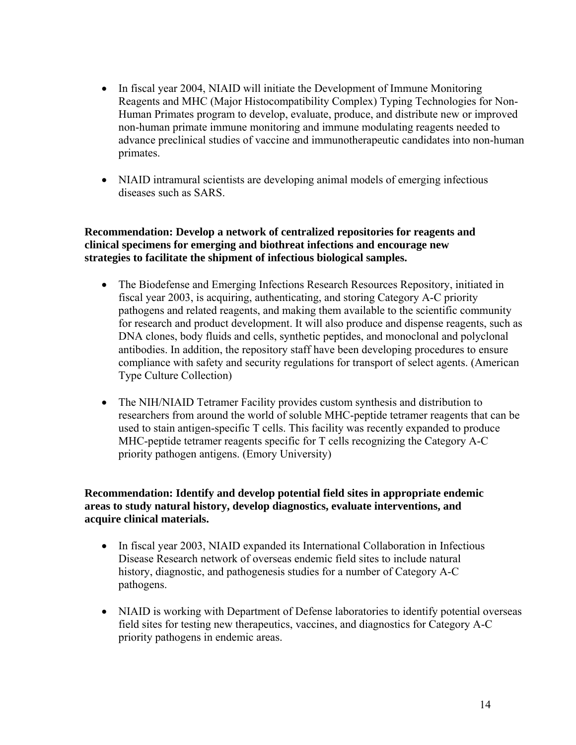- In fiscal year 2004, NIAID will initiate the Development of Immune Monitoring Reagents and MHC (Major Histocompatibility Complex) Typing Technologies for Non-Human Primates program to develop, evaluate, produce, and distribute new or improved non-human primate immune monitoring and immune modulating reagents needed to advance preclinical studies of vaccine and immunotherapeutic candidates into non-human primates.
- NIAID intramural scientists are developing animal models of emerging infectious diseases such as SARS.

### **Recommendation: Develop a network of centralized repositories for reagents and clinical specimens for emerging and biothreat infections and encourage new strategies to facilitate the shipment of infectious biological samples.**

- The Biodefense and Emerging Infections Research Resources Repository, initiated in fiscal year 2003, is acquiring, authenticating, and storing Category A-C priority pathogens and related reagents, and making them available to the scientific community for research and product development. It will also produce and dispense reagents, such as DNA clones, body fluids and cells, synthetic peptides, and monoclonal and polyclonal antibodies. In addition, the repository staff have been developing procedures to ensure compliance with safety and security regulations for transport of select agents. (American Type Culture Collection)
- The NIH/NIAID Tetramer Facility provides custom synthesis and distribution to researchers from around the world of soluble MHC-peptide tetramer reagents that can be used to stain antigen-specific T cells. This facility was recently expanded to produce MHC-peptide tetramer reagents specific for T cells recognizing the Category A-C priority pathogen antigens. (Emory University)

### **Recommendation: Identify and develop potential field sites in appropriate endemic areas to study natural history, develop diagnostics, evaluate interventions, and acquire clinical materials.**

- In fiscal year 2003, NIAID expanded its International Collaboration in Infectious Disease Research network of overseas endemic field sites to include natural history, diagnostic, and pathogenesis studies for a number of Category A-C pathogens.
- NIAID is working with Department of Defense laboratories to identify potential overseas field sites for testing new therapeutics, vaccines, and diagnostics for Category A-C priority pathogens in endemic areas.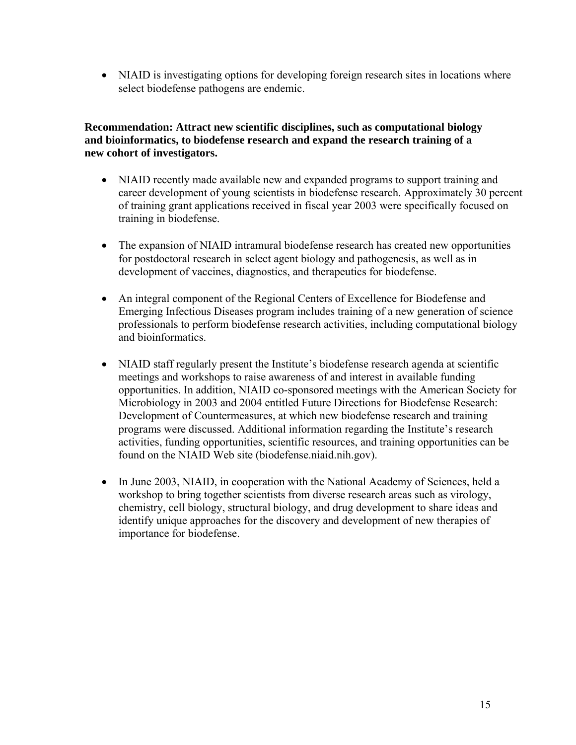• NIAID is investigating options for developing foreign research sites in locations where select biodefense pathogens are endemic.

### **Recommendation: Attract new scientific disciplines, such as computational biology and bioinformatics, to biodefense research and expand the research training of a new cohort of investigators.**

- NIAID recently made available new and expanded programs to support training and career development of young scientists in biodefense research. Approximately 30 percent of training grant applications received in fiscal year 2003 were specifically focused on training in biodefense.
- The expansion of NIAID intramural biodefense research has created new opportunities for postdoctoral research in select agent biology and pathogenesis, as well as in development of vaccines, diagnostics, and therapeutics for biodefense.
- An integral component of the Regional Centers of Excellence for Biodefense and Emerging Infectious Diseases program includes training of a new generation of science professionals to perform biodefense research activities, including computational biology and bioinformatics.
- NIAID staff regularly present the Institute's biodefense research agenda at scientific meetings and workshops to raise awareness of and interest in available funding opportunities. In addition, NIAID co-sponsored meetings with the American Society for Microbiology in 2003 and 2004 entitled Future Directions for Biodefense Research: Development of Countermeasures, at which new biodefense research and training programs were discussed. Additional information regarding the Institute's research activities, funding opportunities, scientific resources, and training opportunities can be found on the NIAID Web site ([biodefense.niaid.nih.gov](http://biodefense.niaid.nih.gov/)).
- In June 2003, NIAID, in cooperation with the National Academy of Sciences, held a workshop to bring together scientists from diverse research areas such as virology, chemistry, cell biology, structural biology, and drug development to share ideas and identify unique approaches for the discovery and development of new therapies of importance for biodefense.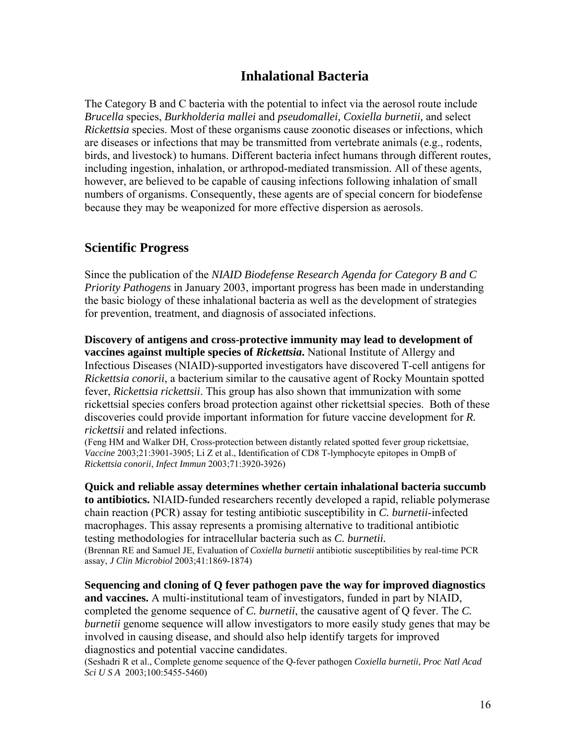# **Inhalational Bacteria**

The Category B and C bacteria with the potential to infect via the aerosol route include *Brucella* species, *Burkholderia mallei* and *pseudomallei, Coxiella burnetii,* and select *Rickettsia* species. Most of these organisms cause zoonotic diseases or infections, which are diseases or infections that may be transmitted from vertebrate animals (e.g., rodents, birds, and livestock) to humans. Different bacteria infect humans through different routes, including ingestion, inhalation, or arthropod-mediated transmission. All of these agents, however, are believed to be capable of causing infections following inhalation of small numbers of organisms. Consequently, these agents are of special concern for biodefense because they may be weaponized for more effective dispersion as aerosols.

## **Scientific Progress**

Since the publication of the *NIAID Biodefense Research Agenda for Category B and C Priority Pathogens* in January 2003, important progress has been made in understanding the basic biology of these inhalational bacteria as well as the development of strategies for prevention, treatment, and diagnosis of associated infections.

**Discovery of antigens and cross-protective immunity may lead to development of vaccines against multiple species of** *Rickettsia***.** National Institute of Allergy and Infectious Diseases (NIAID)-supported investigators have discovered T-cell antigens for *Rickettsia conorii*, a bacterium similar to the causative agent of Rocky Mountain spotted fever, *Rickettsia rickettsii*. This group has also shown that immunization with some rickettsial species confers broad protection against other rickettsial species. Both of these discoveries could provide important information for future vaccine development for *R. rickettsii* and related infections.

(Feng HM and Walker DH, Cross-protection between distantly related spotted fever group rickettsiae, *Vaccine* 2003;21:3901-3905; Li Z et al., Identification of CD8 T-lymphocyte epitopes in OmpB of *Rickettsia conorii*, *Infect Immun* 2003;71:3920-3926)

**Quick and reliable assay determines whether certain inhalational bacteria succumb to antibiotics.** NIAID-funded researchers recently developed a rapid, reliable polymerase chain reaction (PCR) assay for testing antibiotic susceptibility in *C. burnetii*-infected macrophages. This assay represents a promising alternative to traditional antibiotic testing methodologies for intracellular bacteria such as *C. burnetii.* (Brennan RE and Samuel JE, Evaluation of *Coxiella burnetii* antibiotic susceptibilities by real-time PCR assay, *J Clin Microbiol* 2003;41:1869-1874)

**Sequencing and cloning of Q fever pathogen pave the way for improved diagnostics and vaccines.** A multi-institutional team of investigators, funded in part by NIAID, completed the genome sequence of *C. burnetii*, the causative agent of Q fever. The *C. burnetii* genome sequence will allow investigators to more easily study genes that may be involved in causing disease, and should also help identify targets for improved diagnostics and potential vaccine candidates.

(Seshadri R et al., Complete genome sequence of the Q-fever pathogen *Coxiella burnetii*, *Proc Natl Acad Sci U S A* 2003;100:5455-5460)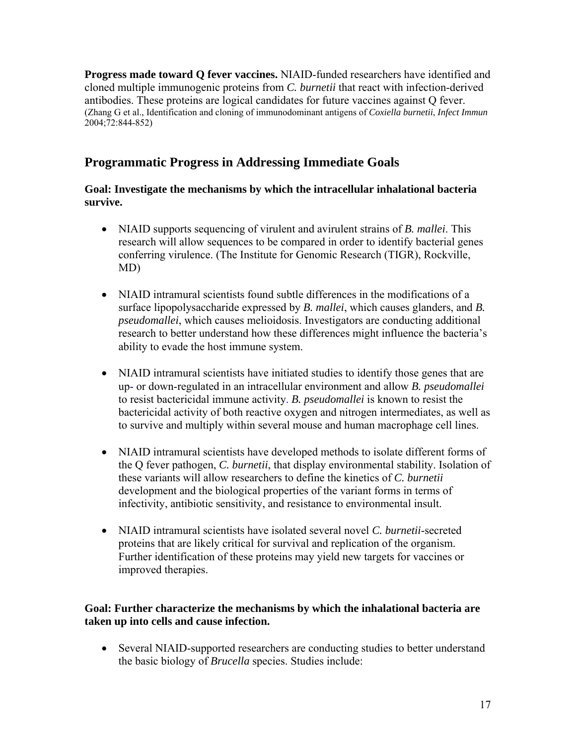**Progress made toward Q fever vaccines.** NIAID-funded researchers have identified and cloned multiple immunogenic proteins from *C. burnetii* that react with infection-derived antibodies. These proteins are logical candidates for future vaccines against Q fever. (Zhang G et al., Identification and cloning of immunodominant antigens of *Coxiella burnetii*, *Infect Immun* 2004;72:844-852)

# **Programmatic Progress in Addressing Immediate Goals**

### **Goal: Investigate the mechanisms by which the intracellular inhalational bacteria survive.**

- NIAID supports sequencing of virulent and avirulent strains of *B. mallei*. This research will allow sequences to be compared in order to identify bacterial genes conferring virulence. (The Institute for Genomic Research (TIGR), Rockville, MD)
- NIAID intramural scientists found subtle differences in the modifications of a surface lipopolysaccharide expressed by *B. mallei*, which causes glanders, and *B. pseudomallei*, which causes melioidosis. Investigators are conducting additional research to better understand how these differences might influence the bacteria's ability to evade the host immune system.
- NIAID intramural scientists have initiated studies to identify those genes that are up- or down-regulated in an intracellular environment and allow *B. pseudomallei* to resist bactericidal immune activity. *B. pseudomallei* is known to resist the bactericidal activity of both reactive oxygen and nitrogen intermediates, as well as to survive and multiply within several mouse and human macrophage cell lines.
- NIAID intramural scientists have developed methods to isolate different forms of the Q fever pathogen, *C. burnetii*, that display environmental stability. Isolation of these variants will allow researchers to define the kinetics of *C. burnetii* development and the biological properties of the variant forms in terms of infectivity, antibiotic sensitivity, and resistance to environmental insult.
- NIAID intramural scientists have isolated several novel *C. burnetii*-secreted proteins that are likely critical for survival and replication of the organism. Further identification of these proteins may yield new targets for vaccines or improved therapies.

### **Goal: Further characterize the mechanisms by which the inhalational bacteria are taken up into cells and cause infection.**

• Several NIAID-supported researchers are conducting studies to better understand the basic biology of *Brucella* species. Studies include: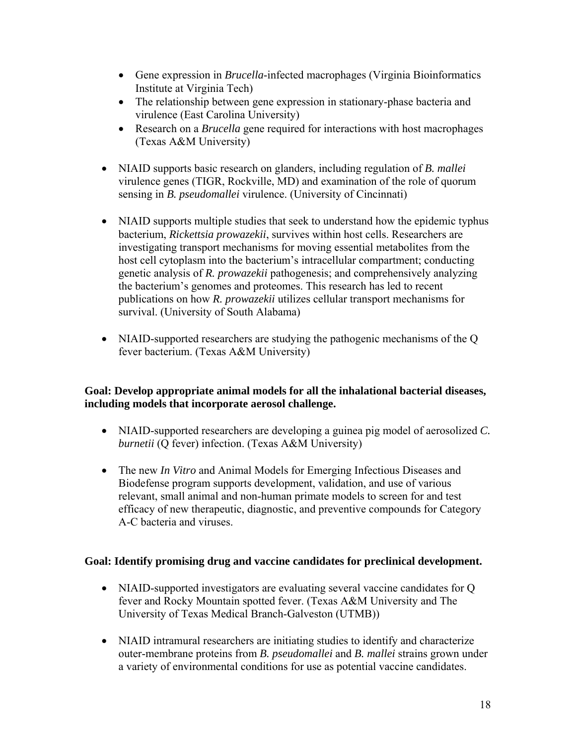- Gene expression in *Brucella*-infected macrophages (Virginia Bioinformatics Institute at Virginia Tech)
- The relationship between gene expression in stationary-phase bacteria and virulence (East Carolina University)
- Research on a *Brucella* gene required for interactions with host macrophages (Texas A&M University)
- NIAID supports basic research on glanders, including regulation of *B. mallei* virulence genes (TIGR, Rockville, MD) and examination of the role of quorum sensing in *B. pseudomallei* virulence. (University of Cincinnati)
- NIAID supports multiple studies that seek to understand how the epidemic typhus bacterium, *Rickettsia prowazekii*, survives within host cells. Researchers are investigating transport mechanisms for moving essential metabolites from the host cell cytoplasm into the bacterium's intracellular compartment; conducting genetic analysis of *R. prowazekii* pathogenesis; and comprehensively analyzing the bacterium's genomes and proteomes. This research has led to recent publications on how *R. prowazekii* utilizes cellular transport mechanisms for survival. (University of South Alabama)
- NIAID-supported researchers are studying the pathogenic mechanisms of the Q fever bacterium. (Texas A&M University)

### **Goal: Develop appropriate animal models for all the inhalational bacterial diseases, including models that incorporate aerosol challenge.**

- NIAID-supported researchers are developing a guinea pig model of aerosolized *C. burnetii* (Q fever) infection. (Texas A&M University)
- The new *In Vitro* and Animal Models for Emerging Infectious Diseases and Biodefense program supports development, validation, and use of various relevant, small animal and non-human primate models to screen for and test efficacy of new therapeutic, diagnostic, and preventive compounds for Category A-C bacteria and viruses.

### **Goal: Identify promising drug and vaccine candidates for preclinical development.**

- NIAID-supported investigators are evaluating several vaccine candidates for Q fever and Rocky Mountain spotted fever. (Texas A&M University and The University of Texas Medical Branch-Galveston (UTMB))
- NIAID intramural researchers are initiating studies to identify and characterize outer-membrane proteins from *B. pseudomallei* and *B. mallei* strains grown under a variety of environmental conditions for use as potential vaccine candidates.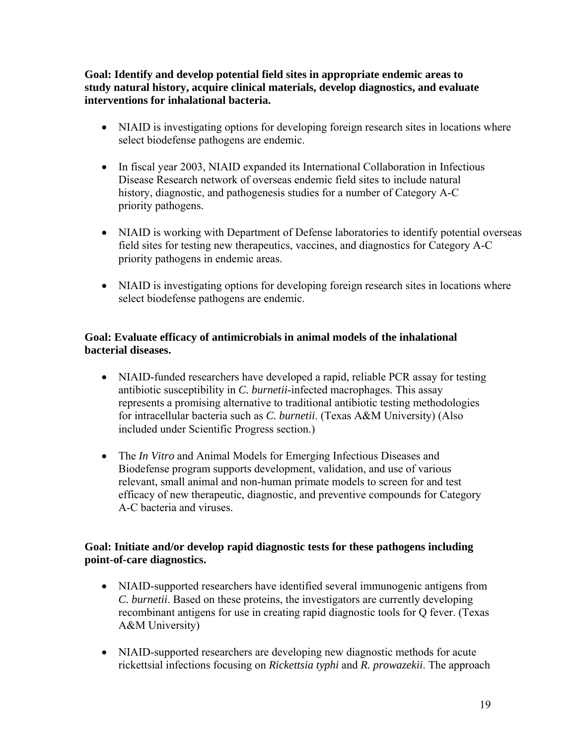**Goal: Identify and develop potential field sites in appropriate endemic areas to study natural history, acquire clinical materials, develop diagnostics, and evaluate interventions for inhalational bacteria.** 

- NIAID is investigating options for developing foreign research sites in locations where select biodefense pathogens are endemic.
- In fiscal year 2003, NIAID expanded its International Collaboration in Infectious Disease Research network of overseas endemic field sites to include natural history, diagnostic, and pathogenesis studies for a number of Category A-C priority pathogens.
- NIAID is working with Department of Defense laboratories to identify potential overseas field sites for testing new therapeutics, vaccines, and diagnostics for Category A-C priority pathogens in endemic areas.
- NIAID is investigating options for developing foreign research sites in locations where select biodefense pathogens are endemic.

### **Goal: Evaluate efficacy of antimicrobials in animal models of the inhalational bacterial diseases.**

- NIAID-funded researchers have developed a rapid, reliable PCR assay for testing antibiotic susceptibility in *C. burnetii*-infected macrophages. This assay represents a promising alternative to traditional antibiotic testing methodologies for intracellular bacteria such as *C. burnetii*. (Texas A&M University) (Also included under Scientific Progress section.)
- The *In Vitro* and Animal Models for Emerging Infectious Diseases and Biodefense program supports development, validation, and use of various relevant, small animal and non-human primate models to screen for and test efficacy of new therapeutic, diagnostic, and preventive compounds for Category A-C bacteria and viruses.

### **Goal: Initiate and/or develop rapid diagnostic tests for these pathogens including point-of-care diagnostics.**

- NIAID-supported researchers have identified several immunogenic antigens from *C. burnetii*. Based on these proteins, the investigators are currently developing recombinant antigens for use in creating rapid diagnostic tools for Q fever. (Texas A&M University)
- NIAID-supported researchers are developing new diagnostic methods for acute rickettsial infections focusing on *Rickettsia typhi* and *R. prowazekii*. The approach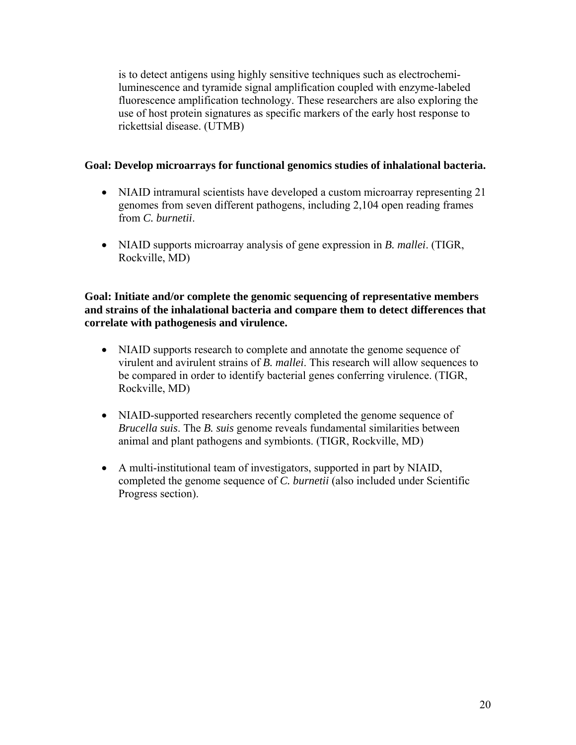is to detect antigens using highly sensitive techniques such as electrochemiluminescence and tyramide signal amplification coupled with enzyme-labeled fluorescence amplification technology. These researchers are also exploring the use of host protein signatures as specific markers of the early host response to rickettsial disease. (UTMB)

### **Goal: Develop microarrays for functional genomics studies of inhalational bacteria.**

- NIAID intramural scientists have developed a custom microarray representing 21 genomes from seven different pathogens, including 2,104 open reading frames from *C. burnetii*.
- NIAID supports microarray analysis of gene expression in *B. mallei*. (TIGR, Rockville, MD)

### **Goal: Initiate and/or complete the genomic sequencing of representative members and strains of the inhalational bacteria and compare them to detect differences that correlate with pathogenesis and virulence.**

- NIAID supports research to complete and annotate the genome sequence of virulent and avirulent strains of *B. mallei*. This research will allow sequences to be compared in order to identify bacterial genes conferring virulence. (TIGR, Rockville, MD)
- NIAID-supported researchers recently completed the genome sequence of *Brucella suis*. The *B. suis* genome reveals fundamental similarities between animal and plant pathogens and symbionts. (TIGR, Rockville, MD)
- A multi-institutional team of investigators, supported in part by NIAID, completed the genome sequence of *C. burnetii* (also included under Scientific Progress section).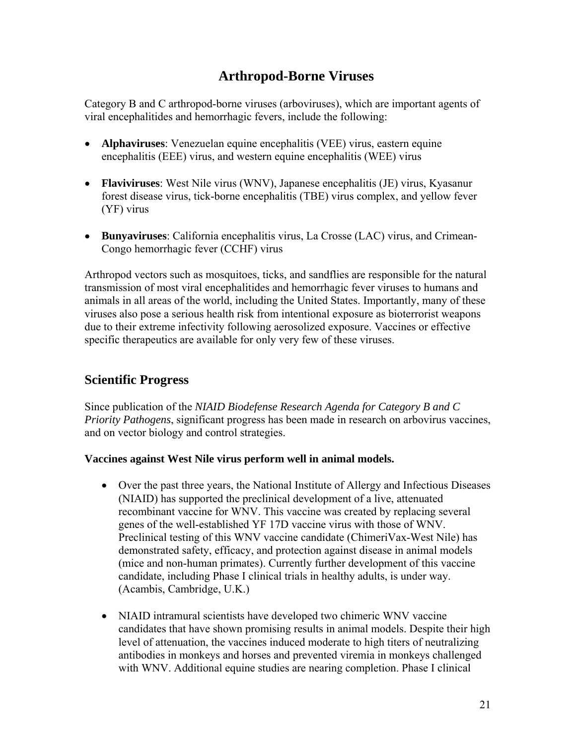# **Arthropod-Borne Viruses**

Category B and C arthropod-borne viruses (arboviruses), which are important agents of viral encephalitides and hemorrhagic fevers, include the following:

- **Alphaviruses**: Venezuelan equine encephalitis (VEE) virus, eastern equine encephalitis (EEE) virus, and western equine encephalitis (WEE) virus
- **Flaviviruses**: West Nile virus (WNV), Japanese encephalitis (JE) virus, Kyasanur forest disease virus, tick-borne encephalitis (TBE) virus complex, and yellow fever (YF) virus
- **Bunyaviruses**: California encephalitis virus, La Crosse (LAC) virus, and Crimean-Congo hemorrhagic fever (CCHF) virus

Arthropod vectors such as mosquitoes, ticks, and sandflies are responsible for the natural transmission of most viral encephalitides and hemorrhagic fever viruses to humans and animals in all areas of the world, including the United States. Importantly, many of these viruses also pose a serious health risk from intentional exposure as bioterrorist weapons due to their extreme infectivity following aerosolized exposure. Vaccines or effective specific therapeutics are available for only very few of these viruses.

# **Scientific Progress**

Since publication of the *NIAID Biodefense Research Agenda for Category B and C Priority Pathogens*, significant progress has been made in research on arbovirus vaccines, and on vector biology and control strategies.

### **Vaccines against West Nile virus perform well in animal models.**

- Over the past three years, the National Institute of Allergy and Infectious Diseases (NIAID) has supported the preclinical development of a live, attenuated recombinant vaccine for WNV. This vaccine was created by replacing several genes of the well-established YF 17D vaccine virus with those of WNV. Preclinical testing of this WNV vaccine candidate (ChimeriVax-West Nile) has demonstrated safety, efficacy, and protection against disease in animal models (mice and non-human primates). Currently further development of this vaccine candidate, including Phase I clinical trials in healthy adults, is under way. (Acambis, Cambridge, U.K.)
- NIAID intramural scientists have developed two chimeric WNV vaccine candidates that have shown promising results in animal models. Despite their high level of attenuation, the vaccines induced moderate to high titers of neutralizing antibodies in monkeys and horses and prevented viremia in monkeys challenged with WNV. Additional equine studies are nearing completion. Phase I clinical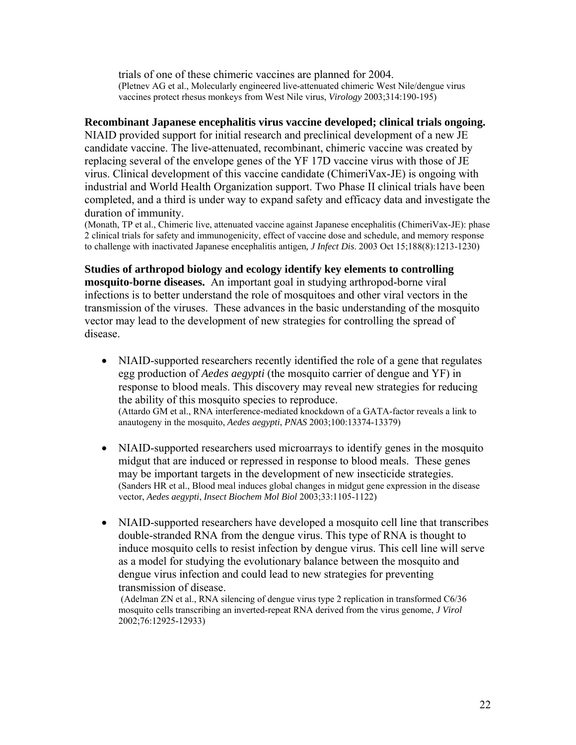trials of one of these chimeric vaccines are planned for 2004. (Pletnev AG et al., Molecularly engineered live-attenuated chimeric West Nile/dengue virus vaccines protect rhesus monkeys from West Nile virus, *Virology* 2003;314:190-195)

### **Recombinant Japanese encephalitis virus vaccine developed; clinical trials ongoing.**

NIAID provided support for initial research and preclinical development of a new JE candidate vaccine. The live-attenuated, recombinant, chimeric vaccine was created by replacing several of the envelope genes of the YF 17D vaccine virus with those of JE virus. Clinical development of this vaccine candidate (ChimeriVax-JE) is ongoing with industrial and World Health Organization support. Two Phase II clinical trials have been completed, and a third is under way to expand safety and efficacy data and investigate the duration of immunity.

(Monath, TP et al., Chimeric live, attenuated vaccine against Japanese encephalitis (ChimeriVax-JE): phase 2 clinical trials for safety and immunogenicity, effect of vaccine dose and schedule, and memory response to challenge with inactivated Japanese encephalitis antigen*, J Infect Dis*. 2003 Oct 15;188(8):1213-1230)

**Studies of arthropod biology and ecology identify key elements to controlling mosquito-borne diseases.** An important goal in studying arthropod-borne viral infections is to better understand the role of mosquitoes and other viral vectors in the transmission of the viruses. These advances in the basic understanding of the mosquito vector may lead to the development of new strategies for controlling the spread of disease.

- NIAID-supported researchers recently identified the role of a gene that regulates egg production of *Aedes aegypti* (the mosquito carrier of dengue and YF) in response to blood meals. This discovery may reveal new strategies for reducing the ability of this mosquito species to reproduce. (Attardo GM et al., RNA interference-mediated knockdown of a GATA-factor reveals a link to anautogeny in the mosquito, *Aedes aegypti*, *PNAS* 2003;100:13374-13379)
- NIAID-supported researchers used microarrays to identify genes in the mosquito midgut that are induced or repressed in response to blood meals. These genes may be important targets in the development of new insecticide strategies. (Sanders HR et al., Blood meal induces global changes in midgut gene expression in the disease vector, *Aedes aegypti*, *Insect Biochem Mol Biol* 2003;33:1105-1122)
- NIAID-supported researchers have developed a mosquito cell line that transcribes double-stranded RNA from the dengue virus. This type of RNA is thought to induce mosquito cells to resist infection by dengue virus. This cell line will serve as a model for studying the evolutionary balance between the mosquito and dengue virus infection and could lead to new strategies for preventing transmission of disease.

 (Adelman ZN et al., RNA silencing of dengue virus type 2 replication in transformed C6/36 mosquito cells transcribing an inverted-repeat RNA derived from the virus genome, *J Virol* 2002;76:12925-12933)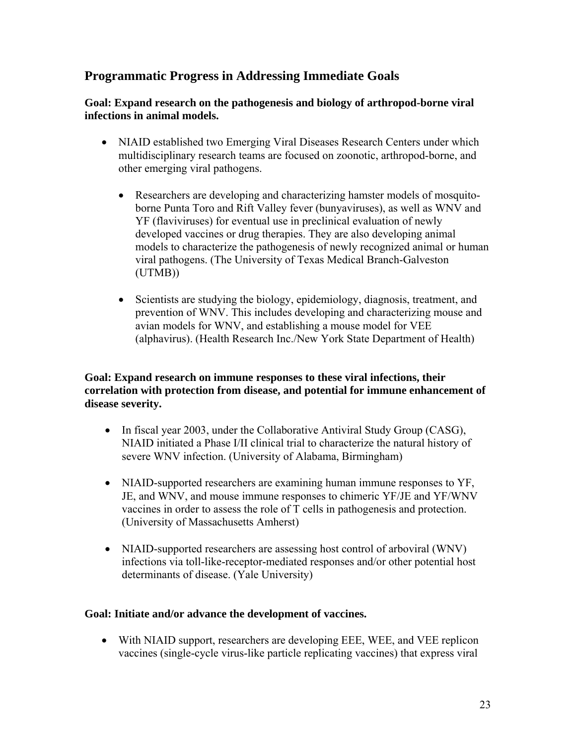# **Programmatic Progress in Addressing Immediate Goals**

### **Goal: Expand research on the pathogenesis and biology of arthropod-borne viral infections in animal models.**

- NIAID established two Emerging Viral Diseases Research Centers under which multidisciplinary research teams are focused on zoonotic, arthropod-borne, and other emerging viral pathogens.
	- Researchers are developing and characterizing hamster models of mosquitoborne Punta Toro and Rift Valley fever (bunyaviruses), as well as WNV and YF (flaviviruses) for eventual use in preclinical evaluation of newly developed vaccines or drug therapies. They are also developing animal models to characterize the pathogenesis of newly recognized animal or human viral pathogens. (The University of Texas Medical Branch-Galveston (UTMB))
	- Scientists are studying the biology, epidemiology, diagnosis, treatment, and prevention of WNV. This includes developing and characterizing mouse and avian models for WNV, and establishing a mouse model for VEE (alphavirus). (Health Research Inc./New York State Department of Health)

### **Goal: Expand research on immune responses to these viral infections, their correlation with protection from disease, and potential for immune enhancement of disease severity.**

- In fiscal year 2003, under the Collaborative Antiviral Study Group (CASG), NIAID initiated a Phase I/II clinical trial to characterize the natural history of severe WNV infection. (University of Alabama, Birmingham)
- NIAID-supported researchers are examining human immune responses to YF, JE, and WNV, and mouse immune responses to chimeric YF/JE and YF/WNV vaccines in order to assess the role of T cells in pathogenesis and protection. (University of Massachusetts Amherst)
- NIAID-supported researchers are assessing host control of arboviral (WNV) infections via toll-like-receptor-mediated responses and/or other potential host determinants of disease. (Yale University)

### **Goal: Initiate and/or advance the development of vaccines.**

• With NIAID support, researchers are developing EEE, WEE, and VEE replicon vaccines (single-cycle virus-like particle replicating vaccines) that express viral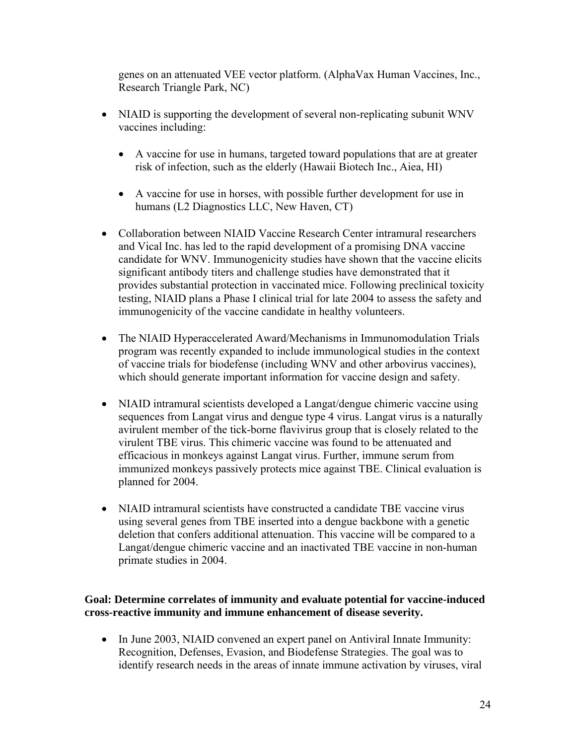genes on an attenuated VEE vector platform. (AlphaVax Human Vaccines, Inc., Research Triangle Park, NC)

- NIAID is supporting the development of several non-replicating subunit WNV vaccines including:
	- A vaccine for use in humans, targeted toward populations that are at greater risk of infection, such as the elderly (Hawaii Biotech Inc., Aiea, HI)
	- A vaccine for use in horses, with possible further development for use in humans (L2 Diagnostics LLC, New Haven, CT)
- Collaboration between NIAID Vaccine Research Center intramural researchers and Vical Inc. has led to the rapid development of a promising DNA vaccine candidate for WNV. Immunogenicity studies have shown that the vaccine elicits significant antibody titers and challenge studies have demonstrated that it provides substantial protection in vaccinated mice. Following preclinical toxicity testing, NIAID plans a Phase I clinical trial for late 2004 to assess the safety and immunogenicity of the vaccine candidate in healthy volunteers.
- The NIAID Hyperaccelerated Award/Mechanisms in Immunomodulation Trials program was recently expanded to include immunological studies in the context of vaccine trials for biodefense (including WNV and other arbovirus vaccines), which should generate important information for vaccine design and safety.
- NIAID intramural scientists developed a Langat/dengue chimeric vaccine using sequences from Langat virus and dengue type 4 virus. Langat virus is a naturally avirulent member of the tick-borne flavivirus group that is closely related to the virulent TBE virus. This chimeric vaccine was found to be attenuated and efficacious in monkeys against Langat virus. Further, immune serum from immunized monkeys passively protects mice against TBE. Clinical evaluation is planned for 2004.
- NIAID intramural scientists have constructed a candidate TBE vaccine virus using several genes from TBE inserted into a dengue backbone with a genetic deletion that confers additional attenuation. This vaccine will be compared to a Langat/dengue chimeric vaccine and an inactivated TBE vaccine in non-human primate studies in 2004.

### **Goal: Determine correlates of immunity and evaluate potential for vaccine-induced cross-reactive immunity and immune enhancement of disease severity.**

• In June 2003, NIAID convened an expert panel on Antiviral Innate Immunity: Recognition, Defenses, Evasion, and Biodefense Strategies. The goal was to identify research needs in the areas of innate immune activation by viruses, viral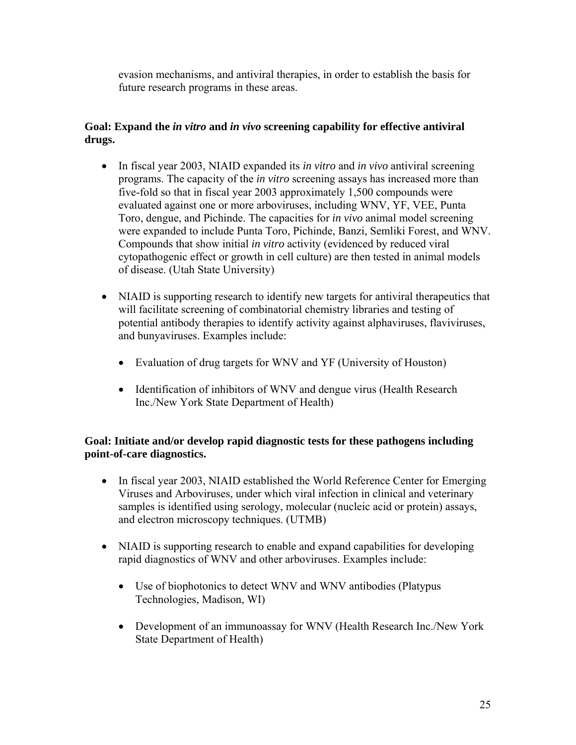evasion mechanisms, and antiviral therapies, in order to establish the basis for future research programs in these areas.

### **Goal: Expand the** *in vitro* **and** *in vivo* **screening capability for effective antiviral drugs.**

- In fiscal year 2003, NIAID expanded its *in vitro* and *in vivo* antiviral screening programs. The capacity of the *in vitro* screening assays has increased more than five-fold so that in fiscal year 2003 approximately 1,500 compounds were evaluated against one or more arboviruses, including WNV, YF, VEE, Punta Toro, dengue, and Pichinde. The capacities for *in vivo* animal model screening were expanded to include Punta Toro, Pichinde, Banzi, Semliki Forest, and WNV. Compounds that show initial *in vitro* activity (evidenced by reduced viral cytopathogenic effect or growth in cell culture) are then tested in animal models of disease. (Utah State University)
- NIAID is supporting research to identify new targets for antiviral therapeutics that will facilitate screening of combinatorial chemistry libraries and testing of potential antibody therapies to identify activity against alphaviruses, flaviviruses, and bunyaviruses. Examples include:
	- Evaluation of drug targets for WNV and YF (University of Houston)
	- Identification of inhibitors of WNV and dengue virus (Health Research Inc./New York State Department of Health)

### **Goal: Initiate and/or develop rapid diagnostic tests for these pathogens including point-of-care diagnostics.**

- In fiscal year 2003, NIAID established the World Reference Center for Emerging Viruses and Arboviruses, under which viral infection in clinical and veterinary samples is identified using serology, molecular (nucleic acid or protein) assays, and electron microscopy techniques. (UTMB)
- NIAID is supporting research to enable and expand capabilities for developing rapid diagnostics of WNV and other arboviruses. Examples include:
	- Use of biophotonics to detect WNV and WNV antibodies (Platypus Technologies, Madison, WI)
	- Development of an immunoassay for WNV (Health Research Inc./New York State Department of Health)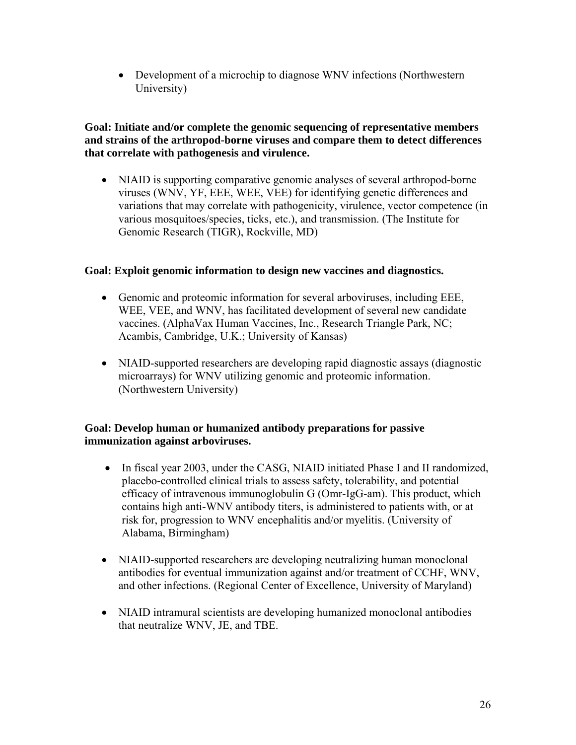• Development of a microchip to diagnose WNV infections (Northwestern University)

### **Goal: Initiate and/or complete the genomic sequencing of representative members and strains of the arthropod-borne viruses and compare them to detect differences that correlate with pathogenesis and virulence.**

• NIAID is supporting comparative genomic analyses of several arthropod-borne viruses (WNV, YF, EEE, WEE, VEE) for identifying genetic differences and variations that may correlate with pathogenicity, virulence, vector competence (in various mosquitoes/species, ticks, etc.), and transmission. (The Institute for Genomic Research (TIGR), Rockville, MD)

### **Goal: Exploit genomic information to design new vaccines and diagnostics.**

- Genomic and proteomic information for several arboviruses, including EEE, WEE, VEE, and WNV, has facilitated development of several new candidate vaccines. (AlphaVax Human Vaccines, Inc., Research Triangle Park, NC; Acambis, Cambridge, U.K.; University of Kansas)
- NIAID-supported researchers are developing rapid diagnostic assays (diagnostic microarrays) for WNV utilizing genomic and proteomic information. (Northwestern University)

### **Goal: Develop human or humanized antibody preparations for passive immunization against arboviruses.**

- In fiscal year 2003, under the CASG, NIAID initiated Phase I and II randomized, placebo-controlled clinical trials to assess safety, tolerability, and potential efficacy of intravenous immunoglobulin G (Omr-IgG-am). This product, which contains high anti-WNV antibody titers, is administered to patients with, or at risk for, progression to WNV encephalitis and/or myelitis. (University of Alabama, Birmingham)
- NIAID-supported researchers are developing neutralizing human monoclonal antibodies for eventual immunization against and/or treatment of CCHF, WNV, and other infections. (Regional Center of Excellence, University of Maryland)
- NIAID intramural scientists are developing humanized monoclonal antibodies that neutralize WNV, JE, and TBE.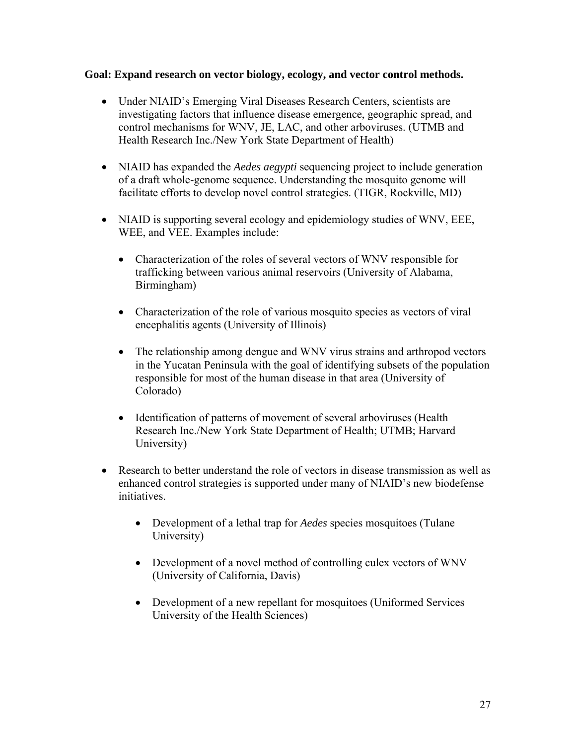### **Goal: Expand research on vector biology, ecology, and vector control methods.**

- Under NIAID's Emerging Viral Diseases Research Centers, scientists are investigating factors that influence disease emergence, geographic spread, and control mechanisms for WNV, JE, LAC, and other arboviruses. (UTMB and Health Research Inc./New York State Department of Health)
- NIAID has expanded the *Aedes aegypti* sequencing project to include generation of a draft whole-genome sequence. Understanding the mosquito genome will facilitate efforts to develop novel control strategies. (TIGR, Rockville, MD)
- NIAID is supporting several ecology and epidemiology studies of WNV, EEE, WEE, and VEE. Examples include:
	- Characterization of the roles of several vectors of WNV responsible for trafficking between various animal reservoirs (University of Alabama, Birmingham)
	- Characterization of the role of various mosquito species as vectors of viral encephalitis agents (University of Illinois)
	- The relationship among dengue and WNV virus strains and arthropod vectors in the Yucatan Peninsula with the goal of identifying subsets of the population responsible for most of the human disease in that area (University of Colorado)
	- Identification of patterns of movement of several arboviruses (Health Research Inc./New York State Department of Health; UTMB; Harvard University)
- Research to better understand the role of vectors in disease transmission as well as enhanced control strategies is supported under many of NIAID's new biodefense initiatives.
	- Development of a lethal trap for *Aedes* species mosquitoes (Tulane University)
	- Development of a novel method of controlling culex vectors of WNV (University of California, Davis)
	- Development of a new repellant for mosquitoes (Uniformed Services) University of the Health Sciences)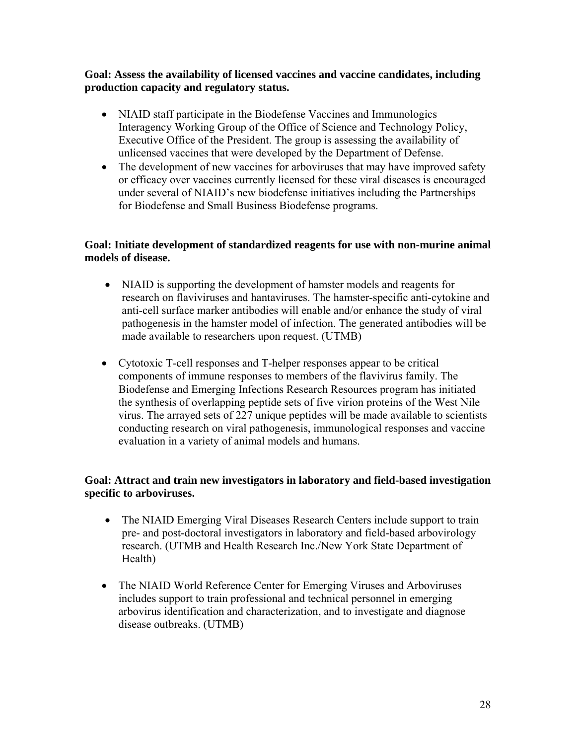### **Goal: Assess the availability of licensed vaccines and vaccine candidates, including production capacity and regulatory status.**

- NIAID staff participate in the Biodefense Vaccines and Immunologics Interagency Working Group of the Office of Science and Technology Policy, Executive Office of the President. The group is assessing the availability of unlicensed vaccines that were developed by the Department of Defense.
- The development of new vaccines for arboviruses that may have improved safety or efficacy over vaccines currently licensed for these viral diseases is encouraged under several of NIAID's new biodefense initiatives including the Partnerships for Biodefense and Small Business Biodefense programs.

### **Goal: Initiate development of standardized reagents for use with non-murine animal models of disease.**

- NIAID is supporting the development of hamster models and reagents for research on flaviviruses and hantaviruses. The hamster-specific anti-cytokine and anti-cell surface marker antibodies will enable and/or enhance the study of viral pathogenesis in the hamster model of infection. The generated antibodies will be made available to researchers upon request. (UTMB)
- Cytotoxic T-cell responses and T-helper responses appear to be critical components of immune responses to members of the flavivirus family. The Biodefense and Emerging Infections Research Resources program has initiated the synthesis of overlapping peptide sets of five virion proteins of the West Nile virus. The arrayed sets of 227 unique peptides will be made available to scientists conducting research on viral pathogenesis, immunological responses and vaccine evaluation in a variety of animal models and humans.

### **Goal: Attract and train new investigators in laboratory and field-based investigation specific to arboviruses.**

- The NIAID Emerging Viral Diseases Research Centers include support to train pre- and post-doctoral investigators in laboratory and field-based arbovirology research. (UTMB and Health Research Inc./New York State Department of Health)
- The NIAID World Reference Center for Emerging Viruses and Arboviruses includes support to train professional and technical personnel in emerging arbovirus identification and characterization, and to investigate and diagnose disease outbreaks. (UTMB)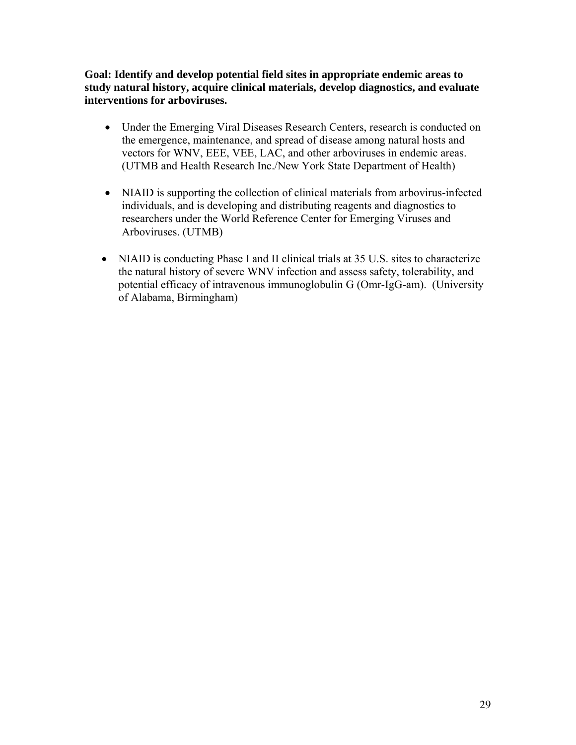**Goal: Identify and develop potential field sites in appropriate endemic areas to study natural history, acquire clinical materials, develop diagnostics, and evaluate interventions for arboviruses.** 

- Under the Emerging Viral Diseases Research Centers, research is conducted on the emergence, maintenance, and spread of disease among natural hosts and vectors for WNV, EEE, VEE, LAC, and other arboviruses in endemic areas. (UTMB and Health Research Inc./New York State Department of Health)
- NIAID is supporting the collection of clinical materials from arbovirus-infected individuals, and is developing and distributing reagents and diagnostics to researchers under the World Reference Center for Emerging Viruses and Arboviruses. (UTMB)
- NIAID is conducting Phase I and II clinical trials at 35 U.S. sites to characterize the natural history of severe WNV infection and assess safety, tolerability, and potential efficacy of intravenous immunoglobulin G (Omr-IgG-am). (University of Alabama, Birmingham)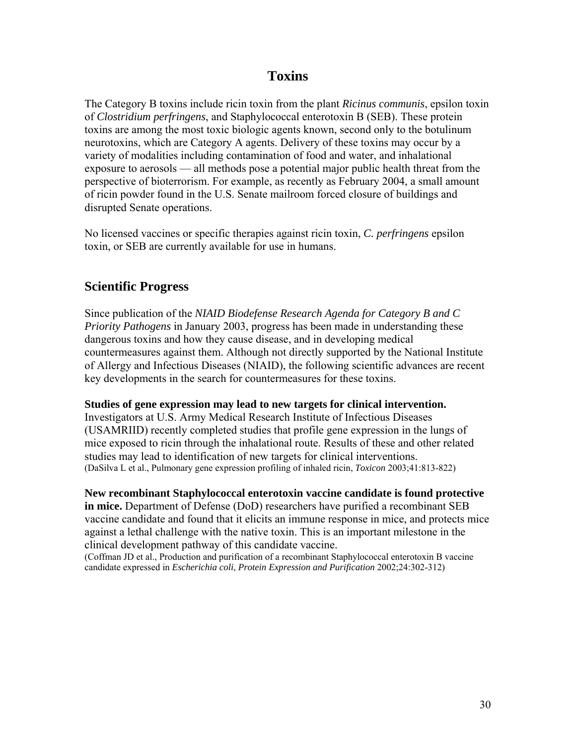# **Toxins**

The Category B toxins include ricin toxin from the plant *Ricinus communis*, epsilon toxin of *Clostridium perfringens*, and Staphylococcal enterotoxin B (SEB). These protein toxins are among the most toxic biologic agents known, second only to the botulinum neurotoxins, which are Category A agents. Delivery of these toxins may occur by a variety of modalities including contamination of food and water, and inhalational exposure to aerosols — all methods pose a potential major public health threat from the perspective of bioterrorism. For example, as recently as February 2004, a small amount of ricin powder found in the U.S. Senate mailroom forced closure of buildings and disrupted Senate operations.

No licensed vaccines or specific therapies against ricin toxin, *C. perfringens* epsilon toxin, or SEB are currently available for use in humans.

## **Scientific Progress**

Since publication of the *NIAID Biodefense Research Agenda for Category B and C Priority Pathogens* in January 2003, progress has been made in understanding these dangerous toxins and how they cause disease, and in developing medical countermeasures against them. Although not directly supported by the National Institute of Allergy and Infectious Diseases (NIAID), the following scientific advances are recent key developments in the search for countermeasures for these toxins.

### **Studies of gene expression may lead to new targets for clinical intervention.**

Investigators at U.S. Army Medical Research Institute of Infectious Diseases (USAMRIID) recently completed studies that profile gene expression in the lungs of mice exposed to ricin through the inhalational route. Results of these and other related studies may lead to identification of new targets for clinical interventions. (DaSilva L et al., Pulmonary gene expression profiling of inhaled ricin, *Toxicon* 2003;41:813-822)

### **New recombinant Staphylococcal enterotoxin vaccine candidate is found protective**

**in mice.** Department of Defense (DoD) researchers have purified a recombinant SEB vaccine candidate and found that it elicits an immune response in mice, and protects mice against a lethal challenge with the native toxin. This is an important milestone in the clinical development pathway of this candidate vaccine.

(Coffman JD et al., Production and purification of a recombinant Staphylococcal enterotoxin B vaccine candidate expressed in *Escherichia coli*, *Protein Expression and Purification* 2002;24:302-312)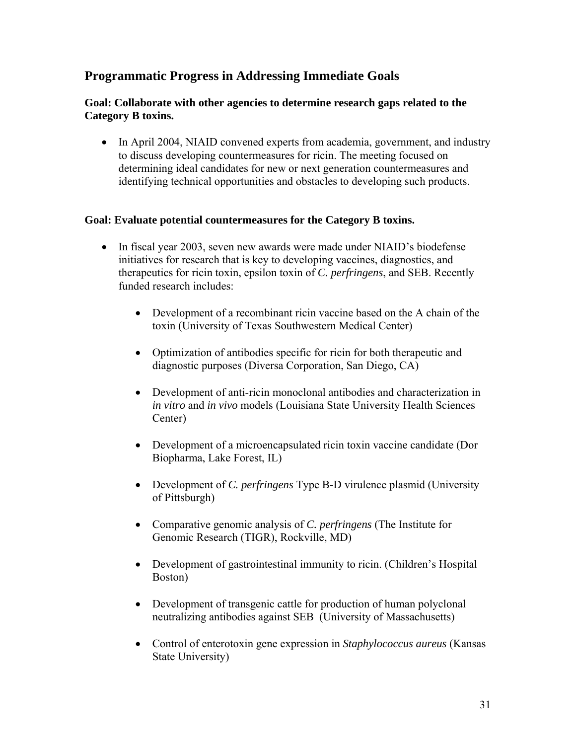# **Programmatic Progress in Addressing Immediate Goals**

### **Goal: Collaborate with other agencies to determine research gaps related to the Category B toxins.**

• In April 2004, NIAID convened experts from academia, government, and industry to discuss developing countermeasures for ricin. The meeting focused on determining ideal candidates for new or next generation countermeasures and identifying technical opportunities and obstacles to developing such products.

### **Goal: Evaluate potential countermeasures for the Category B toxins.**

- In fiscal year 2003, seven new awards were made under NIAID's biodefense initiatives for research that is key to developing vaccines, diagnostics, and therapeutics for ricin toxin, epsilon toxin of *C. perfringens*, and SEB. Recently funded research includes:
	- Development of a recombinant ricin vaccine based on the A chain of the toxin (University of Texas Southwestern Medical Center)
	- Optimization of antibodies specific for ricin for both therapeutic and diagnostic purposes (Diversa Corporation, San Diego, CA)
	- Development of anti-ricin monoclonal antibodies and characterization in *in vitro* and *in vivo* models (Louisiana State University Health Sciences Center)
	- Development of a microencapsulated ricin toxin vaccine candidate (Dor Biopharma, Lake Forest, IL)
	- Development of *C. perfringens* Type B-D virulence plasmid (University of Pittsburgh)
	- Comparative genomic analysis of *C. perfringens* (The Institute for Genomic Research (TIGR), Rockville, MD)
	- Development of gastrointestinal immunity to ricin. (Children's Hospital Boston)
	- Development of transgenic cattle for production of human polyclonal neutralizing antibodies against SEB (University of Massachusetts)
	- Control of enterotoxin gene expression in *Staphylococcus aureus* (Kansas State University)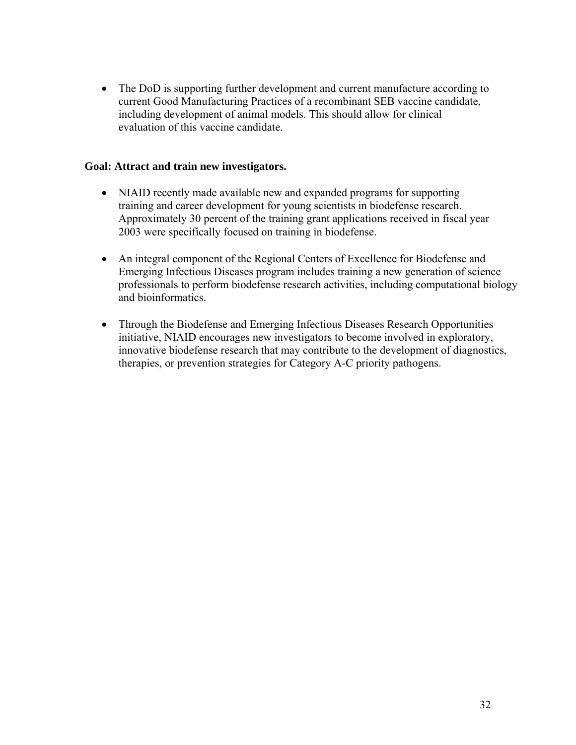• The DoD is supporting further development and current manufacture according to current Good Manufacturing Practices of a recombinant SEB vaccine candidate, including development of animal models. This should allow for clinical evaluation of this vaccine candidate.

### **Goal: Attract and train new investigators.**

- NIAID recently made available new and expanded programs for supporting training and career development for young scientists in biodefense research. Approximately 30 percent of the training grant applications received in fiscal year 2003 were specifically focused on training in biodefense.
- An integral component of the Regional Centers of Excellence for Biodefense and Emerging Infectious Diseases program includes training a new generation of science professionals to perform biodefense research activities, including computational biology and bioinformatics.
- Through the Biodefense and Emerging Infectious Diseases Research Opportunities initiative, NIAID encourages new investigators to become involved in exploratory, innovative biodefense research that may contribute to the development of diagnostics, therapies, or prevention strategies for Category A-C priority pathogens.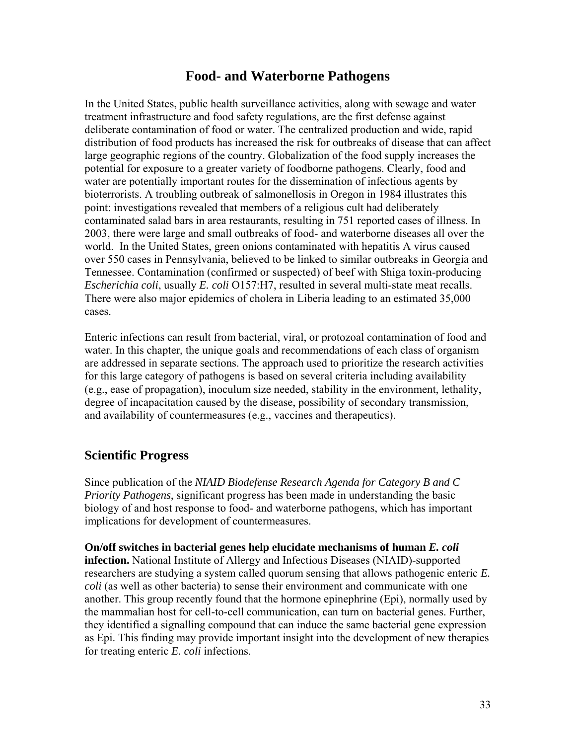# **Food- and Waterborne Pathogens**

In the United States, public health surveillance activities, along with sewage and water treatment infrastructure and food safety regulations, are the first defense against deliberate contamination of food or water. The centralized production and wide, rapid distribution of food products has increased the risk for outbreaks of disease that can affect large geographic regions of the country. Globalization of the food supply increases the potential for exposure to a greater variety of foodborne pathogens. Clearly, food and water are potentially important routes for the dissemination of infectious agents by bioterrorists. A troubling outbreak of salmonellosis in Oregon in 1984 illustrates this point: investigations revealed that members of a religious cult had deliberately contaminated salad bars in area restaurants, resulting in 751 reported cases of illness. In 2003, there were large and small outbreaks of food- and waterborne diseases all over the world. In the United States, green onions contaminated with hepatitis A virus caused over 550 cases in Pennsylvania, believed to be linked to similar outbreaks in Georgia and Tennessee. Contamination (confirmed or suspected) of beef with Shiga toxin-producing *Escherichia coli*, usually *E. coli* O157:H7, resulted in several multi-state meat recalls. There were also major epidemics of cholera in Liberia leading to an estimated 35,000 cases.

Enteric infections can result from bacterial, viral, or protozoal contamination of food and water. In this chapter, the unique goals and recommendations of each class of organism are addressed in separate sections. The approach used to prioritize the research activities for this large category of pathogens is based on several criteria including availability (e.g., ease of propagation), inoculum size needed, stability in the environment, lethality, degree of incapacitation caused by the disease, possibility of secondary transmission, and availability of countermeasures (e.g., vaccines and therapeutics).

### **Scientific Progress**

Since publication of the *NIAID Biodefense Research Agenda for Category B and C Priority Pathogens*, significant progress has been made in understanding the basic biology of and host response to food- and waterborne pathogens, which has important implications for development of countermeasures.

**On/off switches in bacterial genes help elucidate mechanisms of human** *E. coli* **infection.** National Institute of Allergy and Infectious Diseases (NIAID)-supported researchers are studying a system called quorum sensing that allows pathogenic enteric *E. coli* (as well as other bacteria) to sense their environment and communicate with one another. This group recently found that the hormone epinephrine (Epi), normally used by the mammalian host for cell-to-cell communication, can turn on bacterial genes. Further, they identified a signalling compound that can induce the same bacterial gene expression as Epi. This finding may provide important insight into the development of new therapies for treating enteric *E. coli* infections.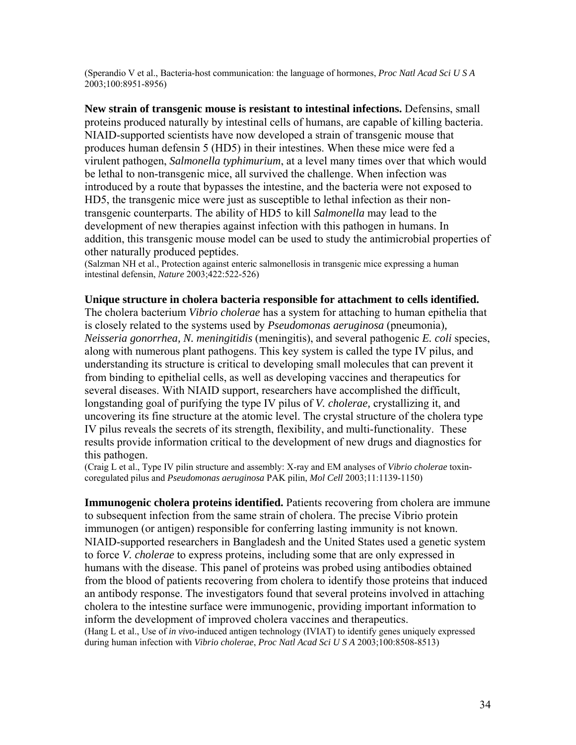(Sperandio V et al., Bacteria-host communication: the language of hormones, *Proc Natl Acad Sci U S A* 2003;100:8951-8956)

**New strain of transgenic mouse is resistant to intestinal infections.** Defensins, small proteins produced naturally by intestinal cells of humans, are capable of killing bacteria. NIAID-supported scientists have now developed a strain of transgenic mouse that produces human defensin 5 (HD5) in their intestines. When these mice were fed a virulent pathogen, *Salmonella typhimurium*, at a level many times over that which would be lethal to non-transgenic mice, all survived the challenge. When infection was introduced by a route that bypasses the intestine, and the bacteria were not exposed to HD5, the transgenic mice were just as susceptible to lethal infection as their nontransgenic counterparts. The ability of HD5 to kill *Salmonella* may lead to the development of new therapies against infection with this pathogen in humans. In addition, this transgenic mouse model can be used to study the antimicrobial properties of other naturally produced peptides.

(Salzman NH et al., Protection against enteric salmonellosis in transgenic mice expressing a human intestinal defensin, *Nature* 2003;422:522-526)

#### **Unique structure in cholera bacteria responsible for attachment to cells identified.**

The cholera bacterium *Vibrio cholerae* has a system for attaching to human epithelia that is closely related to the systems used by *Pseudomonas aeruginosa* (pneumonia)*, Neisseria gonorrhea, N. meningitidis* (meningitis), and several pathogenic *E. coli* species, along with numerous plant pathogens. This key system is called the type IV pilus, and understanding its structure is critical to developing small molecules that can prevent it from binding to epithelial cells, as well as developing vaccines and therapeutics for several diseases. With NIAID support, researchers have accomplished the difficult, longstanding goal of purifying the type IV pilus of *V. cholerae,* crystallizing it, and uncovering its fine structure at the atomic level. The crystal structure of the cholera type IV pilus reveals the secrets of its strength, flexibility, and multi-functionality. These results provide information critical to the development of new drugs and diagnostics for this pathogen.

(Craig L et al., Type IV pilin structure and assembly: X-ray and EM analyses of *Vibrio cholerae* toxincoregulated pilus and *Pseudomonas aeruginosa* PAK pilin, *Mol Cell* 2003;11:1139-1150)

**Immunogenic cholera proteins identified.** Patients recovering from cholera are immune to subsequent infection from the same strain of cholera. The precise Vibrio protein immunogen (or antigen) responsible for conferring lasting immunity is not known. NIAID-supported researchers in Bangladesh and the United States used a genetic system to force *V. cholerae* to express proteins, including some that are only expressed in humans with the disease. This panel of proteins was probed using antibodies obtained from the blood of patients recovering from cholera to identify those proteins that induced an antibody response. The investigators found that several proteins involved in attaching cholera to the intestine surface were immunogenic, providing important information to inform the development of improved cholera vaccines and therapeutics. (Hang L et al., Use of *in vivo*-induced antigen technology (IVIAT) to identify genes uniquely expressed during human infection with *Vibrio cholerae*, *Proc Natl Acad Sci U S A* 2003;100:8508-8513)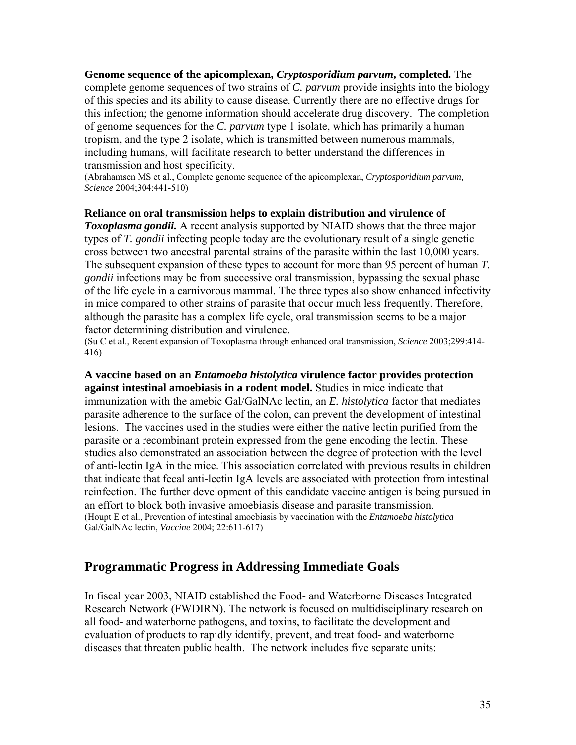**Genome sequence of the apicomplexan,** *Cryptosporidium parvum***, completed***.* The complete genome sequences of two strains of *C. parvum* provide insights into the biology of this species and its ability to cause disease. Currently there are no effective drugs for this infection; the genome information should accelerate drug discovery. The completion of genome sequences for the *C. parvum* type 1 isolate, which has primarily a human tropism, and the type 2 isolate, which is transmitted between numerous mammals, including humans, will facilitate research to better understand the differences in transmission and host specificity.

(Abrahamsen MS et al., Complete genome sequence of the apicomplexan, *Cryptosporidium parvum, Science* 2004;304:441-510)

#### **Reliance on oral transmission helps to explain distribution and virulence of**

*Toxoplasma gondii.* A recent analysis supported by NIAID shows that the three major types of *T. gondii* infecting people today are the evolutionary result of a single genetic cross between two ancestral parental strains of the parasite within the last 10,000 years. The subsequent expansion of these types to account for more than 95 percent of human *T. gondii* infections may be from successive oral transmission, bypassing the sexual phase of the life cycle in a carnivorous mammal. The three types also show enhanced infectivity in mice compared to other strains of parasite that occur much less frequently. Therefore, although the parasite has a complex life cycle, oral transmission seems to be a major factor determining distribution and virulence.

(Su C et al., Recent expansion of Toxoplasma through enhanced oral transmission, *Science* 2003;299:414- 416)

**A vaccine based on an** *Entamoeba histolytica* **virulence factor provides protection against intestinal amoebiasis in a rodent model.** Studies in mice indicate that immunization with the amebic Gal/GalNAc lectin, an *E. histolytica* factor that mediates parasite adherence to the surface of the colon, can prevent the development of intestinal lesions. The vaccines used in the studies were either the native lectin purified from the parasite or a recombinant protein expressed from the gene encoding the lectin. These studies also demonstrated an association between the degree of protection with the level of anti-lectin IgA in the mice. This association correlated with previous results in children that indicate that fecal anti-lectin IgA levels are associated with protection from intestinal reinfection. The further development of this candidate vaccine antigen is being pursued in an effort to block both invasive amoebiasis disease and parasite transmission. (Houpt E et al., Prevention of intestinal amoebiasis by vaccination with the *Entamoeba histolytica*  Gal/GalNAc lectin, *Vaccine* 2004; 22:611-617)

### **Programmatic Progress in Addressing Immediate Goals**

In fiscal year 2003, NIAID established the Food- and Waterborne Diseases Integrated Research Network (FWDIRN). The network is focused on multidisciplinary research on all food- and waterborne pathogens, and toxins, to facilitate the development and evaluation of products to rapidly identify, prevent, and treat food- and waterborne diseases that threaten public health. The network includes five separate units: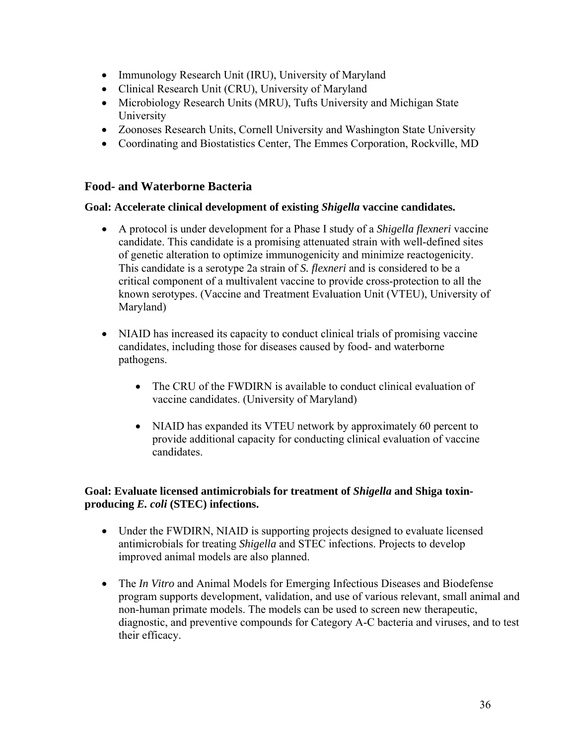- Immunology Research Unit (IRU), University of Maryland
- Clinical Research Unit (CRU), University of Maryland
- Microbiology Research Units (MRU), Tufts University and Michigan State University
- Zoonoses Research Units, Cornell University and Washington State University
- Coordinating and Biostatistics Center, The Emmes Corporation, Rockville, MD

#### **Food- and Waterborne Bacteria**

#### **Goal: Accelerate clinical development of existing** *Shigella* **vaccine candidates.**

- A protocol is under development for a Phase I study of a *Shigella flexneri* vaccine candidate. This candidate is a promising attenuated strain with well-defined sites of genetic alteration to optimize immunogenicity and minimize reactogenicity. This candidate is a serotype 2a strain of *S. flexneri* and is considered to be a critical component of a multivalent vaccine to provide cross-protection to all the known serotypes. (Vaccine and Treatment Evaluation Unit (VTEU), University of Maryland)
- NIAID has increased its capacity to conduct clinical trials of promising vaccine candidates, including those for diseases caused by food- and waterborne pathogens.
	- The CRU of the FWDIRN is available to conduct clinical evaluation of vaccine candidates. (University of Maryland)
	- NIAID has expanded its VTEU network by approximately 60 percent to provide additional capacity for conducting clinical evaluation of vaccine candidates.

#### **Goal: Evaluate licensed antimicrobials for treatment of** *Shigella* **and Shiga toxinproducing** *E. coli* **(STEC) infections.**

- Under the FWDIRN, NIAID is supporting projects designed to evaluate licensed antimicrobials for treating *Shigella* and STEC infections. Projects to develop improved animal models are also planned.
- The *In Vitro* and Animal Models for Emerging Infectious Diseases and Biodefense program supports development, validation, and use of various relevant, small animal and non-human primate models. The models can be used to screen new therapeutic, diagnostic, and preventive compounds for Category A-C bacteria and viruses, and to test their efficacy.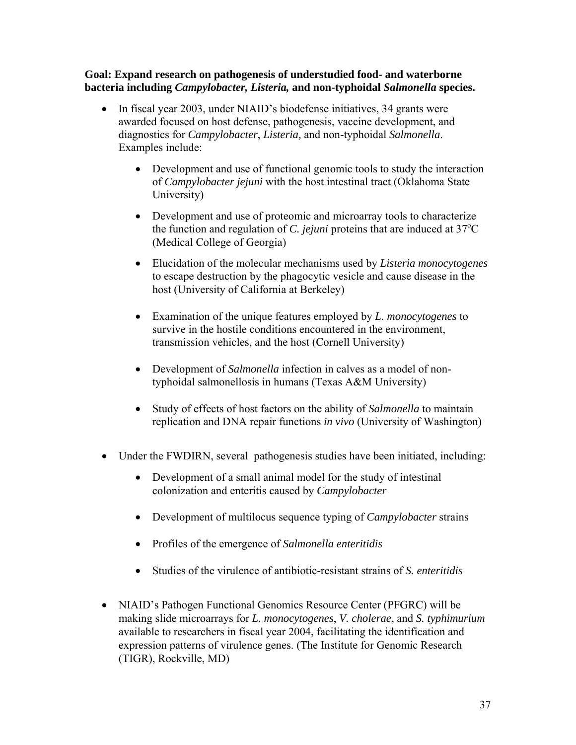#### **Goal: Expand research on pathogenesis of understudied food- and waterborne bacteria including** *Campylobacter, Listeria,* **and non-typhoidal** *Salmonella* **species.**

- In fiscal year 2003, under NIAID's biodefense initiatives, 34 grants were awarded focused on host defense, pathogenesis, vaccine development, and diagnostics for *Campylobacter*, *Listeria,* and non-typhoidal *Salmonella*. Examples include:
	- Development and use of functional genomic tools to study the interaction of *Campylobacter jejuni* with the host intestinal tract (Oklahoma State University)
	- Development and use of proteomic and microarray tools to characterize the function and regulation of *C. jejuni* proteins that are induced at  $37^{\circ}$ C (Medical College of Georgia)
	- Elucidation of the molecular mechanisms used by *Listeria monocytogenes*  to escape destruction by the phagocytic vesicle and cause disease in the host (University of California at Berkeley)
	- Examination of the unique features employed by *L. monocytogenes* to survive in the hostile conditions encountered in the environment, transmission vehicles, and the host (Cornell University)
	- Development of *Salmonella* infection in calves as a model of nontyphoidal salmonellosis in humans (Texas A&M University)
	- Study of effects of host factors on the ability of *Salmonella* to maintain replication and DNA repair functions *in vivo* (University of Washington)
- Under the FWDIRN, several pathogenesis studies have been initiated, including:
	- Development of a small animal model for the study of intestinal colonization and enteritis caused by *Campylobacter*
	- Development of multilocus sequence typing of *Campylobacter* strains
	- Profiles of the emergence of *Salmonella enteritidis*
	- Studies of the virulence of antibiotic-resistant strains of *S. enteritidis*
- NIAID's Pathogen Functional Genomics Resource Center (PFGRC) will be making slide microarrays for *L. monocytogenes*, *V. cholerae*, and *S. typhimurium* available to researchers in fiscal year 2004, facilitating the identification and expression patterns of virulence genes. (The Institute for Genomic Research (TIGR), Rockville, MD)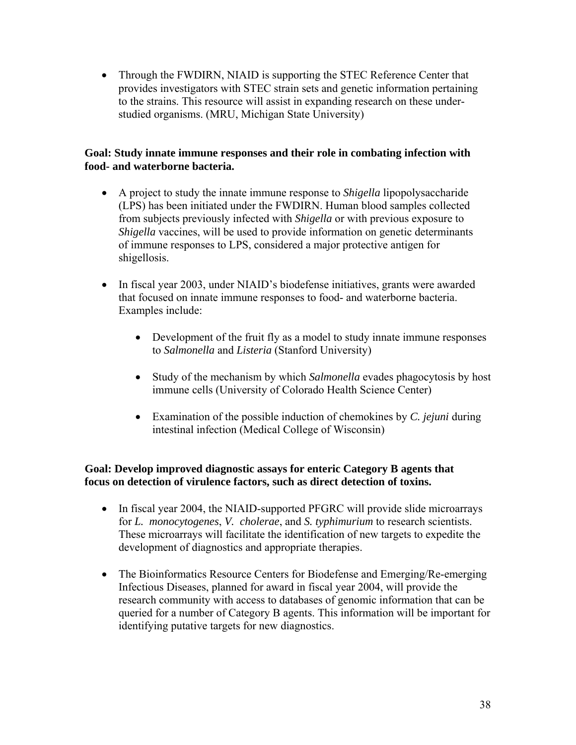• Through the FWDIRN, NIAID is supporting the STEC Reference Center that provides investigators with STEC strain sets and genetic information pertaining to the strains. This resource will assist in expanding research on these understudied organisms. (MRU, Michigan State University)

#### **Goal: Study innate immune responses and their role in combating infection with food- and waterborne bacteria.**

- A project to study the innate immune response to *Shigella* lipopolysaccharide (LPS) has been initiated under the FWDIRN. Human blood samples collected from subjects previously infected with *Shigella* or with previous exposure to *Shigella* vaccines, will be used to provide information on genetic determinants of immune responses to LPS, considered a major protective antigen for shigellosis.
- In fiscal year 2003, under NIAID's biodefense initiatives, grants were awarded that focused on innate immune responses to food- and waterborne bacteria. Examples include:
	- Development of the fruit fly as a model to study innate immune responses to *Salmonella* and *Listeria* (Stanford University)
	- Study of the mechanism by which *Salmonella* evades phagocytosis by host immune cells (University of Colorado Health Science Center)
	- Examination of the possible induction of chemokines by *C. jejuni* during intestinal infection (Medical College of Wisconsin)

#### **Goal: Develop improved diagnostic assays for enteric Category B agents that focus on detection of virulence factors, such as direct detection of toxins.**

- In fiscal year 2004, the NIAID-supported PFGRC will provide slide microarrays for *L. monocytogenes*, *V. cholerae*, and *S. typhimurium* to research scientists. These microarrays will facilitate the identification of new targets to expedite the development of diagnostics and appropriate therapies.
- The Bioinformatics Resource Centers for Biodefense and Emerging/Re-emerging Infectious Diseases, planned for award in fiscal year 2004, will provide the research community with access to databases of genomic information that can be queried for a number of Category B agents. This information will be important for identifying putative targets for new diagnostics.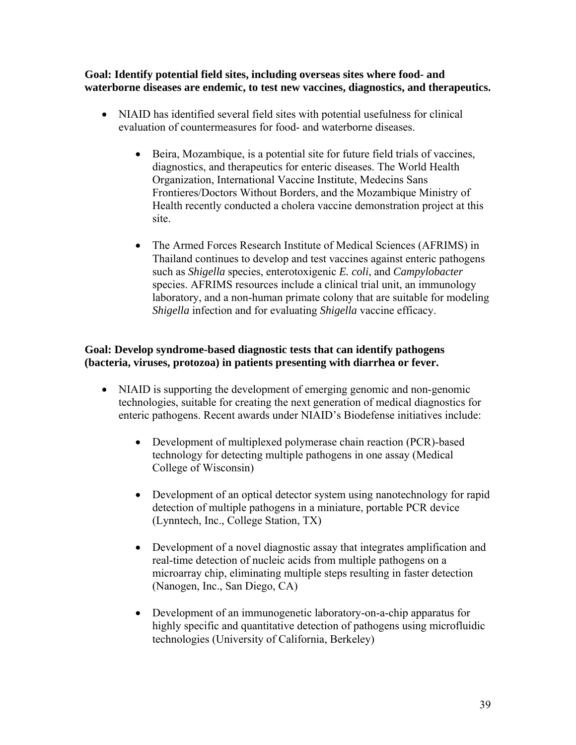**Goal: Identify potential field sites, including overseas sites where food- and waterborne diseases are endemic, to test new vaccines, diagnostics, and therapeutics.** 

- NIAID has identified several field sites with potential usefulness for clinical evaluation of countermeasures for food- and waterborne diseases.
	- Beira, Mozambique, is a potential site for future field trials of vaccines, diagnostics, and therapeutics for enteric diseases. The World Health Organization, International Vaccine Institute, Medecins Sans Frontieres/Doctors Without Borders, and the Mozambique Ministry of Health recently conducted a cholera vaccine demonstration project at this site.
	- The Armed Forces Research Institute of Medical Sciences (AFRIMS) in Thailand continues to develop and test vaccines against enteric pathogens such as *Shigella* species, enterotoxigenic *E. coli*, and *Campylobacter* species. AFRIMS resources include a clinical trial unit, an immunology laboratory, and a non-human primate colony that are suitable for modeling *Shigella* infection and for evaluating *Shigella* vaccine efficacy.

#### **Goal: Develop syndrome-based diagnostic tests that can identify pathogens (bacteria, viruses, protozoa) in patients presenting with diarrhea or fever.**

- NIAID is supporting the development of emerging genomic and non-genomic technologies, suitable for creating the next generation of medical diagnostics for enteric pathogens. Recent awards under NIAID's Biodefense initiatives include:
	- Development of multiplexed polymerase chain reaction (PCR)-based technology for detecting multiple pathogens in one assay (Medical College of Wisconsin)
	- Development of an optical detector system using nanotechnology for rapid detection of multiple pathogens in a miniature, portable PCR device (Lynntech, Inc., College Station, TX)
	- Development of a novel diagnostic assay that integrates amplification and real-time detection of nucleic acids from multiple pathogens on a microarray chip, eliminating multiple steps resulting in faster detection (Nanogen, Inc., San Diego, CA)
	- Development of an immunogenetic laboratory-on-a-chip apparatus for highly specific and quantitative detection of pathogens using microfluidic technologies (University of California, Berkeley)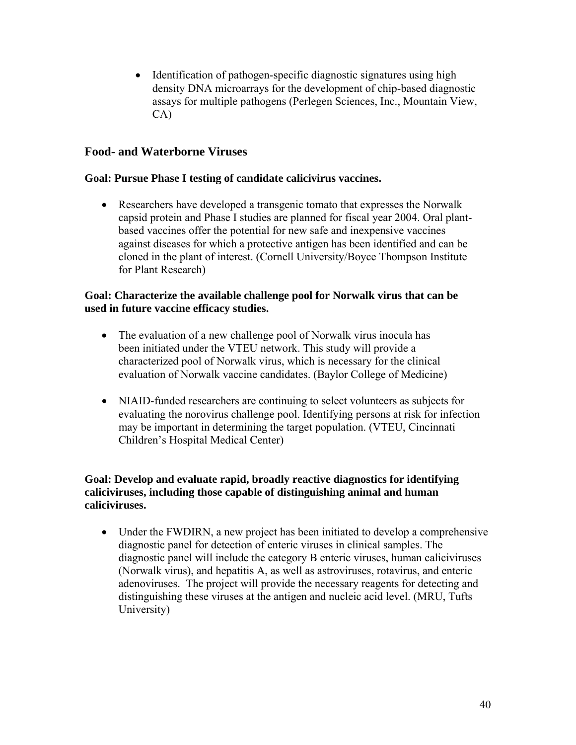• Identification of pathogen-specific diagnostic signatures using high density DNA microarrays for the development of chip-based diagnostic assays for multiple pathogens (Perlegen Sciences, Inc., Mountain View, CA)

#### **Food- and Waterborne Viruses**

#### **Goal: Pursue Phase I testing of candidate calicivirus vaccines.**

• Researchers have developed a transgenic tomato that expresses the Norwalk capsid protein and Phase I studies are planned for fiscal year 2004. Oral plantbased vaccines offer the potential for new safe and inexpensive vaccines against diseases for which a protective antigen has been identified and can be cloned in the plant of interest. (Cornell University/Boyce Thompson Institute for Plant Research)

#### **Goal: Characterize the available challenge pool for Norwalk virus that can be used in future vaccine efficacy studies.**

- The evaluation of a new challenge pool of Norwalk virus inocula has been initiated under the VTEU network. This study will provide a characterized pool of Norwalk virus, which is necessary for the clinical evaluation of Norwalk vaccine candidates. (Baylor College of Medicine)
- NIAID-funded researchers are continuing to select volunteers as subjects for evaluating the norovirus challenge pool. Identifying persons at risk for infection may be important in determining the target population. (VTEU, Cincinnati Children's Hospital Medical Center)

#### **Goal: Develop and evaluate rapid, broadly reactive diagnostics for identifying caliciviruses, including those capable of distinguishing animal and human caliciviruses.**

• Under the FWDIRN, a new project has been initiated to develop a comprehensive diagnostic panel for detection of enteric viruses in clinical samples. The diagnostic panel will include the category B enteric viruses, human caliciviruses (Norwalk virus), and hepatitis A, as well as astroviruses, rotavirus, and enteric adenoviruses. The project will provide the necessary reagents for detecting and distinguishing these viruses at the antigen and nucleic acid level. (MRU, Tufts University)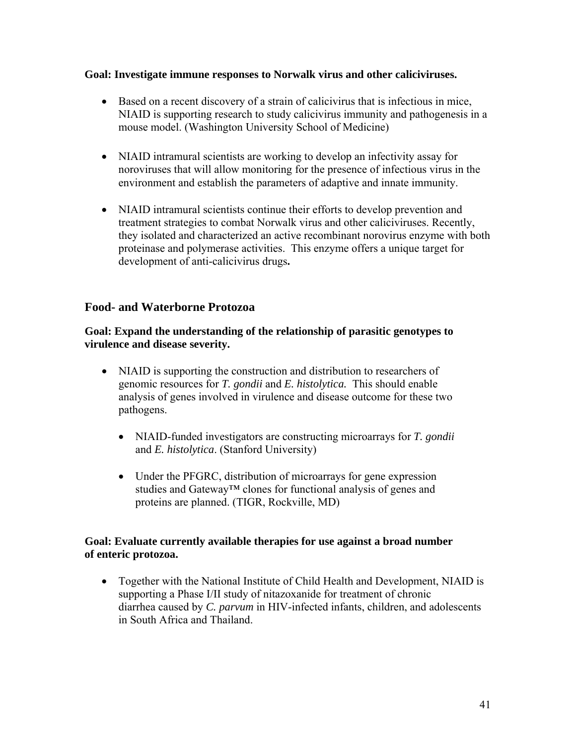#### **Goal: Investigate immune responses to Norwalk virus and other caliciviruses.**

- Based on a recent discovery of a strain of calicivirus that is infectious in mice, NIAID is supporting research to study calicivirus immunity and pathogenesis in a mouse model. (Washington University School of Medicine)
- NIAID intramural scientists are working to develop an infectivity assay for noroviruses that will allow monitoring for the presence of infectious virus in the environment and establish the parameters of adaptive and innate immunity.
- NIAID intramural scientists continue their efforts to develop prevention and treatment strategies to combat Norwalk virus and other caliciviruses. Recently, they isolated and characterized an active recombinant norovirus enzyme with both proteinase and polymerase activities. This enzyme offers a unique target for development of anti-calicivirus drugs**.**

#### **Food- and Waterborne Protozoa**

**Goal: Expand the understanding of the relationship of parasitic genotypes to virulence and disease severity.** 

- NIAID is supporting the construction and distribution to researchers of genomic resources for *T. gondii* and *E. histolytica.* This should enable analysis of genes involved in virulence and disease outcome for these two pathogens.
	- NIAID-funded investigators are constructing microarrays for *T. gondii* and *E. histolytica*. (Stanford University)
	- Under the PFGRC, distribution of microarrays for gene expression studies and Gateway™ clones for functional analysis of genes and proteins are planned. (TIGR, Rockville, MD)

#### **Goal: Evaluate currently available therapies for use against a broad number of enteric protozoa.**

• Together with the National Institute of Child Health and Development, NIAID is supporting a Phase I/II study of nitazoxanide for treatment of chronic diarrhea caused by *C. parvum* in HIV-infected infants, children, and adolescents in South Africa and Thailand.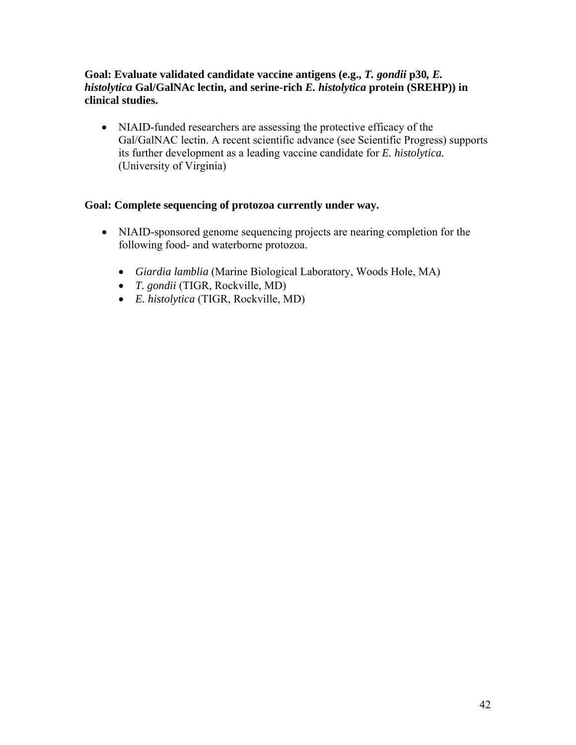#### **Goal: Evaluate validated candidate vaccine antigens (e.g.,** *T. gondii* **p30***, E. histolytica* **Gal/GalNAc lectin, and serine-rich** *E. histolytica* **protein (SREHP)) in clinical studies.**

• NIAID-funded researchers are assessing the protective efficacy of the Gal/GalNAC lectin. A recent scientific advance (see Scientific Progress) supports its further development as a leading vaccine candidate for *E. histolytica.*  (University of Virginia)

#### **Goal: Complete sequencing of protozoa currently under way.**

- NIAID-sponsored genome sequencing projects are nearing completion for the following food- and waterborne protozoa.
	- *Giardia lamblia* (Marine Biological Laboratory, Woods Hole, MA)
	- *T. gondii* (TIGR, Rockville, MD)
	- *E. histolytica* (TIGR, Rockville, MD)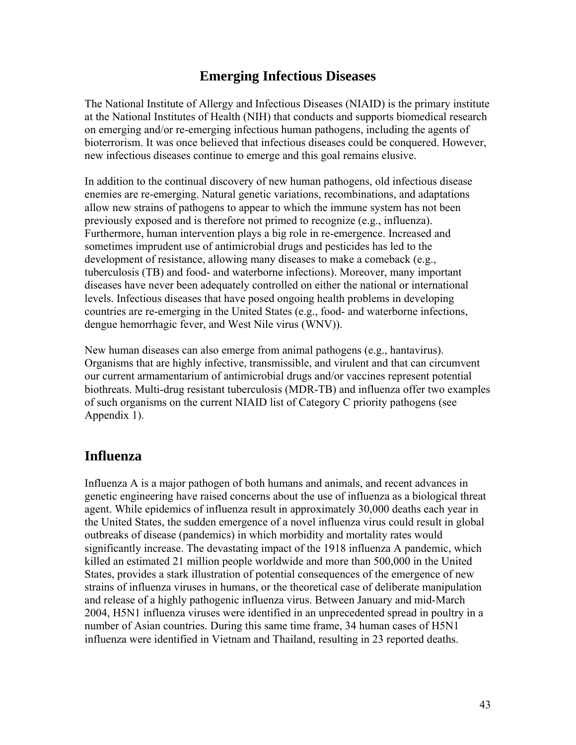## **Emerging Infectious Diseases**

The National Institute of Allergy and Infectious Diseases (NIAID) is the primary institute at the National Institutes of Health (NIH) that conducts and supports biomedical research on emerging and/or re-emerging infectious human pathogens, including the agents of bioterrorism. It was once believed that infectious diseases could be conquered. However, new infectious diseases continue to emerge and this goal remains elusive.

In addition to the continual discovery of new human pathogens, old infectious disease enemies are re-emerging. Natural genetic variations, recombinations, and adaptations allow new strains of pathogens to appear to which the immune system has not been previously exposed and is therefore not primed to recognize (e.g., influenza). Furthermore, human intervention plays a big role in re-emergence. Increased and sometimes imprudent use of antimicrobial drugs and pesticides has led to the development of resistance, allowing many diseases to make a comeback (e.g., tuberculosis (TB) and food- and waterborne infections). Moreover, many important diseases have never been adequately controlled on either the national or international levels. Infectious diseases that have posed ongoing health problems in developing countries are re-emerging in the United States (e.g., food- and waterborne infections, dengue hemorrhagic fever, and West Nile virus (WNV)).

New human diseases can also emerge from animal pathogens (e.g., hantavirus). Organisms that are highly infective, transmissible, and virulent and that can circumvent our current armamentarium of antimicrobial drugs and/or vaccines represent potential biothreats. Multi-drug resistant tuberculosis (MDR-TB) and influenza offer two examples of such organisms on the current NIAID list of Category C priority pathogens (see Appendix 1).

## **Influenza**

Influenza A is a major pathogen of both humans and animals, and recent advances in genetic engineering have raised concerns about the use of influenza as a biological threat agent. While epidemics of influenza result in approximately 30,000 deaths each year in the United States, the sudden emergence of a novel influenza virus could result in global outbreaks of disease (pandemics) in which morbidity and mortality rates would significantly increase. The devastating impact of the 1918 influenza A pandemic, which killed an estimated 21 million people worldwide and more than 500,000 in the United States, provides a stark illustration of potential consequences of the emergence of new strains of influenza viruses in humans, or the theoretical case of deliberate manipulation and release of a highly pathogenic influenza virus. Between January and mid-March 2004, H5N1 influenza viruses were identified in an unprecedented spread in poultry in a number of Asian countries. During this same time frame, 34 human cases of H5N1 influenza were identified in Vietnam and Thailand, resulting in 23 reported deaths.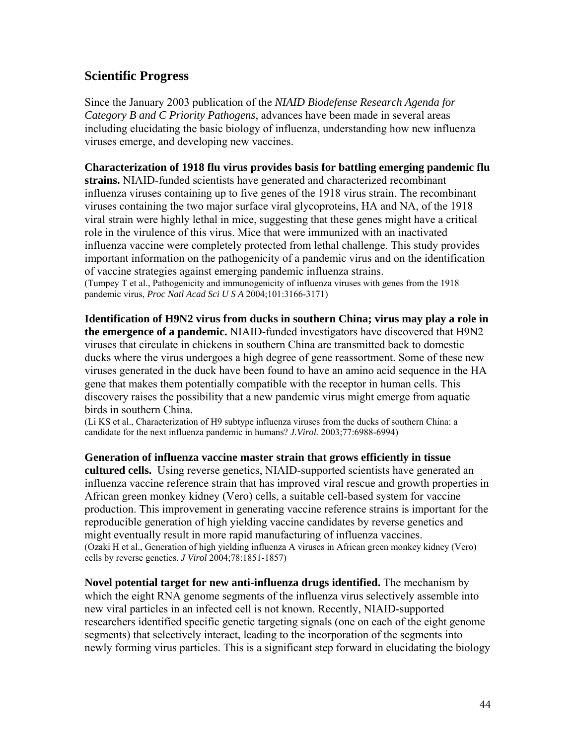### **Scientific Progress**

Since the January 2003 publication of the *NIAID Biodefense Research Agenda for Category B and C Priority Pathogens*, advances have been made in several areas including elucidating the basic biology of influenza, understanding how new influenza viruses emerge, and developing new vaccines.

**Characterization of 1918 flu virus provides basis for battling emerging pandemic flu strains.** NIAID-funded scientists have generated and characterized recombinant influenza viruses containing up to five genes of the 1918 virus strain. The recombinant viruses containing the two major surface viral glycoproteins, HA and NA, of the 1918 viral strain were highly lethal in mice, suggesting that these genes might have a critical role in the virulence of this virus. Mice that were immunized with an inactivated influenza vaccine were completely protected from lethal challenge. This study provides important information on the pathogenicity of a pandemic virus and on the identification of vaccine strategies against emerging pandemic influenza strains.

(Tumpey T et al., Pathogenicity and immunogenicity of influenza viruses with genes from the 1918 pandemic virus, *Proc Natl Acad Sci U S A* 2004;101:3166-3171)

**Identification of H9N2 virus from ducks in southern China; virus may play a role in the emergence of a pandemic.** NIAID-funded investigators have discovered that H9N2 viruses that circulate in chickens in southern China are transmitted back to domestic ducks where the virus undergoes a high degree of gene reassortment. Some of these new viruses generated in the duck have been found to have an amino acid sequence in the HA gene that makes them potentially compatible with the receptor in human cells. This discovery raises the possibility that a new pandemic virus might emerge from aquatic birds in southern China.

(Li KS et al., Characterization of H9 subtype influenza viruses from the ducks of southern China: a candidate for the next influenza pandemic in humans? *J.Virol.* 2003;77:6988-6994)

**Generation of influenza vaccine master strain that grows efficiently in tissue cultured cells.** Using reverse genetics, NIAID-supported scientists have generated an influenza vaccine reference strain that has improved viral rescue and growth properties in African green monkey kidney (Vero) cells, a suitable cell-based system for vaccine production. This improvement in generating vaccine reference strains is important for the reproducible generation of high yielding vaccine candidates by reverse genetics and might eventually result in more rapid manufacturing of influenza vaccines. (Ozaki H et al., Generation of high yielding influenza A viruses in African green monkey kidney (Vero) cells by reverse genetics. *J Virol* 2004;78:1851-1857)

**Novel potential target for new anti-influenza drugs identified.** The mechanism by which the eight RNA genome segments of the influenza virus selectively assemble into new viral particles in an infected cell is not known. Recently, NIAID-supported researchers identified specific genetic targeting signals (one on each of the eight genome segments) that selectively interact, leading to the incorporation of the segments into newly forming virus particles. This is a significant step forward in elucidating the biology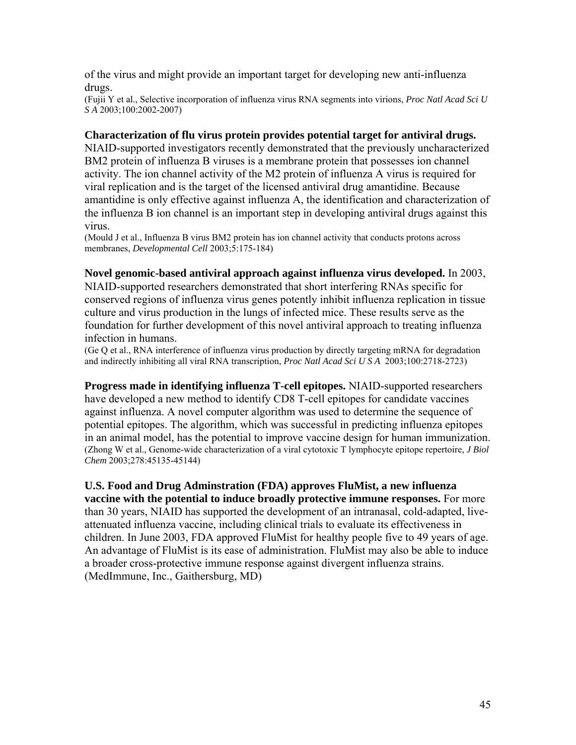of the virus and might provide an important target for developing new anti-influenza drugs.

(Fujii Y et al., Selective incorporation of influenza virus RNA segments into virions, *Proc Natl Acad Sci U S A* 2003;100:2002-2007)

#### **Characterization of flu virus protein provides potential target for antiviral drugs.**

NIAID-supported investigators recently demonstrated that the previously uncharacterized BM2 protein of influenza B viruses is a membrane protein that possesses ion channel activity. The ion channel activity of the M2 protein of influenza A virus is required for viral replication and is the target of the licensed antiviral drug amantidine. Because amantidine is only effective against influenza A, the identification and characterization of the influenza B ion channel is an important step in developing antiviral drugs against this virus.

(Mould J et al., Influenza B virus BM2 protein has ion channel activity that conducts protons across membranes, *Developmental Cell* 2003;5:175-184)

#### **Novel genomic-based antiviral approach against influenza virus developed.** In 2003,

NIAID-supported researchers demonstrated that short interfering RNAs specific for conserved regions of influenza virus genes potently inhibit influenza replication in tissue culture and virus production in the lungs of infected mice. These results serve as the foundation for further development of this novel antiviral approach to treating influenza infection in humans.

(Ge Q et al., RNA interference of influenza virus production by directly targeting mRNA for degradation and indirectly inhibiting all viral RNA transcription, *Proc Natl Acad Sci U S A* 2003;100:2718-2723)

**Progress made in identifying influenza T-cell epitopes.** NIAID-supported researchers have developed a new method to identify CD8 T-cell epitopes for candidate vaccines against influenza. A novel computer algorithm was used to determine the sequence of potential epitopes. The algorithm, which was successful in predicting influenza epitopes in an animal model, has the potential to improve vaccine design for human immunization. (Zhong W et al., Genome-wide characterization of a viral cytotoxic T lymphocyte epitope repertoire, *J Biol Chem* 2003;278:45135-45144)

**U.S. Food and Drug Adminstration (FDA) approves FluMist, a new influenza vaccine with the potential to induce broadly protective immune responses.** For more than 30 years, NIAID has supported the development of an intranasal, cold-adapted, liveattenuated influenza vaccine, including clinical trials to evaluate its effectiveness in children. In June 2003, FDA approved FluMist for healthy people five to 49 years of age. An advantage of FluMist is its ease of administration. FluMist may also be able to induce a broader cross-protective immune response against divergent influenza strains. (MedImmune, Inc., Gaithersburg, MD)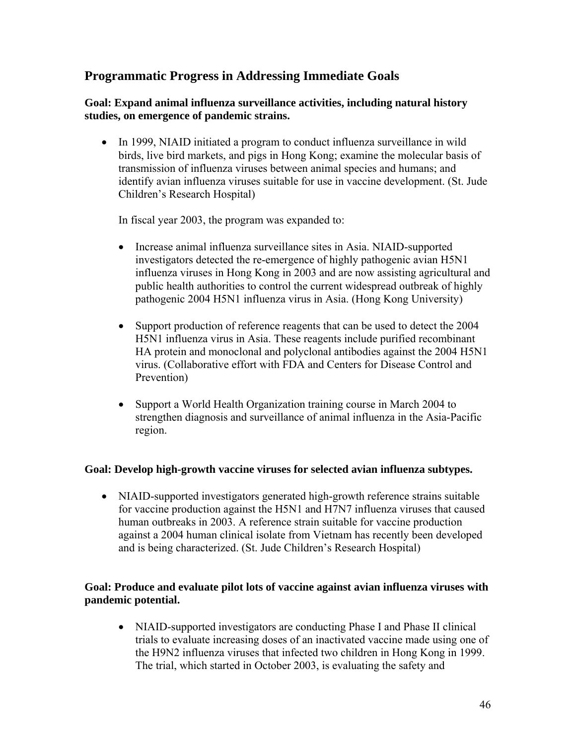## **Programmatic Progress in Addressing Immediate Goals**

#### **Goal: Expand animal influenza surveillance activities, including natural history studies, on emergence of pandemic strains.**

• In 1999, NIAID initiated a program to conduct influenza surveillance in wild birds, live bird markets, and pigs in Hong Kong; examine the molecular basis of transmission of influenza viruses between animal species and humans; and identify avian influenza viruses suitable for use in vaccine development. (St. Jude Children's Research Hospital)

In fiscal year 2003, the program was expanded to:

- Increase animal influenza surveillance sites in Asia. NIAID-supported investigators detected the re-emergence of highly pathogenic avian H5N1 influenza viruses in Hong Kong in 2003 and are now assisting agricultural and public health authorities to control the current widespread outbreak of highly pathogenic 2004 H5N1 influenza virus in Asia. (Hong Kong University)
- Support production of reference reagents that can be used to detect the 2004 H5N1 influenza virus in Asia. These reagents include purified recombinant HA protein and monoclonal and polyclonal antibodies against the 2004 H5N1 virus. (Collaborative effort with FDA and Centers for Disease Control and Prevention)
- Support a World Health Organization training course in March 2004 to strengthen diagnosis and surveillance of animal influenza in the Asia-Pacific region.

#### **Goal: Develop high-growth vaccine viruses for selected avian influenza subtypes.**

• NIAID-supported investigators generated high-growth reference strains suitable for vaccine production against the H5N1 and H7N7 influenza viruses that caused human outbreaks in 2003. A reference strain suitable for vaccine production against a 2004 human clinical isolate from Vietnam has recently been developed and is being characterized. (St. Jude Children's Research Hospital)

#### **Goal: Produce and evaluate pilot lots of vaccine against avian influenza viruses with pandemic potential.**

• NIAID-supported investigators are conducting Phase I and Phase II clinical trials to evaluate increasing doses of an inactivated vaccine made using one of the H9N2 influenza viruses that infected two children in Hong Kong in 1999. The trial, which started in October 2003, is evaluating the safety and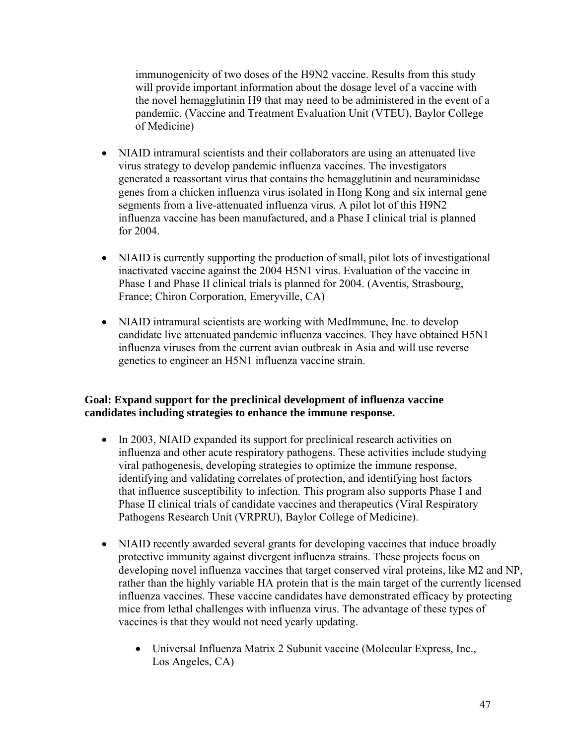immunogenicity of two doses of the H9N2 vaccine. Results from this study will provide important information about the dosage level of a vaccine with the novel hemagglutinin H9 that may need to be administered in the event of a pandemic. (Vaccine and Treatment Evaluation Unit (VTEU), Baylor College of Medicine)

- NIAID intramural scientists and their collaborators are using an attenuated live virus strategy to develop pandemic influenza vaccines. The investigators generated a reassortant virus that contains the hemagglutinin and neuraminidase genes from a chicken influenza virus isolated in Hong Kong and six internal gene segments from a live-attenuated influenza virus. A pilot lot of this H9N2 influenza vaccine has been manufactured, and a Phase I clinical trial is planned for 2004.
- NIAID is currently supporting the production of small, pilot lots of investigational inactivated vaccine against the 2004 H5N1 virus. Evaluation of the vaccine in Phase I and Phase II clinical trials is planned for 2004. (Aventis, Strasbourg, France; Chiron Corporation, Emeryville, CA)
- NIAID intramural scientists are working with MedImmune, Inc. to develop candidate live attenuated pandemic influenza vaccines. They have obtained H5N1 influenza viruses from the current avian outbreak in Asia and will use reverse genetics to engineer an H5N1 influenza vaccine strain.

#### **Goal: Expand support for the preclinical development of influenza vaccine candidates including strategies to enhance the immune response.**

- In 2003, NIAID expanded its support for preclinical research activities on influenza and other acute respiratory pathogens. These activities include studying viral pathogenesis, developing strategies to optimize the immune response, identifying and validating correlates of protection, and identifying host factors that influence susceptibility to infection. This program also supports Phase I and Phase II clinical trials of candidate vaccines and therapeutics (Viral Respiratory Pathogens Research Unit (VRPRU), Baylor College of Medicine).
- NIAID recently awarded several grants for developing vaccines that induce broadly protective immunity against divergent influenza strains. These projects focus on developing novel influenza vaccines that target conserved viral proteins, like M2 and NP, rather than the highly variable HA protein that is the main target of the currently licensed influenza vaccines. These vaccine candidates have demonstrated efficacy by protecting mice from lethal challenges with influenza virus. The advantage of these types of vaccines is that they would not need yearly updating.
	- Universal Influenza Matrix 2 Subunit vaccine (Molecular Express, Inc., Los Angeles, CA)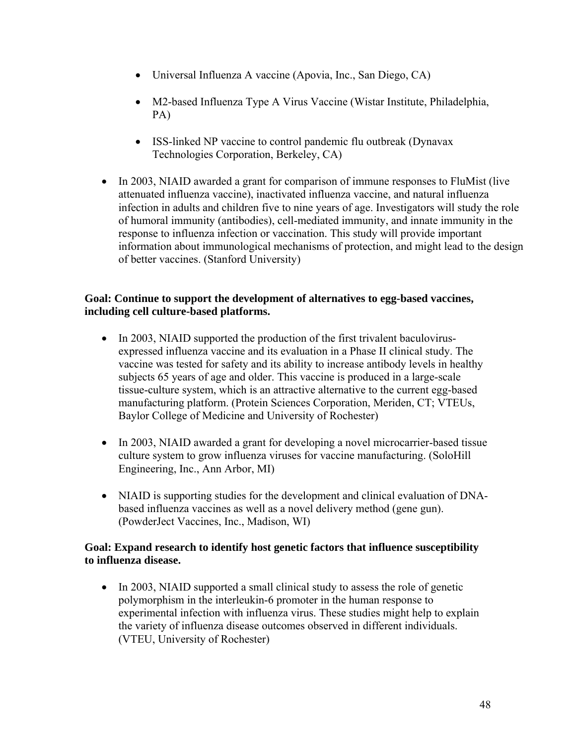- Universal Influenza A vaccine (Apovia, Inc., San Diego, CA)
- M2-based Influenza Type A Virus Vaccine (Wistar Institute, Philadelphia, PA)
- ISS-linked NP vaccine to control pandemic flu outbreak (Dynavax Technologies Corporation, Berkeley, CA)
- In 2003, NIAID awarded a grant for comparison of immune responses to FluMist (live attenuated influenza vaccine), inactivated influenza vaccine, and natural influenza infection in adults and children five to nine years of age. Investigators will study the role of humoral immunity (antibodies), cell-mediated immunity, and innate immunity in the response to influenza infection or vaccination. This study will provide important information about immunological mechanisms of protection, and might lead to the design of better vaccines. (Stanford University)

#### **Goal: Continue to support the development of alternatives to egg-based vaccines, including cell culture-based platforms.**

- In 2003, NIAID supported the production of the first trivalent baculovirusexpressed influenza vaccine and its evaluation in a Phase II clinical study. The vaccine was tested for safety and its ability to increase antibody levels in healthy subjects 65 years of age and older. This vaccine is produced in a large-scale tissue-culture system, which is an attractive alternative to the current egg-based manufacturing platform. (Protein Sciences Corporation, Meriden, CT; VTEUs, Baylor College of Medicine and University of Rochester)
- In 2003, NIAID awarded a grant for developing a novel microcarrier-based tissue culture system to grow influenza viruses for vaccine manufacturing. (SoloHill Engineering, Inc., Ann Arbor, MI)
- NIAID is supporting studies for the development and clinical evaluation of DNAbased influenza vaccines as well as a novel delivery method (gene gun). (PowderJect Vaccines, Inc., Madison, WI)

#### **Goal: Expand research to identify host genetic factors that influence susceptibility to influenza disease.**

• In 2003, NIAID supported a small clinical study to assess the role of genetic polymorphism in the interleukin-6 promoter in the human response to experimental infection with influenza virus. These studies might help to explain the variety of influenza disease outcomes observed in different individuals. (VTEU, University of Rochester)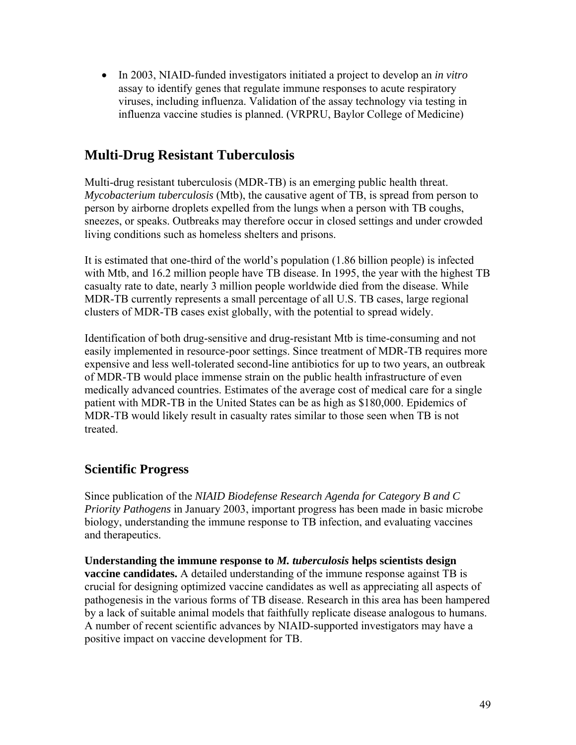• In 2003, NIAID-funded investigators initiated a project to develop an *in vitro* assay to identify genes that regulate immune responses to acute respiratory viruses, including influenza. Validation of the assay technology via testing in influenza vaccine studies is planned. (VRPRU, Baylor College of Medicine)

## **Multi-Drug Resistant Tuberculosis**

Multi-drug resistant tuberculosis (MDR-TB) is an emerging public health threat. *Mycobacterium tuberculosis* (Mtb), the causative agent of TB, is spread from person to person by airborne droplets expelled from the lungs when a person with TB coughs, sneezes, or speaks. Outbreaks may therefore occur in closed settings and under crowded living conditions such as homeless shelters and prisons.

It is estimated that one-third of the world's population (1.86 billion people) is infected with Mtb, and 16.2 million people have TB disease. In 1995, the year with the highest TB casualty rate to date, nearly 3 million people worldwide died from the disease. While MDR-TB currently represents a small percentage of all U.S. TB cases, large regional clusters of MDR-TB cases exist globally, with the potential to spread widely.

Identification of both drug-sensitive and drug-resistant Mtb is time-consuming and not easily implemented in resource-poor settings. Since treatment of MDR-TB requires more expensive and less well-tolerated second-line antibiotics for up to two years, an outbreak of MDR-TB would place immense strain on the public health infrastructure of even medically advanced countries. Estimates of the average cost of medical care for a single patient with MDR-TB in the United States can be as high as \$180,000. Epidemics of MDR-TB would likely result in casualty rates similar to those seen when TB is not treated.

## **Scientific Progress**

Since publication of the *NIAID Biodefense Research Agenda for Category B and C Priority Pathogens* in January 2003, important progress has been made in basic microbe biology, understanding the immune response to TB infection, and evaluating vaccines and therapeutics.

**Understanding the immune response to** *M. tuberculosis* **helps scientists design vaccine candidates.** A detailed understanding of the immune response against TB is crucial for designing optimized vaccine candidates as well as appreciating all aspects of pathogenesis in the various forms of TB disease. Research in this area has been hampered by a lack of suitable animal models that faithfully replicate disease analogous to humans. A number of recent scientific advances by NIAID-supported investigators may have a positive impact on vaccine development for TB.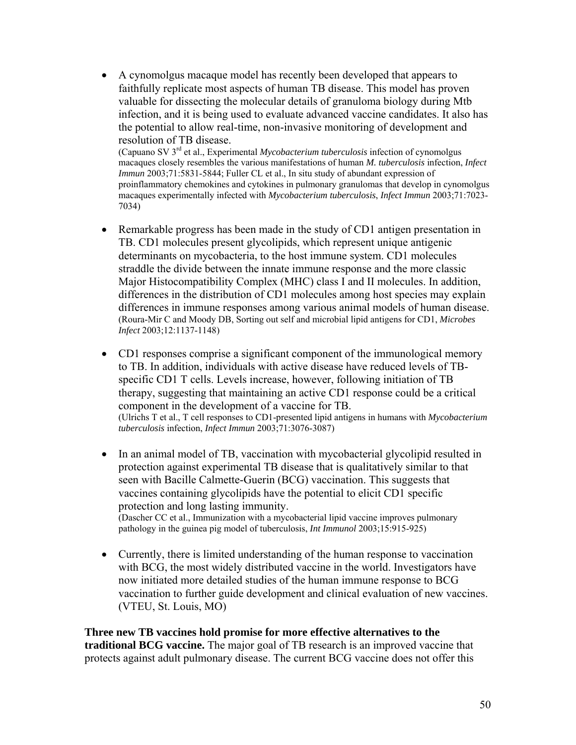• A cynomolgus macaque model has recently been developed that appears to faithfully replicate most aspects of human TB disease. This model has proven valuable for dissecting the molecular details of granuloma biology during Mtb infection, and it is being used to evaluate advanced vaccine candidates. It also has the potential to allow real-time, non-invasive monitoring of development and resolution of TB disease.

(Capuano SV 3rd et al., Experimental *Mycobacterium tuberculosis* infection of cynomolgus macaques closely resembles the various manifestations of human *M. tuberculosis* infection, *Infect Immun* 2003;71:5831-5844; Fuller CL et al., In situ study of abundant expression of proinflammatory chemokines and cytokines in pulmonary granulomas that develop in cynomolgus macaques experimentally infected with *Mycobacterium tuberculosis*, *Infect Immun* 2003;71:7023- 7034)

- Remarkable progress has been made in the study of CD1 antigen presentation in TB. CD1 molecules present glycolipids, which represent unique antigenic determinants on mycobacteria, to the host immune system. CD1 molecules straddle the divide between the innate immune response and the more classic Major Histocompatibility Complex (MHC) class I and II molecules. In addition, differences in the distribution of CD1 molecules among host species may explain differences in immune responses among various animal models of human disease. (Roura-Mir C and Moody DB, Sorting out self and microbial lipid antigens for CD1, *Microbes Infect* 2003;12:1137-1148)
- CD1 responses comprise a significant component of the immunological memory to TB. In addition, individuals with active disease have reduced levels of TBspecific CD1 T cells. Levels increase, however, following initiation of TB therapy, suggesting that maintaining an active CD1 response could be a critical component in the development of a vaccine for TB. (Ulrichs T et al., T cell responses to CD1-presented lipid antigens in humans with *Mycobacterium tuberculosis* infection, *Infect Immun* 2003;71:3076-3087)
- In an animal model of TB, vaccination with mycobacterial glycolipid resulted in protection against experimental TB disease that is qualitatively similar to that seen with Bacille Calmette-Guerin (BCG) vaccination. This suggests that vaccines containing glycolipids have the potential to elicit CD1 specific protection and long lasting immunity. (Dascher CC et al., Immunization with a mycobacterial lipid vaccine improves pulmonary pathology in the guinea pig model of tuberculosis, *Int Immunol* 2003;15:915-925)
- Currently, there is limited understanding of the human response to vaccination with BCG, the most widely distributed vaccine in the world. Investigators have now initiated more detailed studies of the human immune response to BCG vaccination to further guide development and clinical evaluation of new vaccines. (VTEU, St. Louis, MO)

**Three new TB vaccines hold promise for more effective alternatives to the traditional BCG vaccine.** The major goal of TB research is an improved vaccine that protects against adult pulmonary disease. The current BCG vaccine does not offer this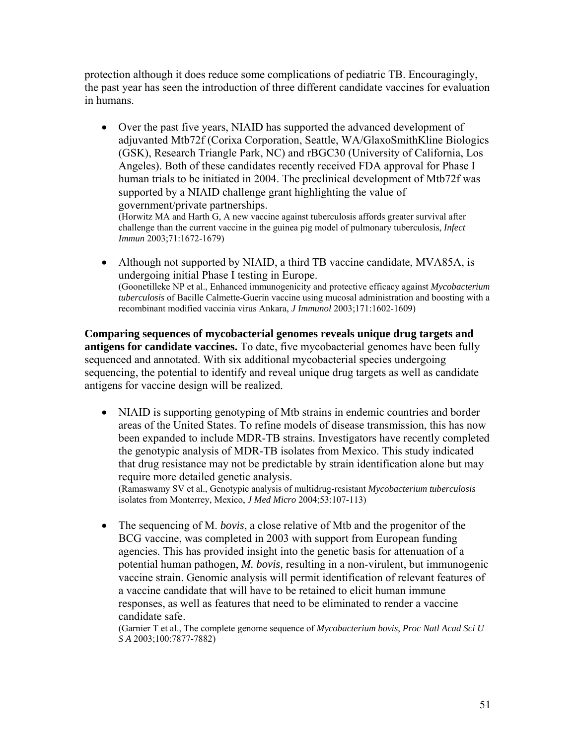protection although it does reduce some complications of pediatric TB. Encouragingly, the past year has seen the introduction of three different candidate vaccines for evaluation in humans.

• Over the past five years, NIAID has supported the advanced development of adjuvanted Mtb72f (Corixa Corporation, Seattle, WA/GlaxoSmithKline Biologics (GSK), Research Triangle Park, NC) and rBGC30 (University of California, Los Angeles). Both of these candidates recently received FDA approval for Phase I human trials to be initiated in 2004. The preclinical development of Mtb72f was supported by a NIAID challenge grant highlighting the value of government/private partnerships.

(Horwitz MA and Harth G, A new vaccine against tuberculosis affords greater survival after challenge than the current vaccine in the guinea pig model of pulmonary tuberculosis, *Infect Immun* 2003;71:1672-1679)

• Although not supported by NIAID, a third TB vaccine candidate, MVA85A, is undergoing initial Phase I testing in Europe. (Goonetilleke NP et al., Enhanced immunogenicity and protective efficacy against *Mycobacterium tuberculosis* of Bacille Calmette-Guerin vaccine using mucosal administration and boosting with a recombinant modified vaccinia virus Ankara, *J Immunol* 2003;171:1602-1609)

**Comparing sequences of mycobacterial genomes reveals unique drug targets and antigens for candidate vaccines.** To date, five mycobacterial genomes have been fully sequenced and annotated. With six additional mycobacterial species undergoing sequencing, the potential to identify and reveal unique drug targets as well as candidate antigens for vaccine design will be realized.

• NIAID is supporting genotyping of Mtb strains in endemic countries and border areas of the United States. To refine models of disease transmission, this has now been expanded to include MDR-TB strains. Investigators have recently completed the genotypic analysis of MDR-TB isolates from Mexico. This study indicated that drug resistance may not be predictable by strain identification alone but may require more detailed genetic analysis.

(Ramaswamy SV et al., Genotypic analysis of multidrug-resistant *Mycobacterium tuberculosis* isolates from Monterrey, Mexico, *J Med Micro* 2004;53:107-113)

• The sequencing of M. *bovis*, a close relative of Mtb and the progenitor of the BCG vaccine, was completed in 2003 with support from European funding agencies. This has provided insight into the genetic basis for attenuation of a potential human pathogen, *M. bovis,* resulting in a non-virulent, but immunogenic vaccine strain. Genomic analysis will permit identification of relevant features of a vaccine candidate that will have to be retained to elicit human immune responses, as well as features that need to be eliminated to render a vaccine candidate safe.

(Garnier T et al., The complete genome sequence of *Mycobacterium bovis*, *Proc Natl Acad Sci U S A* 2003;100:7877-7882)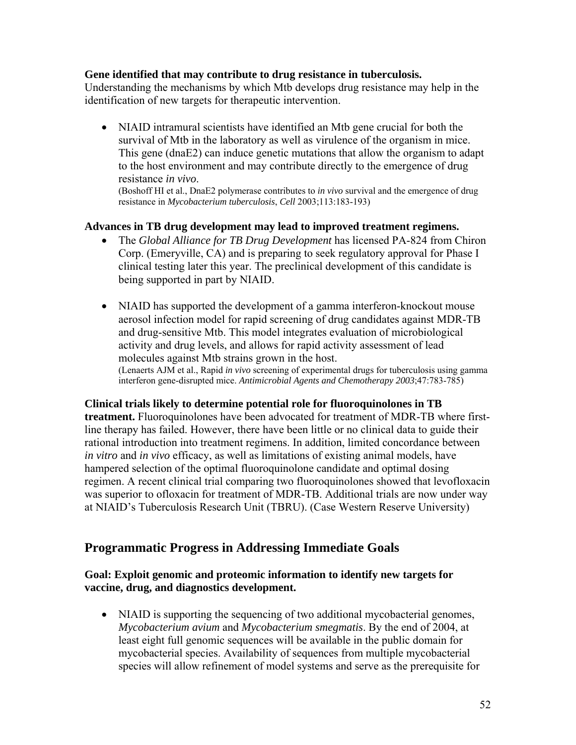#### **Gene identified that may contribute to drug resistance in tuberculosis.**

Understanding the mechanisms by which Mtb develops drug resistance may help in the identification of new targets for therapeutic intervention.

• NIAID intramural scientists have identified an Mtb gene crucial for both the survival of Mtb in the laboratory as well as virulence of the organism in mice. This gene (dnaE2) can induce genetic mutations that allow the organism to adapt to the host environment and may contribute directly to the emergence of drug resistance *in vivo*.<br>(Boshoff HI et al., DnaE2 polymerase contributes to *in vivo* survival and the emergence of drug

resistance in *Mycobacterium tuberculosis*, *Cell* 2003;113:183-193)

#### **Advances in TB drug development may lead to improved treatment regimens.**

- The *Global Alliance for TB Drug Development* has licensed PA-824 from Chiron Corp. (Emeryville, CA) and is preparing to seek regulatory approval for Phase I clinical testing later this year. The preclinical development of this candidate is being supported in part by NIAID.
- NIAID has supported the development of a gamma interferon-knockout mouse aerosol infection model for rapid screening of drug candidates against MDR-TB and drug-sensitive Mtb. This model integrates evaluation of microbiological activity and drug levels, and allows for rapid activity assessment of lead molecules against Mtb strains grown in the host. (Lenaerts AJM et al., Rapid *in vivo* screening of experimental drugs for tuberculosis using gamma

interferon gene-disrupted mice. *Antimicrobial Agents and Chemotherapy 2003*;47:783-785)

**Clinical trials likely to determine potential role for fluoroquinolones in TB treatment.** Fluoroquinolones have been advocated for treatment of MDR-TB where firstline therapy has failed. However, there have been little or no clinical data to guide their rational introduction into treatment regimens. In addition, limited concordance between *in vitro* and *in vivo* efficacy, as well as limitations of existing animal models, have hampered selection of the optimal fluoroquinolone candidate and optimal dosing regimen. A recent clinical trial comparing two fluoroquinolones showed that levofloxacin was superior to ofloxacin for treatment of MDR-TB. Additional trials are now under way at NIAID's Tuberculosis Research Unit (TBRU). (Case Western Reserve University)

## **Programmatic Progress in Addressing Immediate Goals**

#### **Goal: Exploit genomic and proteomic information to identify new targets for vaccine, drug, and diagnostics development.**

• NIAID is supporting the sequencing of two additional mycobacterial genomes, *Mycobacterium avium* and *Mycobacterium smegmatis*. By the end of 2004, at least eight full genomic sequences will be available in the public domain for mycobacterial species. Availability of sequences from multiple mycobacterial species will allow refinement of model systems and serve as the prerequisite for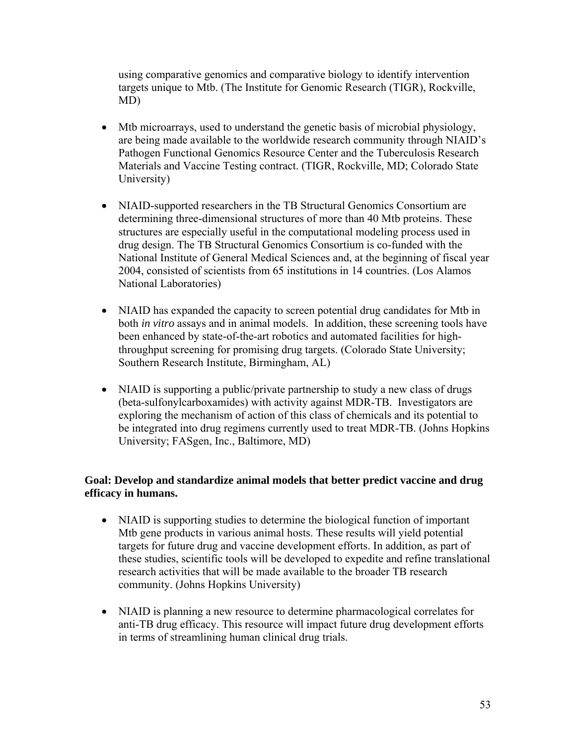using comparative genomics and comparative biology to identify intervention targets unique to Mtb. (The Institute for Genomic Research (TIGR), Rockville, MD)

- Mtb microarrays, used to understand the genetic basis of microbial physiology, are being made available to the worldwide research community through NIAID's Pathogen Functional Genomics Resource Center and the Tuberculosis Research Materials and Vaccine Testing contract. (TIGR, Rockville, MD; Colorado State University)
- NIAID-supported researchers in the TB Structural Genomics Consortium are determining three-dimensional structures of more than 40 Mtb proteins. These structures are especially useful in the computational modeling process used in drug design. The TB Structural Genomics Consortium is co-funded with the National Institute of General Medical Sciences and, at the beginning of fiscal year 2004, consisted of scientists from 65 institutions in 14 countries. (Los Alamos National Laboratories)
- NIAID has expanded the capacity to screen potential drug candidates for Mtb in both *in vitro* assays and in animal models. In addition, these screening tools have been enhanced by state-of-the-art robotics and automated facilities for highthroughput screening for promising drug targets. (Colorado State University; Southern Research Institute, Birmingham, AL)
- NIAID is supporting a public/private partnership to study a new class of drugs (beta-sulfonylcarboxamides) with activity against MDR-TB. Investigators are exploring the mechanism of action of this class of chemicals and its potential to be integrated into drug regimens currently used to treat MDR-TB. (Johns Hopkins University; FASgen, Inc., Baltimore, MD)

#### **Goal: Develop and standardize animal models that better predict vaccine and drug efficacy in humans.**

- NIAID is supporting studies to determine the biological function of important Mtb gene products in various animal hosts. These results will yield potential targets for future drug and vaccine development efforts. In addition, as part of these studies, scientific tools will be developed to expedite and refine translational research activities that will be made available to the broader TB research community. (Johns Hopkins University)
- NIAID is planning a new resource to determine pharmacological correlates for anti-TB drug efficacy. This resource will impact future drug development efforts in terms of streamlining human clinical drug trials.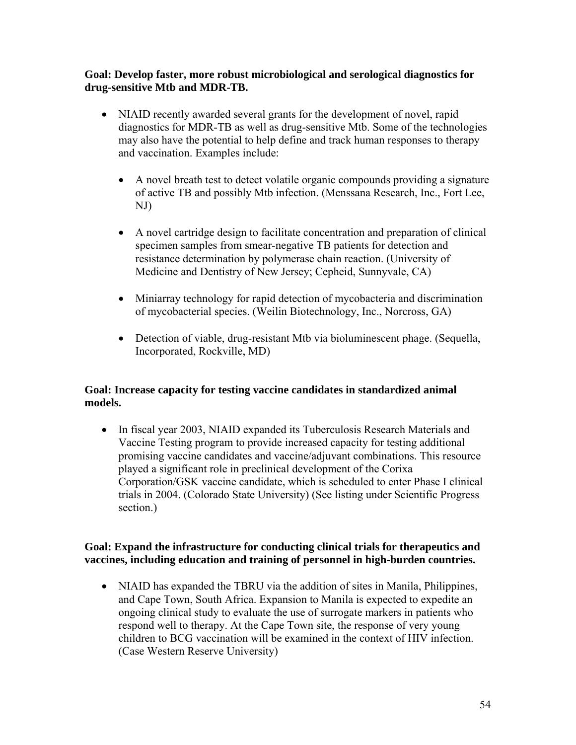#### **Goal: Develop faster, more robust microbiological and serological diagnostics for drug-sensitive Mtb and MDR-TB.**

- NIAID recently awarded several grants for the development of novel, rapid diagnostics for MDR-TB as well as drug-sensitive Mtb. Some of the technologies may also have the potential to help define and track human responses to therapy and vaccination. Examples include:
	- A novel breath test to detect volatile organic compounds providing a signature of active TB and possibly Mtb infection. (Menssana Research, Inc., Fort Lee, NJ)
	- A novel cartridge design to facilitate concentration and preparation of clinical specimen samples from smear-negative TB patients for detection and resistance determination by polymerase chain reaction. (University of Medicine and Dentistry of New Jersey; Cepheid, Sunnyvale, CA)
	- Miniarray technology for rapid detection of mycobacteria and discrimination of mycobacterial species. (Weilin Biotechnology, Inc., Norcross, GA)
	- Detection of viable, drug-resistant Mtb via bioluminescent phage. (Sequella, Incorporated, Rockville, MD)

#### **Goal: Increase capacity for testing vaccine candidates in standardized animal models.**

• In fiscal year 2003, NIAID expanded its Tuberculosis Research Materials and Vaccine Testing program to provide increased capacity for testing additional promising vaccine candidates and vaccine/adjuvant combinations. This resource played a significant role in preclinical development of the Corixa Corporation/GSK vaccine candidate, which is scheduled to enter Phase I clinical trials in 2004. (Colorado State University) (See listing under Scientific Progress section.)

#### **Goal: Expand the infrastructure for conducting clinical trials for therapeutics and vaccines, including education and training of personnel in high-burden countries.**

• NIAID has expanded the TBRU via the addition of sites in Manila, Philippines, and Cape Town, South Africa. Expansion to Manila is expected to expedite an ongoing clinical study to evaluate the use of surrogate markers in patients who respond well to therapy. At the Cape Town site, the response of very young children to BCG vaccination will be examined in the context of HIV infection. (Case Western Reserve University)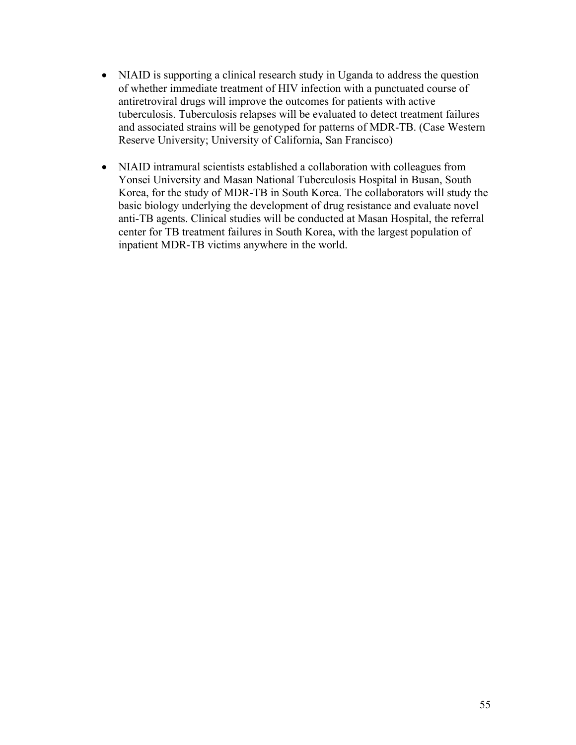- NIAID is supporting a clinical research study in Uganda to address the question of whether immediate treatment of HIV infection with a punctuated course of antiretroviral drugs will improve the outcomes for patients with active tuberculosis. Tuberculosis relapses will be evaluated to detect treatment failures and associated strains will be genotyped for patterns of MDR-TB. (Case Western Reserve University; University of California, San Francisco)
- NIAID intramural scientists established a collaboration with colleagues from Yonsei University and Masan National Tuberculosis Hospital in Busan, South Korea, for the study of MDR-TB in South Korea. The collaborators will study the basic biology underlying the development of drug resistance and evaluate novel anti-TB agents. Clinical studies will be conducted at Masan Hospital, the referral center for TB treatment failures in South Korea, with the largest population of inpatient MDR-TB victims anywhere in the world.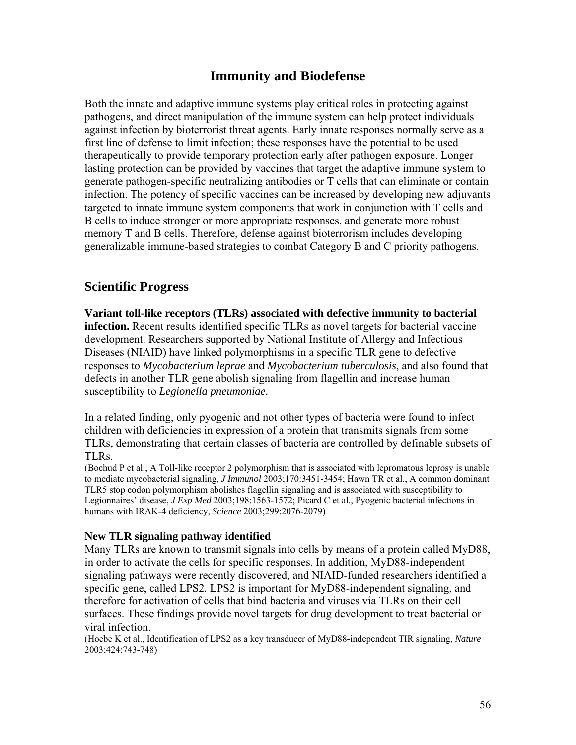## **Immunity and Biodefense**

Both the innate and adaptive immune systems play critical roles in protecting against pathogens, and direct manipulation of the immune system can help protect individuals against infection by bioterrorist threat agents. Early innate responses normally serve as a first line of defense to limit infection; these responses have the potential to be used therapeutically to provide temporary protection early after pathogen exposure. Longer lasting protection can be provided by vaccines that target the adaptive immune system to generate pathogen-specific neutralizing antibodies or T cells that can eliminate or contain infection. The potency of specific vaccines can be increased by developing new adjuvants targeted to innate immune system components that work in conjunction with T cells and B cells to induce stronger or more appropriate responses, and generate more robust memory T and B cells. Therefore, defense against bioterrorism includes developing generalizable immune-based strategies to combat Category B and C priority pathogens.

### **Scientific Progress**

**Variant toll-like receptors (TLRs) associated with defective immunity to bacterial infection.** Recent results identified specific TLRs as novel targets for bacterial vaccine development. Researchers supported by National Institute of Allergy and Infectious Diseases (NIAID) have linked polymorphisms in a specific TLR gene to defective responses to *Mycobacterium leprae* and *Mycobacterium tuberculosis*, and also found that defects in another TLR gene abolish signaling from flagellin and increase human susceptibility to *Legionella pneumoniae.*

In a related finding, only pyogenic and not other types of bacteria were found to infect children with deficiencies in expression of a protein that transmits signals from some TLRs, demonstrating that certain classes of bacteria are controlled by definable subsets of TLRs.

(Bochud P et al., A Toll-like receptor 2 polymorphism that is associated with lepromatous leprosy is unable to mediate mycobacterial signaling, *J Immunol* 2003;170:3451-3454; Hawn TR et al., A common dominant TLR5 stop codon polymorphism abolishes flagellin signaling and is associated with susceptibility to Legionnaires' disease, *J Exp Med* 2003;198:1563-1572; Picard C et al., Pyogenic bacterial infections in humans with IRAK-4 deficiency, *Science* 2003;299:2076-2079)

#### **New TLR signaling pathway identified**

Many TLRs are known to transmit signals into cells by means of a protein called MyD88, in order to activate the cells for specific responses. In addition, MyD88-independent signaling pathways were recently discovered, and NIAID-funded researchers identified a specific gene, called LPS2*.* LPS2 is important for MyD88-independent signaling, and therefore for activation of cells that bind bacteria and viruses via TLRs on their cell surfaces. These findings provide novel targets for drug development to treat bacterial or viral infection.

(Hoebe K et al., Identification of LPS2 as a key transducer of MyD88-independent TIR signaling, *Nature* 2003;424:743-748)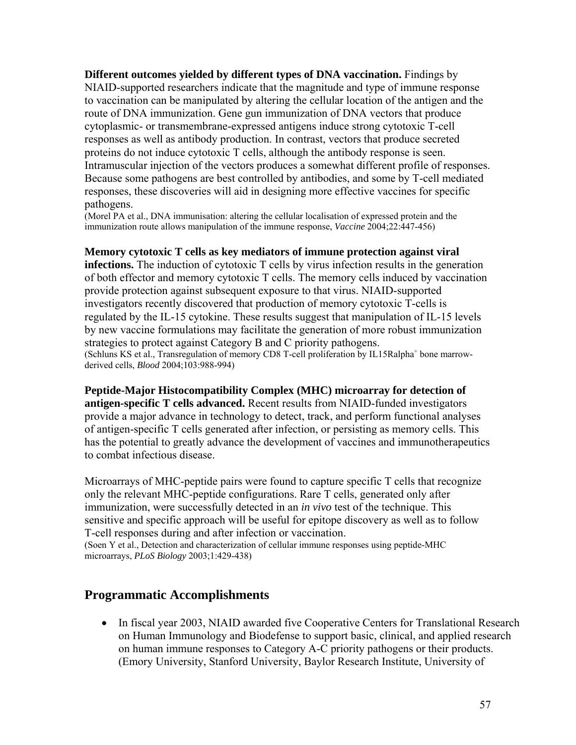**Different outcomes yielded by different types of DNA vaccination.** Findings by NIAID-supported researchers indicate that the magnitude and type of immune response to vaccination can be manipulated by altering the cellular location of the antigen and the route of DNA immunization. Gene gun immunization of DNA vectors that produce cytoplasmic- or transmembrane-expressed antigens induce strong cytotoxic T-cell responses as well as antibody production. In contrast, vectors that produce secreted proteins do not induce cytotoxic T cells, although the antibody response is seen. Intramuscular injection of the vectors produces a somewhat different profile of responses. Because some pathogens are best controlled by antibodies, and some by T-cell mediated responses, these discoveries will aid in designing more effective vaccines for specific pathogens.

(Morel PA et al., DNA immunisation: altering the cellular localisation of expressed protein and the immunization route allows manipulation of the immune response, *Vaccine* 2004;22:447-456)

**Memory cytotoxic T cells as key mediators of immune protection against viral** 

**infections.** The induction of cytotoxic T cells by virus infection results in the generation of both effector and memory cytotoxic T cells. The memory cells induced by vaccination provide protection against subsequent exposure to that virus. NIAID-supported investigators recently discovered that production of memory cytotoxic T-cells is regulated by the IL-15 cytokine. These results suggest that manipulation of IL-15 levels by new vaccine formulations may facilitate the generation of more robust immunization strategies to protect against Category B and C priority pathogens. (Schluns KS et al., Transregulation of memory CD8 T-cell proliferation by IL15Ralpha<sup>+</sup> bone marrowderived cells, *Blood* 2004;103:988-994)

**Peptide-Major Histocompatibility Complex (MHC) microarray for detection of antigen-specific T cells advanced.** Recent results from NIAID-funded investigators provide a major advance in technology to detect, track, and perform functional analyses of antigen-specific T cells generated after infection, or persisting as memory cells. This has the potential to greatly advance the development of vaccines and immunotherapeutics to combat infectious disease.

Microarrays of MHC-peptide pairs were found to capture specific T cells that recognize only the relevant MHC-peptide configurations. Rare T cells, generated only after immunization, were successfully detected in an *in vivo* test of the technique. This sensitive and specific approach will be useful for epitope discovery as well as to follow T-cell responses during and after infection or vaccination.

(Soen Y et al., Detection and characterization of cellular immune responses using peptide-MHC microarrays, *PLoS Biology* 2003;1:429-438)

### **Programmatic Accomplishments**

• In fiscal year 2003, NIAID awarded five Cooperative Centers for Translational Research on Human Immunology and Biodefense to support basic, clinical, and applied research on human immune responses to Category A-C priority pathogens or their products. (Emory University, Stanford University, Baylor Research Institute, University of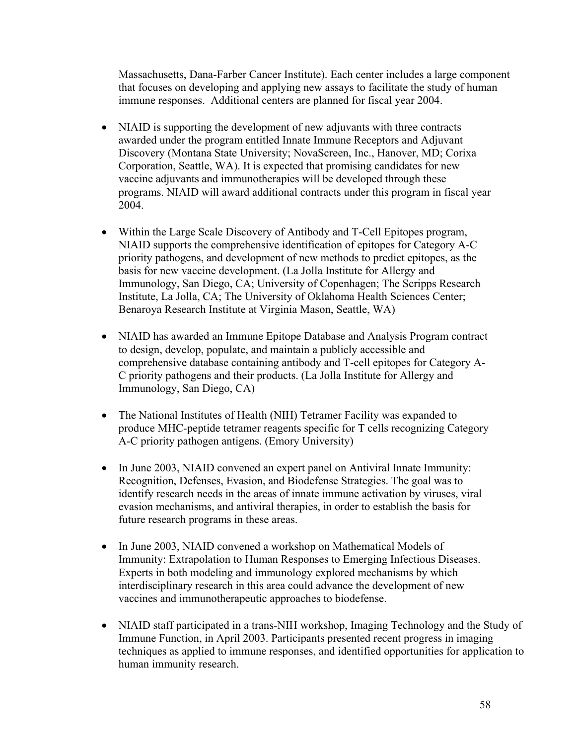Massachusetts, Dana-Farber Cancer Institute). Each center includes a large component that focuses on developing and applying new assays to facilitate the study of human immune responses. Additional centers are planned for fiscal year 2004.

- NIAID is supporting the development of new adjuvants with three contracts awarded under the program entitled Innate Immune Receptors and Adjuvant Discovery (Montana State University; NovaScreen, Inc., Hanover, MD; Corixa Corporation, Seattle, WA). It is expected that promising candidates for new vaccine adjuvants and immunotherapies will be developed through these programs. NIAID will award additional contracts under this program in fiscal year 2004.
- Within the Large Scale Discovery of Antibody and T-Cell Epitopes program, NIAID supports the comprehensive identification of epitopes for Category A-C priority pathogens, and development of new methods to predict epitopes, as the basis for new vaccine development. (La Jolla Institute for Allergy and Immunology, San Diego, CA; University of Copenhagen; The Scripps Research Institute, La Jolla, CA; The University of Oklahoma Health Sciences Center; Benaroya Research Institute at Virginia Mason, Seattle, WA)
- NIAID has awarded an Immune Epitope Database and Analysis Program contract to design, develop, populate, and maintain a publicly accessible and comprehensive database containing antibody and T-cell epitopes for Category A-C priority pathogens and their products. (La Jolla Institute for Allergy and Immunology, San Diego, CA)
- The National Institutes of Health (NIH) Tetramer Facility was expanded to produce MHC-peptide tetramer reagents specific for T cells recognizing Category A-C priority pathogen antigens. (Emory University)
- In June 2003, NIAID convened an expert panel on Antiviral Innate Immunity: Recognition, Defenses, Evasion, and Biodefense Strategies. The goal was to identify research needs in the areas of innate immune activation by viruses, viral evasion mechanisms, and antiviral therapies, in order to establish the basis for future research programs in these areas.
- In June 2003, NIAID convened a workshop on Mathematical Models of Immunity: Extrapolation to Human Responses to Emerging Infectious Diseases. Experts in both modeling and immunology explored mechanisms by which interdisciplinary research in this area could advance the development of new vaccines and immunotherapeutic approaches to biodefense.
- NIAID staff participated in a trans-NIH workshop, Imaging Technology and the Study of Immune Function, in April 2003. Participants presented recent progress in imaging techniques as applied to immune responses, and identified opportunities for application to human immunity research.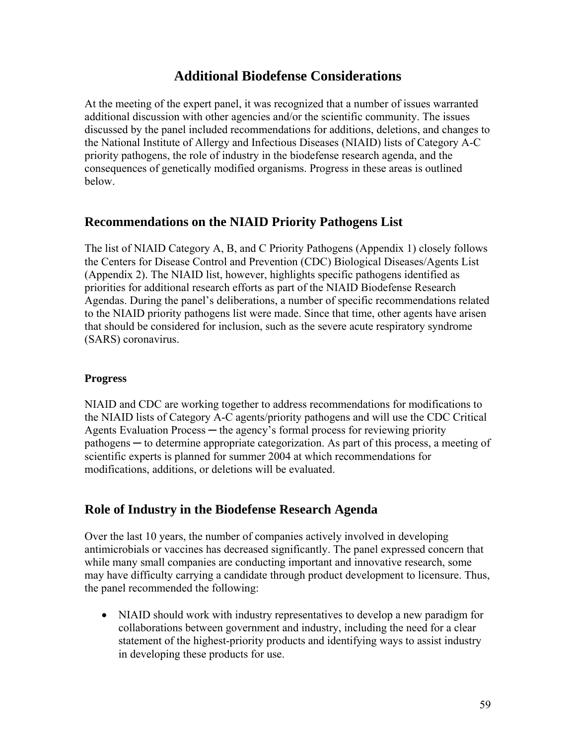## **Additional Biodefense Considerations**

At the meeting of the expert panel, it was recognized that a number of issues warranted additional discussion with other agencies and/or the scientific community. The issues discussed by the panel included recommendations for additions, deletions, and changes to the National Institute of Allergy and Infectious Diseases (NIAID) lists of Category A-C priority pathogens, the role of industry in the biodefense research agenda, and the consequences of genetically modified organisms. Progress in these areas is outlined below.

## **Recommendations on the NIAID Priority Pathogens List**

The list of NIAID Category A, B, and C Priority Pathogens (Appendix 1) closely follows the Centers for Disease Control and Prevention (CDC) Biological Diseases/Agents List (Appendix 2). The NIAID list, however, highlights specific pathogens identified as priorities for additional research efforts as part of the NIAID Biodefense Research Agendas. During the panel's deliberations, a number of specific recommendations related to the NIAID priority pathogens list were made. Since that time, other agents have arisen that should be considered for inclusion, such as the severe acute respiratory syndrome (SARS) coronavirus.

#### **Progress**

NIAID and CDC are working together to address recommendations for modifications to the NIAID lists of Category A-C agents/priority pathogens and will use the CDC Critical Agents Evaluation Process — the agency's formal process for reviewing priority pathogens ─ to determine appropriate categorization. As part of this process, a meeting of scientific experts is planned for summer 2004 at which recommendations for modifications, additions, or deletions will be evaluated.

## **Role of Industry in the Biodefense Research Agenda**

Over the last 10 years, the number of companies actively involved in developing antimicrobials or vaccines has decreased significantly. The panel expressed concern that while many small companies are conducting important and innovative research, some may have difficulty carrying a candidate through product development to licensure. Thus, the panel recommended the following:

• NIAID should work with industry representatives to develop a new paradigm for collaborations between government and industry, including the need for a clear statement of the highest-priority products and identifying ways to assist industry in developing these products for use.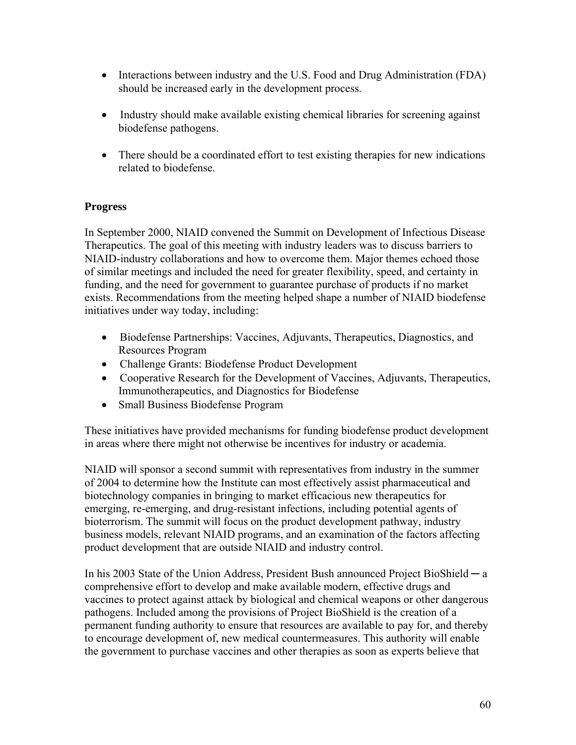- Interactions between industry and the U.S. Food and Drug Administration (FDA) should be increased early in the development process.
- Industry should make available existing chemical libraries for screening against biodefense pathogens.
- There should be a coordinated effort to test existing therapies for new indications related to biodefense.

#### **Progress**

In September 2000, NIAID convened the Summit on Development of Infectious Disease Therapeutics. The goal of this meeting with industry leaders was to discuss barriers to NIAID-industry collaborations and how to overcome them. Major themes echoed those of similar meetings and included the need for greater flexibility, speed, and certainty in funding, and the need for government to guarantee purchase of products if no market exists. Recommendations from the meeting helped shape a number of NIAID biodefense initiatives under way today, including:

- Biodefense Partnerships: Vaccines, Adjuvants, Therapeutics, Diagnostics, and Resources Program
- Challenge Grants: Biodefense Product Development
- Cooperative Research for the Development of Vaccines, Adjuvants, Therapeutics, Immunotherapeutics, and Diagnostics for Biodefense
- Small Business Biodefense Program

These initiatives have provided mechanisms for funding biodefense product development in areas where there might not otherwise be incentives for industry or academia.

NIAID will sponsor a second summit with representatives from industry in the summer of 2004 to determine how the Institute can most effectively assist pharmaceutical and biotechnology companies in bringing to market efficacious new therapeutics for emerging, re-emerging, and drug-resistant infections, including potential agents of bioterrorism. The summit will focus on the product development pathway, industry business models, relevant NIAID programs, and an examination of the factors affecting product development that are outside NIAID and industry control.

In his 2003 State of the Union Address, President Bush announced Project BioShield ─ a comprehensive effort to develop and make available modern, effective drugs and vaccines to protect against attack by biological and chemical weapons or other dangerous pathogens. Included among the provisions of Project BioShield is the creation of a permanent funding authority to ensure that resources are available to pay for, and thereby to encourage development of, new medical countermeasures. This authority will enable the government to purchase vaccines and other therapies as soon as experts believe that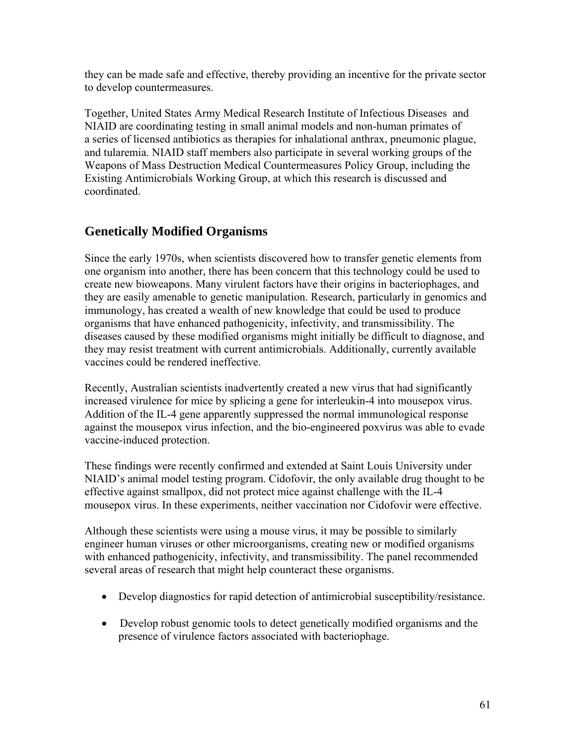they can be made safe and effective, thereby providing an incentive for the private sector to develop countermeasures.

Together, United States Army Medical Research Institute of Infectious Diseases and NIAID are coordinating testing in small animal models and non-human primates of a series of licensed antibiotics as therapies for inhalational anthrax, pneumonic plague, and tularemia. NIAID staff members also participate in several working groups of the Weapons of Mass Destruction Medical Countermeasures Policy Group, including the Existing Antimicrobials Working Group, at which this research is discussed and coordinated.

## **Genetically Modified Organisms**

Since the early 1970s, when scientists discovered how to transfer genetic elements from one organism into another, there has been concern that this technology could be used to create new bioweapons. Many virulent factors have their origins in bacteriophages, and they are easily amenable to genetic manipulation. Research, particularly in genomics and immunology, has created a wealth of new knowledge that could be used to produce organisms that have enhanced pathogenicity, infectivity, and transmissibility. The diseases caused by these modified organisms might initially be difficult to diagnose, and they may resist treatment with current antimicrobials. Additionally, currently available vaccines could be rendered ineffective.

Recently, Australian scientists inadvertently created a new virus that had significantly increased virulence for mice by splicing a gene for interleukin-4 into mousepox virus. Addition of the IL-4 gene apparently suppressed the normal immunological response against the mousepox virus infection, and the bio-engineered poxvirus was able to evade vaccine-induced protection.

These findings were recently confirmed and extended at Saint Louis University under NIAID's animal model testing program. Cidofovir, the only available drug thought to be effective against smallpox, did not protect mice against challenge with the IL-4 mousepox virus. In these experiments, neither vaccination nor Cidofovir were effective.

Although these scientists were using a mouse virus, it may be possible to similarly engineer human viruses or other microorganisms, creating new or modified organisms with enhanced pathogenicity, infectivity, and transmissibility. The panel recommended several areas of research that might help counteract these organisms.

- Develop diagnostics for rapid detection of antimicrobial susceptibility/resistance.
- Develop robust genomic tools to detect genetically modified organisms and the presence of virulence factors associated with bacteriophage.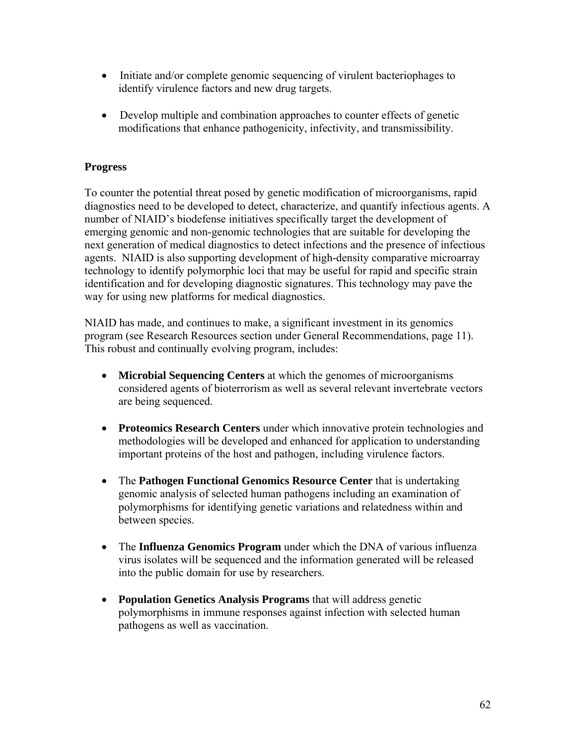- Initiate and/or complete genomic sequencing of virulent bacteriophages to identify virulence factors and new drug targets.
- Develop multiple and combination approaches to counter effects of genetic modifications that enhance pathogenicity, infectivity, and transmissibility.

#### **Progress**

To counter the potential threat posed by genetic modification of microorganisms, rapid diagnostics need to be developed to detect, characterize, and quantify infectious agents. A number of NIAID's biodefense initiatives specifically target the development of emerging genomic and non-genomic technologies that are suitable for developing the next generation of medical diagnostics to detect infections and the presence of infectious agents. NIAID is also supporting development of high-density comparative microarray technology to identify polymorphic loci that may be useful for rapid and specific strain identification and for developing diagnostic signatures. This technology may pave the way for using new platforms for medical diagnostics.

NIAID has made, and continues to make, a significant investment in its genomics program (see Research Resources section under General Recommendations, page 11). This robust and continually evolving program, includes:

- **Microbial Sequencing Centers** at which the genomes of microorganisms considered agents of bioterrorism as well as several relevant invertebrate vectors are being sequenced.
- **Proteomics Research Centers** under which innovative protein technologies and methodologies will be developed and enhanced for application to understanding important proteins of the host and pathogen, including virulence factors.
- The **Pathogen Functional Genomics Resource Center** that is undertaking genomic analysis of selected human pathogens including an examination of polymorphisms for identifying genetic variations and relatedness within and between species.
- The **Influenza Genomics Program** under which the DNA of various influenza virus isolates will be sequenced and the information generated will be released into the public domain for use by researchers.
- **Population Genetics Analysis Programs** that will address genetic polymorphisms in immune responses against infection with selected human pathogens as well as vaccination.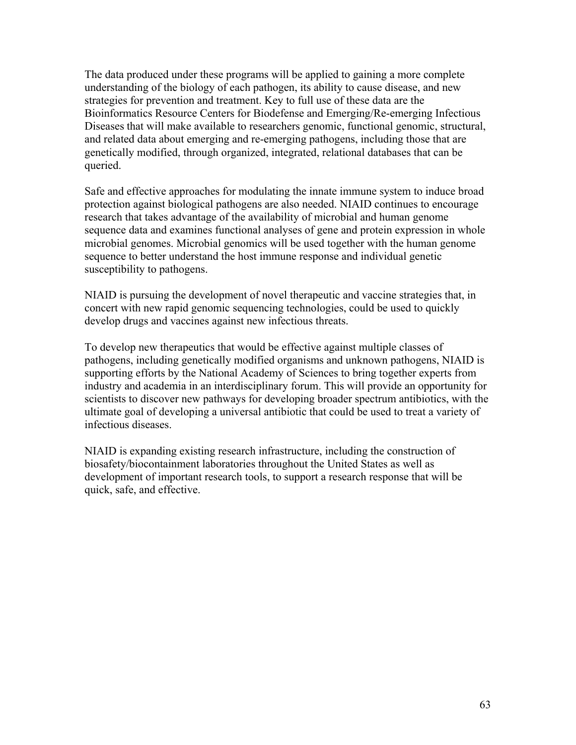The data produced under these programs will be applied to gaining a more complete understanding of the biology of each pathogen, its ability to cause disease, and new strategies for prevention and treatment. Key to full use of these data are the Bioinformatics Resource Centers for Biodefense and Emerging/Re-emerging Infectious Diseases that will make available to researchers genomic, functional genomic, structural, and related data about emerging and re-emerging pathogens, including those that are genetically modified, through organized, integrated, relational databases that can be queried.

Safe and effective approaches for modulating the innate immune system to induce broad protection against biological pathogens are also needed. NIAID continues to encourage research that takes advantage of the availability of microbial and human genome sequence data and examines functional analyses of gene and protein expression in whole microbial genomes. Microbial genomics will be used together with the human genome sequence to better understand the host immune response and individual genetic susceptibility to pathogens.

NIAID is pursuing the development of novel therapeutic and vaccine strategies that, in concert with new rapid genomic sequencing technologies, could be used to quickly develop drugs and vaccines against new infectious threats.

To develop new therapeutics that would be effective against multiple classes of pathogens, including genetically modified organisms and unknown pathogens, NIAID is supporting efforts by the National Academy of Sciences to bring together experts from industry and academia in an interdisciplinary forum. This will provide an opportunity for scientists to discover new pathways for developing broader spectrum antibiotics, with the ultimate goal of developing a universal antibiotic that could be used to treat a variety of infectious diseases.

NIAID is expanding existing research infrastructure, including the construction of biosafety/biocontainment laboratories throughout the United States as well as development of important research tools, to support a research response that will be quick, safe, and effective.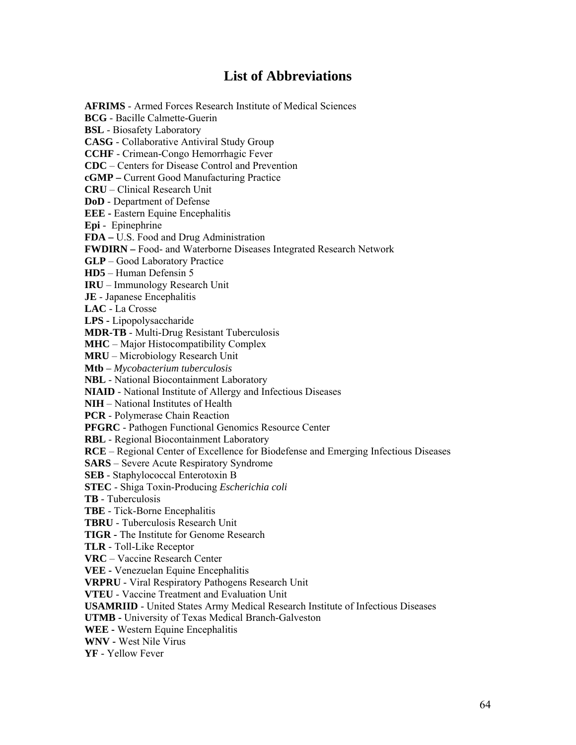## **List of Abbreviations**

**AFRIMS** - Armed Forces Research Institute of Medical Sciences **BCG** - Bacille Calmette-Guerin **BSL** - Biosafety Laboratory **CASG** - Collaborative Antiviral Study Group **CCHF** - Crimean-Congo Hemorrhagic Fever **CDC** – Centers for Disease Control and Prevention **cGMP –** Current Good Manufacturing Practice **CRU** – Clinical Research Unit **DoD** - Department of Defense **EEE -** Eastern Equine Encephalitis **Epi** - Epinephrine **FDA –** U.S. Food and Drug Administration **FWDIRN –** Food- and Waterborne Diseases Integrated Research Network **GLP** – Good Laboratory Practice **HD5** – Human Defensin 5 **IRU** – Immunology Research Unit **JE** - Japanese Encephalitis **LAC** - La Crosse **LPS -** Lipopolysaccharide **MDR-TB** - Multi-Drug Resistant Tuberculosis **MHC** – Major Histocompatibility Complex **MRU** – Microbiology Research Unit **Mtb** *– Mycobacterium tuberculosis*  **NBL** - National Biocontainment Laboratory **NIAID** - National Institute of Allergy and Infectious Diseases **NIH** – National Institutes of Health **PCR** - Polymerase Chain Reaction **PFGRC** - Pathogen Functional Genomics Resource Center **RBL** - Regional Biocontainment Laboratory **RCE** – Regional Center of Excellence for Biodefense and Emerging Infectious Diseases **SARS** – Severe Acute Respiratory Syndrome **SEB** - Staphylococcal Enterotoxin B **STEC** - Shiga Toxin-Producing *Escherichia coli* **TB** - Tuberculosis **TBE** - Tick-Borne Encephalitis **TBRU** - Tuberculosis Research Unit **TIGR -** The Institute for Genome Research **TLR** - Toll-Like Receptor **VRC** – Vaccine Research Center **VEE -** Venezuelan Equine Encephalitis **VRPRU** - Viral Respiratory Pathogens Research Unit **VTEU** - Vaccine Treatment and Evaluation Unit **USAMRIID** - United States Army Medical Research Institute of Infectious Diseases **UTMB -** University of Texas Medical Branch-Galveston **WEE -** Western Equine Encephalitis **WNV -** West Nile Virus **YF** - Yellow Fever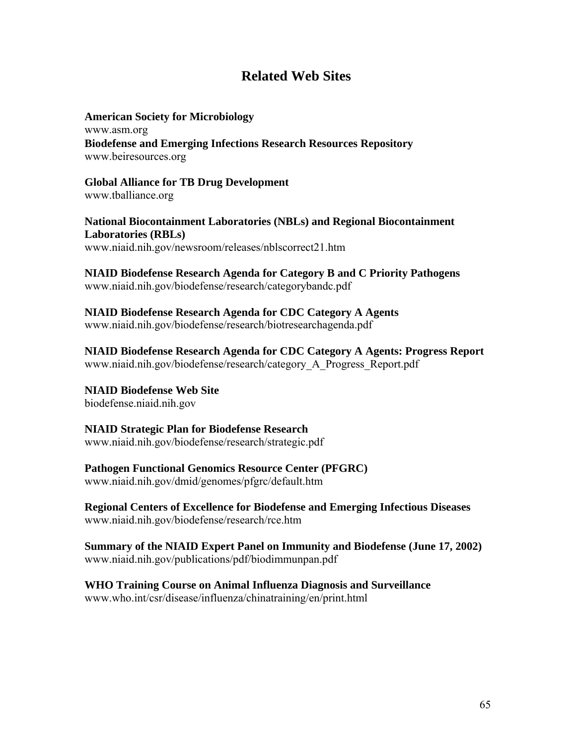## **Related Web Sites**

**American Society for Microbiology**  www.asm.org **Biodefense and Emerging Infections Research Resources Repository**  [www.beiresources.org](http://www.beiresources.org/)

**Global Alliance for TB Drug Development**  [www.tballiance.org](http://www.tballiance.org/)

**National Biocontainment Laboratories (NBLs) and Regional Biocontainment Laboratories (RBLs)**  [www.niaid.nih.gov/newsroom/releases/nblscorrect21.htm](http://www.niaid.nih.gov/newsroom/releases/nblscorrect21.htm)

**NIAID Biodefense Research Agenda for Category B and C Priority Pathogens**  [www.niaid.nih.gov/biodefense/research/categorybandc.pdf](http://www.niaid.nih.gov/biodefense/research/categorybandc.pdf)

**NIAID Biodefense Research Agenda for CDC Category A Agents** www.niaid.nih.gov/biodefense/research/biotresearchagenda.pdf

**NIAID Biodefense Research Agenda for CDC Category A Agents: Progress Report** www.niaid.nih.gov/biodefense/research/category\_A\_Progress\_Report.pdf

**NIAID Biodefense Web Site**  [biodefense.niaid.nih.gov](http://biodefense.niaid.nih.gov/)

**NIAID Strategic Plan for Biodefense Research**  [www.niaid.nih.gov/biodefense/research/strategic.pdf](http://www.niaid.nih.gov/biodefense/research/strategic.pdf)

**Pathogen Functional Genomics Resource Center (PFGRC)**  [www.niaid.nih.gov/dmid/genomes/pfgrc/default.htm](http://www.niaid.nih.gov/dmid/genomes/pfgrc/default.htm)

**Regional Centers of Excellence for Biodefense and Emerging Infectious Diseases**  [www.niaid.nih.gov/biodefense/research/rce.htm](http://www.niaid.nih.gov/biodefense/research/rce.htm)

**Summary of the NIAID Expert Panel on Immunity and Biodefense (June 17, 2002)**  [www.niaid.nih.gov/publications/pdf/biodimmunpan.pdf](http://www.niaid.nih.gov/publications/pdf/biodimmunpan.pdf)

**WHO Training Course on Animal Influenza Diagnosis and Surveillance**  www.who.int/csr/disease/influenza/chinatraining/en/print.html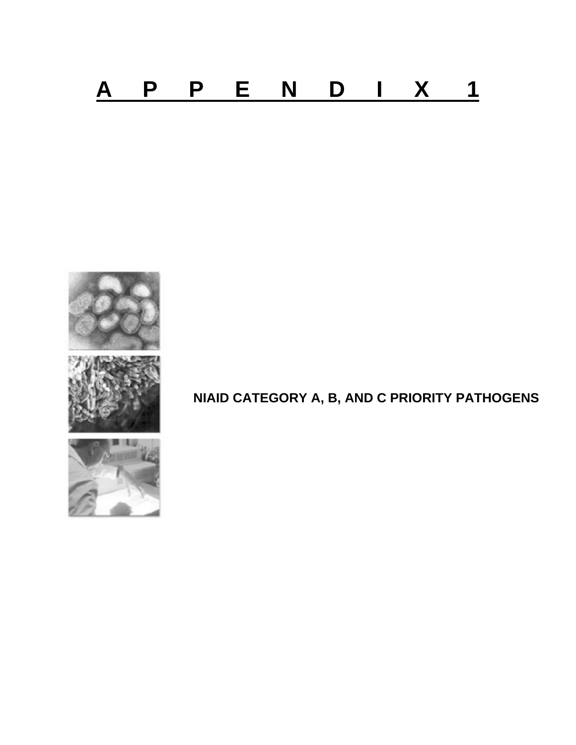



# **NIAID CATEGORY A, B, AND C PRIORITY PATHOGENS**

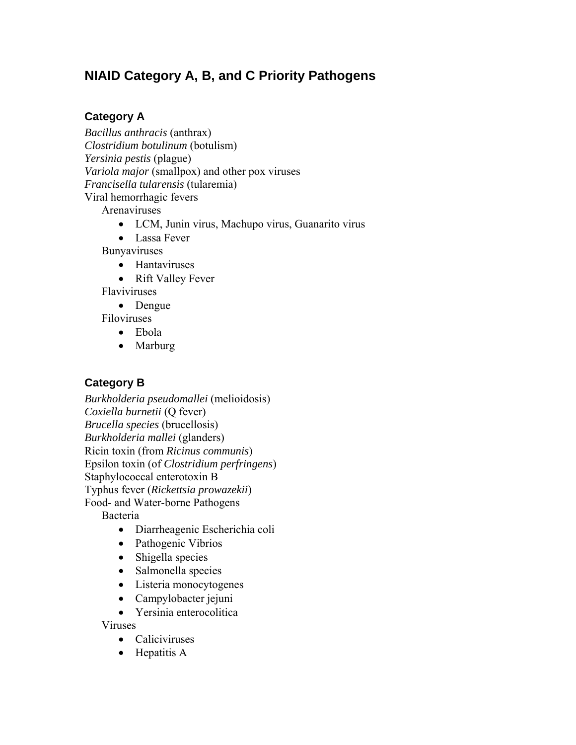## **NIAID Category A, B, and C Priority Pathogens**

### **Category A**

*Bacillus anthracis* (anthrax) *Clostridium botulinum* (botulism) *Yersinia pestis* (plague) *Variola major* (smallpox) and other pox viruses *Francisella tularensis* (tularemia) Viral hemorrhagic fevers

Arenaviruses

- LCM, Junin virus, Machupo virus, Guanarito virus
- Lassa Fever

Bunyaviruses

- Hantaviruses
- Rift Valley Fever

Flaviviruses

• Dengue

Filoviruses

- Ebola
- Marburg

## **Category B**

*Burkholderia pseudomallei* (melioidosis) *Coxiella burnetii* (Q fever) *Brucella species* (brucellosis) *Burkholderia mallei* (glanders) Ricin toxin (from *Ricinus communis*) Epsilon toxin (of *Clostridium perfringens*) Staphylococcal enterotoxin B Typhus fever (*Rickettsia prowazekii*) Food- and Water-borne Pathogens

Bacteria

- Diarrheagenic Escherichia coli
- Pathogenic Vibrios
- Shigella species
- Salmonella species
- Listeria monocytogenes
- Campylobacter jejuni
- Yersinia enterocolitica

Viruses

- Caliciviruses
- Hepatitis A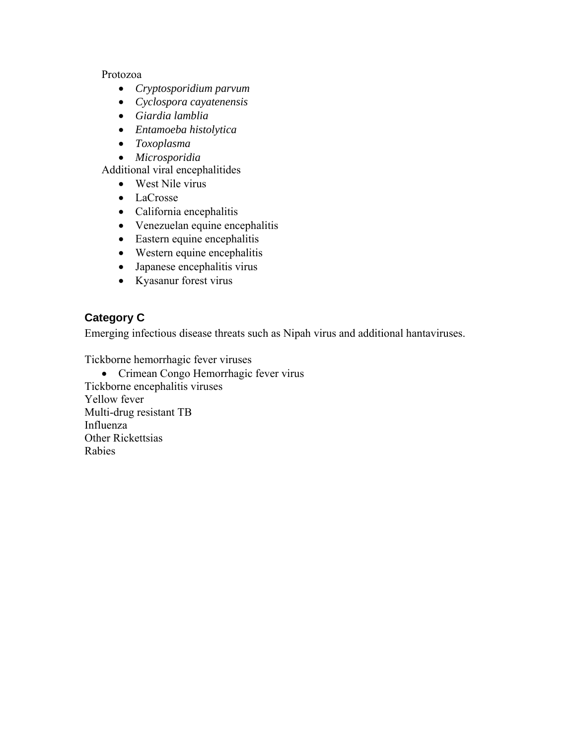#### Protozoa

- *Cryptosporidium parvum*
- *Cyclospora cayatenensis*
- *Giardia lamblia*
- *Entamoeba histolytica*
- *Toxoplasma*
- *Microsporidia*

Additional viral encephalitides

- West Nile virus
- LaCrosse
- California encephalitis
- Venezuelan equine encephalitis
- Eastern equine encephalitis
- Western equine encephalitis
- Japanese encephalitis virus
- Kyasanur forest virus

## **Category C**

Emerging infectious disease threats such as Nipah virus and additional hantaviruses.

Tickborne hemorrhagic fever viruses

• Crimean Congo Hemorrhagic fever virus Tickborne encephalitis viruses Yellow fever Multi-drug resistant TB Influenza Other Rickettsias Rabies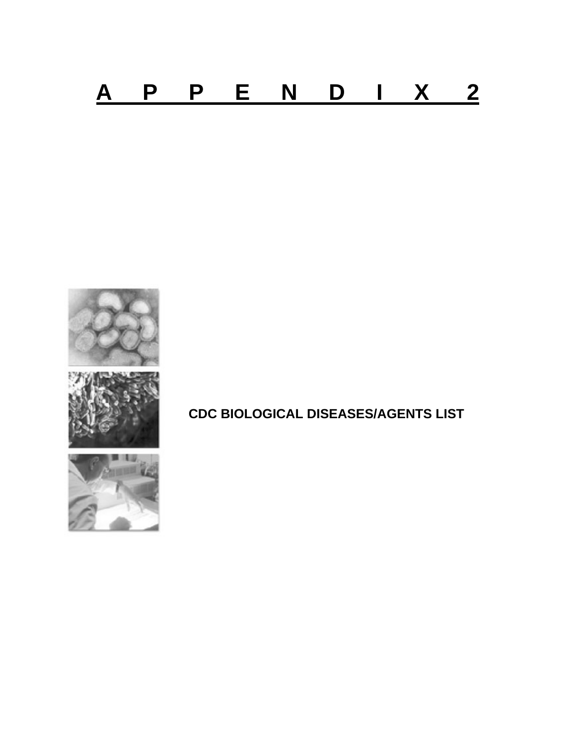



# **CDC BIOLOGICAL DISEASES/AGENTS LIST**

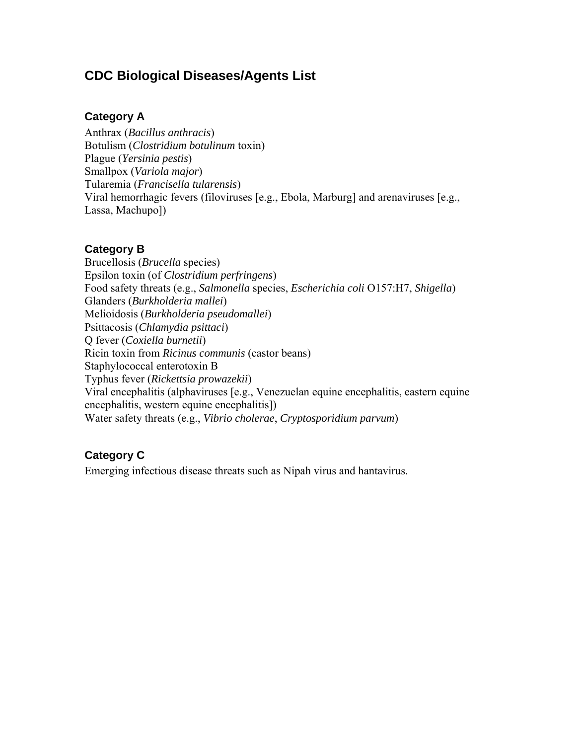## **CDC Biological Diseases/Agents List**

#### **Category A**

Anthrax (*Bacillus anthracis*) Botulism (*Clostridium botulinum* toxin) Plague (*Yersinia pestis*) Smallpox (*Variola major*) Tularemia (*Francisella tularensis*) Viral hemorrhagic fevers (filoviruses [e.g., Ebola, Marburg] and arenaviruses [e.g., Lassa, Machupo])

#### **Category B**

Brucellosis (*Brucella* species) Epsilon toxin (of *Clostridium perfringens*) Food safety threats (e.g., *Salmonella* species, *Escherichia coli* O157:H7, *Shigella*) Glanders (*Burkholderia mallei*) Melioidosis (*Burkholderia pseudomallei*) Psittacosis (*Chlamydia psittaci*) Q fever (*Coxiella burnetii*) Ricin toxin from *Ricinus communis* (castor beans) Staphylococcal enterotoxin B Typhus fever (*Rickettsia prowazekii*) Viral encephalitis (alphaviruses [e.g., Venezuelan equine encephalitis, eastern equine encephalitis, western equine encephalitis]) Water safety threats (e.g., *Vibrio cholerae*, *Cryptosporidium parvum*)

### **Category C**

Emerging infectious disease threats such as Nipah virus and hantavirus.